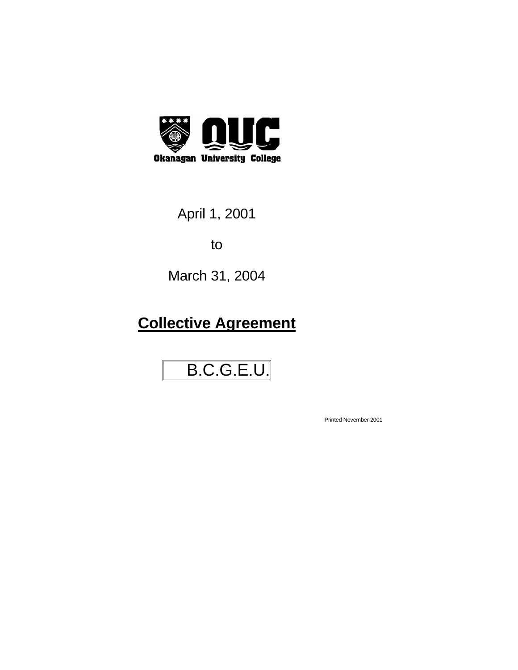

April 1, 2001

to

March 31, 2004

## **Collective Agreement**

# B.C.G.E.U.

Printed November 2001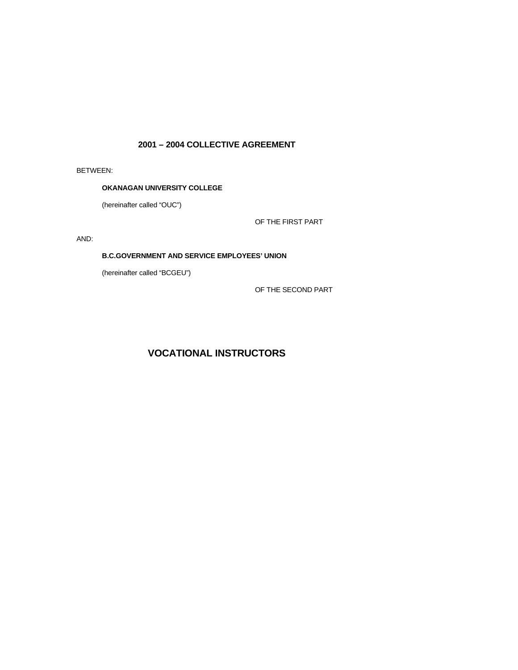## **2001 – 2004 COLLECTIVE AGREEMENT**

BETWEEN:

## **OKANAGAN UNIVERSITY COLLEGE**

(hereinafter called "OUC")

OF THE FIRST PART

AND:

## **B.C.GOVERNMENT AND SERVICE EMPLOYEES' UNION**

(hereinafter called "BCGEU")

OF THE SECOND PART

## **VOCATIONAL INSTRUCTORS**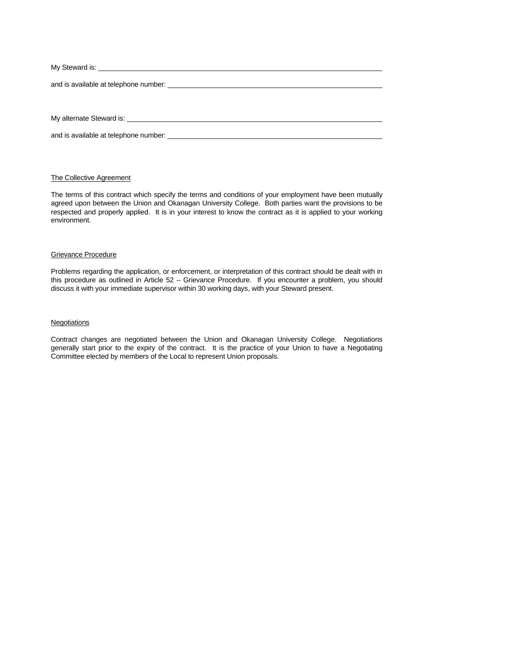| and is available at telephone number: and the state of the state of the state of the state of the state of the                                                                                                                 |
|--------------------------------------------------------------------------------------------------------------------------------------------------------------------------------------------------------------------------------|
|                                                                                                                                                                                                                                |
|                                                                                                                                                                                                                                |
| My alternate Steward is: Note that the state of the state of the state of the state of the state of the state of the state of the state of the state of the state of the state of the state of the state of the state of the s |
|                                                                                                                                                                                                                                |

## The Collective Agreement

and is available at telephone number:

The terms of this contract which specify the terms and conditions of your employment have been mutually agreed upon between the Union and Okanagan University College. Both parties want the provisions to be respected and properly applied. It is in your interest to know the contract as it is applied to your working environment.

#### Grievance Procedure

Problems regarding the application, or enforcement, or interpretation of this contract should be dealt with in this procedure as outlined in Article 52 – Grievance Procedure. If you encounter a problem, you should discuss it with your immediate supervisor within 30 working days, with your Steward present.

#### **Negotiations**

Contract changes are negotiated between the Union and Okanagan University College. Negotiations generally start prior to the expiry of the contract. It is the practice of your Union to have a Negotiating Committee elected by members of the Local to represent Union proposals.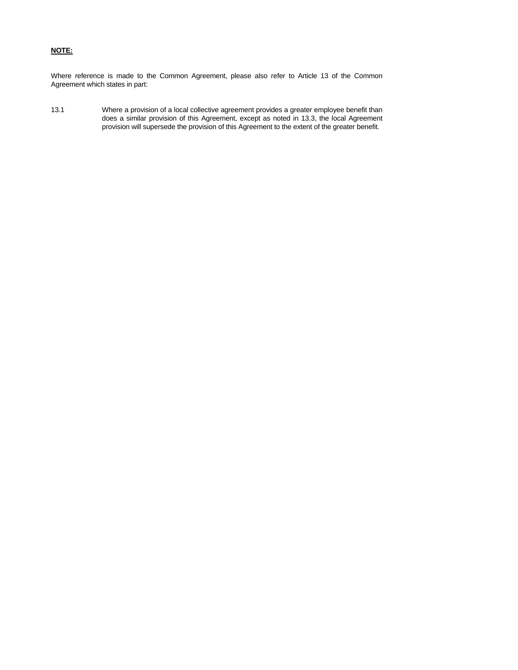## **NOTE:**

Where reference is made to the Common Agreement, please also refer to Article 13 of the Common Agreement which states in part:

13.1 Where a provision of a local collective agreement provides a greater employee benefit than does a similar provision of this Agreement, except as noted in 13.3, the local Agreement provision will supersede the provision of this Agreement to the extent of the greater benefit.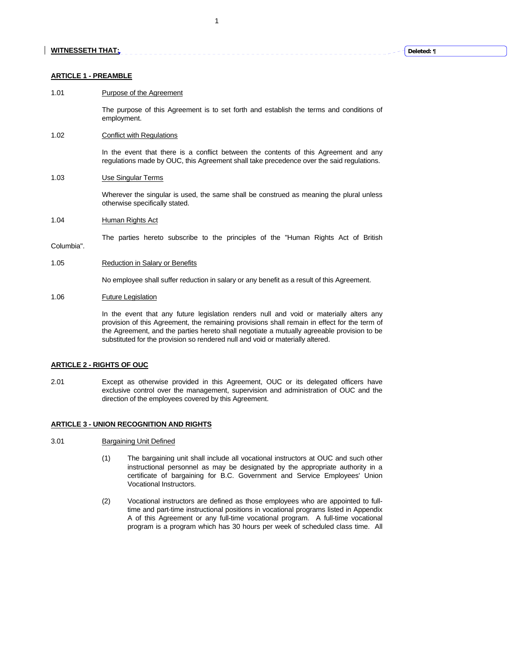#### **ARTICLE 1 - PREAMBLE**

## 1.01 Purpose of the Agreement

 The purpose of this Agreement is to set forth and establish the terms and conditions of employment.

1

<u> - - - - - - - - - - - -</u>

## 1.02 Conflict with Regulations

 In the event that there is a conflict between the contents of this Agreement and any regulations made by OUC, this Agreement shall take precedence over the said regulations.

#### 1.03 Use Singular Terms

 Wherever the singular is used, the same shall be construed as meaning the plural unless otherwise specifically stated.

1.04 Human Rights Act

The parties hereto subscribe to the principles of the "Human Rights Act of British

Columbia".

#### 1.05 Reduction in Salary or Benefits

No employee shall suffer reduction in salary or any benefit as a result of this Agreement.

#### 1.06 Future Legislation

 In the event that any future legislation renders null and void or materially alters any provision of this Agreement, the remaining provisions shall remain in effect for the term of the Agreement, and the parties hereto shall negotiate a mutually agreeable provision to be substituted for the provision so rendered null and void or materially altered.

#### **ARTICLE 2 - RIGHTS OF OUC**

2.01 Except as otherwise provided in this Agreement, OUC or its delegated officers have exclusive control over the management, supervision and administration of OUC and the direction of the employees covered by this Agreement.

#### **ARTICLE 3 - UNION RECOGNITION AND RIGHTS**

#### 3.01 Bargaining Unit Defined

- (1) The bargaining unit shall include all vocational instructors at OUC and such other instructional personnel as may be designated by the appropriate authority in a certificate of bargaining for B.C. Government and Service Employees' Union Vocational Instructors.
- (2) Vocational instructors are defined as those employees who are appointed to fulltime and part-time instructional positions in vocational programs listed in Appendix A of this Agreement or any full-time vocational program. A full-time vocational program is a program which has 30 hours per week of scheduled class time. All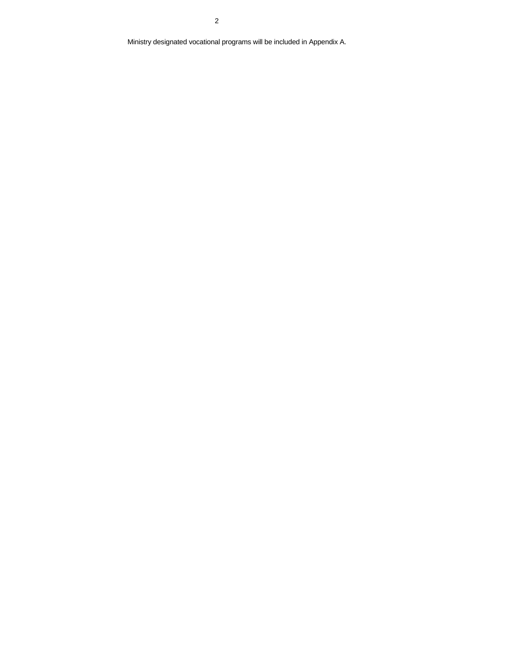Ministry designated vocational programs will be included in Appendix A.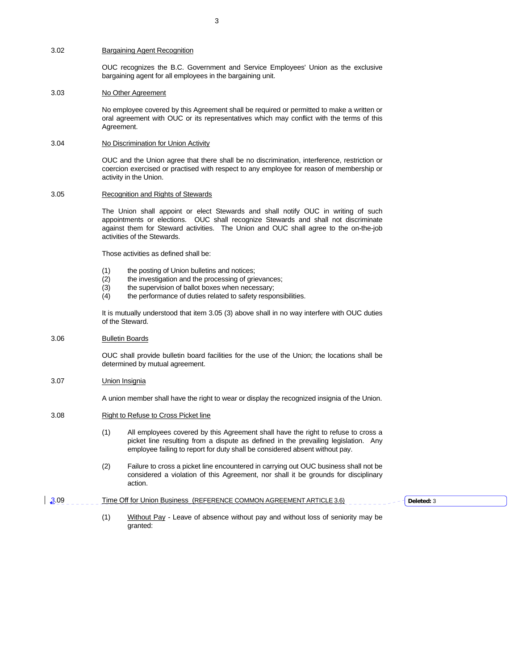## 3.02 Bargaining Agent Recognition

 OUC recognizes the B.C. Government and Service Employees' Union as the exclusive bargaining agent for all employees in the bargaining unit.

## 3.03 No Other Agreement

 No employee covered by this Agreement shall be required or permitted to make a written or oral agreement with OUC or its representatives which may conflict with the terms of this Agreement.

#### 3.04 No Discrimination for Union Activity

 OUC and the Union agree that there shall be no discrimination, interference, restriction or coercion exercised or practised with respect to any employee for reason of membership or activity in the Union.

#### 3.05 Recognition and Rights of Stewards

 The Union shall appoint or elect Stewards and shall notify OUC in writing of such appointments or elections. OUC shall recognize Stewards and shall not discriminate against them for Steward activities. The Union and OUC shall agree to the on-the-job activities of the Stewards.

Those activities as defined shall be:

- (1) the posting of Union bulletins and notices;
- (2) the investigation and the processing of grievances;
- (3) the supervision of ballot boxes when necessary;
- (4) the performance of duties related to safety responsibilities.

 It is mutually understood that item 3.05 (3) above shall in no way interfere with OUC duties of the Steward.

#### 3.06 Bulletin Boards

 OUC shall provide bulletin board facilities for the use of the Union; the locations shall be determined by mutual agreement.

#### 3.07 Union Insignia

A union member shall have the right to wear or display the recognized insignia of the Union.

#### 3.08 Right to Refuse to Cross Picket line

- (1) All employees covered by this Agreement shall have the right to refuse to cross a picket line resulting from a dispute as defined in the prevailing legislation. Any employee failing to report for duty shall be considered absent without pay.
- (2) Failure to cross a picket line encountered in carrying out OUC business shall not be considered a violation of this Agreement, nor shall it be grounds for disciplinary action.

#### 3.09 Time Off for Union Business (REFERENCE COMMON AGREEMENT ARTICLE 3.6)

 (1) Without Pay - Leave of absence without pay and without loss of seniority may be granted:

**Deleted:** 3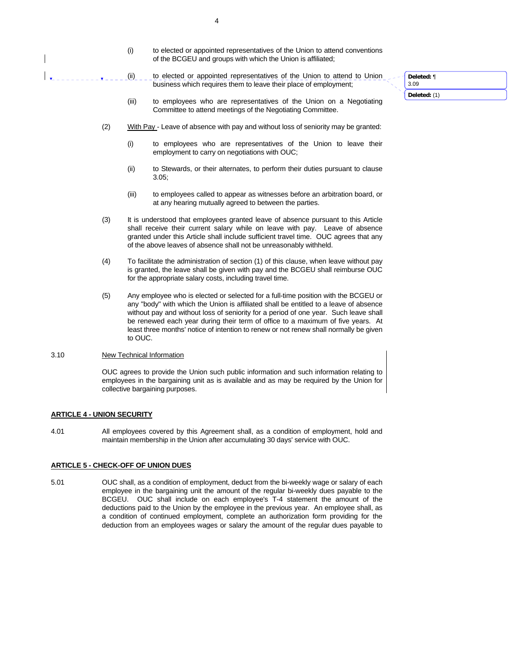- (i) to elected or appointed representatives of the Union to attend conventions of the BCGEU and groups with which the Union is affiliated;
- (ii) \_ \_ to elected or appointed representatives of the Union to attend to Union business which requires them to leave their place of employment;
- (iii) to employees who are representatives of the Union on a Negotiating Committee to attend meetings of the Negotiating Committee.
- (2) With Pay Leave of absence with pay and without loss of seniority may be granted:
	- (i) to employees who are representatives of the Union to leave their employment to carry on negotiations with OUC;
	- (ii) to Stewards, or their alternates, to perform their duties pursuant to clause 3.05;
	- (iii) to employees called to appear as witnesses before an arbitration board, or at any hearing mutually agreed to between the parties.
- (3) It is understood that employees granted leave of absence pursuant to this Article shall receive their current salary while on leave with pay. Leave of absence granted under this Article shall include sufficient travel time. OUC agrees that any of the above leaves of absence shall not be unreasonably withheld.
- (4) To facilitate the administration of section (1) of this clause, when leave without pay is granted, the leave shall be given with pay and the BCGEU shall reimburse OUC for the appropriate salary costs, including travel time.
- (5) Any employee who is elected or selected for a full-time position with the BCGEU or any "body" with which the Union is affiliated shall be entitled to a leave of absence without pay and without loss of seniority for a period of one year. Such leave shall be renewed each year during their term of office to a maximum of five years. At least three months' notice of intention to renew or not renew shall normally be given to OUC.

#### 3.10 New Technical Information

 OUC agrees to provide the Union such public information and such information relating to employees in the bargaining unit as is available and as may be required by the Union for collective bargaining purposes.

#### **ARTICLE 4 - UNION SECURITY**

4.01 All employees covered by this Agreement shall, as a condition of employment, hold and maintain membership in the Union after accumulating 30 days' service with OUC.

#### **ARTICLE 5 - CHECK-OFF OF UNION DUES**

5.01 OUC shall, as a condition of employment, deduct from the bi-weekly wage or salary of each employee in the bargaining unit the amount of the regular bi-weekly dues payable to the BCGEU. OUC shall include on each employee's T-4 statement the amount of the deductions paid to the Union by the employee in the previous year. An employee shall, as a condition of continued employment, complete an authorization form providing for the deduction from an employees wages or salary the amount of the regular dues payable to **Deleted:** ¶

3.09

**Deleted:** (1)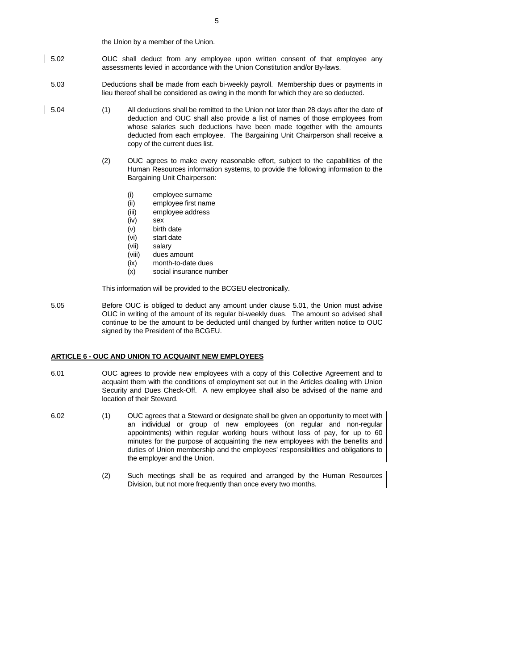the Union by a member of the Union.

- 5.02 OUC shall deduct from any employee upon written consent of that employee any assessments levied in accordance with the Union Constitution and/or By-laws.
- 5.03 Deductions shall be made from each bi-weekly payroll. Membership dues or payments in lieu thereof shall be considered as owing in the month for which they are so deducted.
- 5.04 (1) All deductions shall be remitted to the Union not later than 28 days after the date of deduction and OUC shall also provide a list of names of those employees from whose salaries such deductions have been made together with the amounts deducted from each employee. The Bargaining Unit Chairperson shall receive a copy of the current dues list.
	- (2) OUC agrees to make every reasonable effort, subject to the capabilities of the Human Resources information systems, to provide the following information to the Bargaining Unit Chairperson:
		- (i) employee surname
		- (ii) employee first name
		- (iii) employee address
		- (iv) sex
		- (v) birth date
		- (vi) start date<br>(vii) salary
		- salary
		- (viii) dues amount
		- (ix) month-to-date dues
		- (x) social insurance number

This information will be provided to the BCGEU electronically.

5.05 Before OUC is obliged to deduct any amount under clause 5.01, the Union must advise OUC in writing of the amount of its regular bi-weekly dues. The amount so advised shall continue to be the amount to be deducted until changed by further written notice to OUC signed by the President of the BCGEU.

## **ARTICLE 6 - OUC AND UNION TO ACQUAINT NEW EMPLOYEES**

- 6.01 OUC agrees to provide new employees with a copy of this Collective Agreement and to acquaint them with the conditions of employment set out in the Articles dealing with Union Security and Dues Check-Off. A new employee shall also be advised of the name and location of their Steward.
- 6.02 (1) OUC agrees that a Steward or designate shall be given an opportunity to meet with an individual or group of new employees (on regular and non-regular appointments) within regular working hours without loss of pay, for up to 60 minutes for the purpose of acquainting the new employees with the benefits and duties of Union membership and the employees' responsibilities and obligations to the employer and the Union.
	- (2) Such meetings shall be as required and arranged by the Human Resources Division, but not more frequently than once every two months.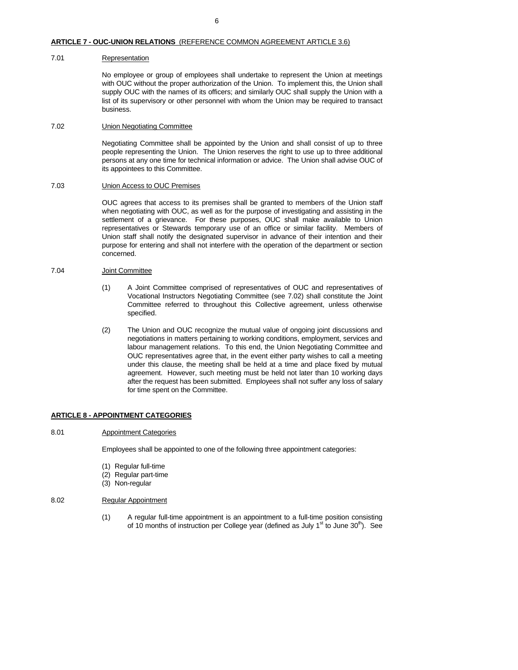#### **ARTICLE 7 - OUC-UNION RELATIONS** (REFERENCE COMMON AGREEMENT ARTICLE 3.6)

#### 7.01 Representation

 No employee or group of employees shall undertake to represent the Union at meetings with OUC without the proper authorization of the Union. To implement this, the Union shall supply OUC with the names of its officers; and similarly OUC shall supply the Union with a list of its supervisory or other personnel with whom the Union may be required to transact business.

## 7.02 Union Negotiating Committee

 Negotiating Committee shall be appointed by the Union and shall consist of up to three people representing the Union. The Union reserves the right to use up to three additional persons at any one time for technical information or advice. The Union shall advise OUC of its appointees to this Committee.

#### 7.03 Union Access to OUC Premises

 OUC agrees that access to its premises shall be granted to members of the Union staff when negotiating with OUC, as well as for the purpose of investigating and assisting in the settlement of a grievance. For these purposes, OUC shall make available to Union representatives or Stewards temporary use of an office or similar facility. Members of Union staff shall notify the designated supervisor in advance of their intention and their purpose for entering and shall not interfere with the operation of the department or section concerned.

## 7.04 Joint Committee

- (1) A Joint Committee comprised of representatives of OUC and representatives of Vocational Instructors Negotiating Committee (see 7.02) shall constitute the Joint Committee referred to throughout this Collective agreement, unless otherwise specified.
- (2) The Union and OUC recognize the mutual value of ongoing joint discussions and negotiations in matters pertaining to working conditions, employment, services and labour management relations. To this end, the Union Negotiating Committee and OUC representatives agree that, in the event either party wishes to call a meeting under this clause, the meeting shall be held at a time and place fixed by mutual agreement. However, such meeting must be held not later than 10 working days after the request has been submitted. Employees shall not suffer any loss of salary for time spent on the Committee.

#### **ARTICLE 8 - APPOINTMENT CATEGORIES**

#### 8.01 Appointment Categories

Employees shall be appointed to one of the following three appointment categories:

- (1) Regular full-time
- (2) Regular part-time
- (3) Non-regular

#### 8.02 Regular Appointment

(1) A regular full-time appointment is an appointment to a full-time position consisting of 10 months of instruction per College year (defined as July  $1<sup>st</sup>$  to June  $30<sup>th</sup>$ ). See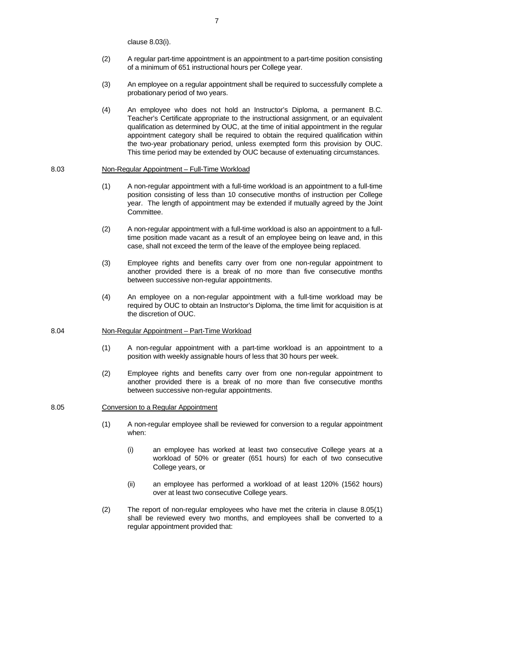clause 8.03(i).

- (2) A regular part-time appointment is an appointment to a part-time position consisting of a minimum of 651 instructional hours per College year.
- (3) An employee on a regular appointment shall be required to successfully complete a probationary period of two years.
- (4) An employee who does not hold an Instructor's Diploma, a permanent B.C. Teacher's Certificate appropriate to the instructional assignment, or an equivalent qualification as determined by OUC, at the time of initial appointment in the regular appointment category shall be required to obtain the required qualification within the two-year probationary period, unless exempted form this provision by OUC. This time period may be extended by OUC because of extenuating circumstances.

#### 8.03 Non-Regular Appointment – Full-Time Workload

- (1) A non-regular appointment with a full-time workload is an appointment to a full-time position consisting of less than 10 consecutive months of instruction per College year. The length of appointment may be extended if mutually agreed by the Joint Committee.
- (2) A non-regular appointment with a full-time workload is also an appointment to a fulltime position made vacant as a result of an employee being on leave and, in this case, shall not exceed the term of the leave of the employee being replaced.
- (3) Employee rights and benefits carry over from one non-regular appointment to another provided there is a break of no more than five consecutive months between successive non-regular appointments.
- (4) An employee on a non-regular appointment with a full-time workload may be required by OUC to obtain an Instructor's Diploma, the time limit for acquisition is at the discretion of OUC.

#### 8.04 Non-Regular Appointment – Part-Time Workload

- (1) A non-regular appointment with a part-time workload is an appointment to a position with weekly assignable hours of less that 30 hours per week.
- (2) Employee rights and benefits carry over from one non-regular appointment to another provided there is a break of no more than five consecutive months between successive non-regular appointments.

## 8.05 Conversion to a Regular Appointment

- (1) A non-regular employee shall be reviewed for conversion to a regular appointment when:
	- (i) an employee has worked at least two consecutive College years at a workload of 50% or greater (651 hours) for each of two consecutive College years, or
	- (ii) an employee has performed a workload of at least 120% (1562 hours) over at least two consecutive College years.
- (2) The report of non-regular employees who have met the criteria in clause 8.05(1) shall be reviewed every two months, and employees shall be converted to a regular appointment provided that: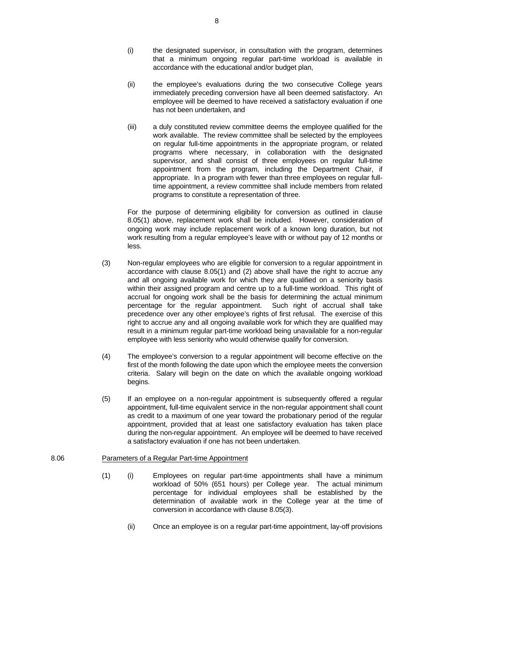- (i) the designated supervisor, in consultation with the program, determines that a minimum ongoing regular part-time workload is available in accordance with the educational and/or budget plan,
- (ii) the employee's evaluations during the two consecutive College years immediately preceding conversion have all been deemed satisfactory. An employee will be deemed to have received a satisfactory evaluation if one has not been undertaken, and
- (iii) a duly constituted review committee deems the employee qualified for the work available. The review committee shall be selected by the employees on regular full-time appointments in the appropriate program, or related programs where necessary, in collaboration with the designated supervisor, and shall consist of three employees on regular full-time appointment from the program, including the Department Chair, if appropriate. In a program with fewer than three employees on regular fulltime appointment, a review committee shall include members from related programs to constitute a representation of three.

For the purpose of determining eligibility for conversion as outlined in clause 8.05(1) above, replacement work shall be included. However, consideration of ongoing work may include replacement work of a known long duration, but not work resulting from a regular employee's leave with or without pay of 12 months or less.

- (3) Non-regular employees who are eligible for conversion to a regular appointment in accordance with clause 8.05(1) and (2) above shall have the right to accrue any and all ongoing available work for which they are qualified on a seniority basis within their assigned program and centre up to a full-time workload. This right of accrual for ongoing work shall be the basis for determining the actual minimum percentage for the regular appointment. Such right of accrual shall take precedence over any other employee's rights of first refusal. The exercise of this right to accrue any and all ongoing available work for which they are qualified may result in a minimum regular part-time workload being unavailable for a non-regular employee with less seniority who would otherwise qualify for conversion.
- (4) The employee's conversion to a regular appointment will become effective on the first of the month following the date upon which the employee meets the conversion criteria. Salary will begin on the date on which the available ongoing workload begins.
- (5) If an employee on a non-regular appointment is subsequently offered a regular appointment, full-time equivalent service in the non-regular appointment shall count as credit to a maximum of one year toward the probationary period of the regular appointment, provided that at least one satisfactory evaluation has taken place during the non-regular appointment. An employee will be deemed to have received a satisfactory evaluation if one has not been undertaken.

#### 8.06 Parameters of a Regular Part-time Appointment

- (1) (i) Employees on regular part-time appointments shall have a minimum workload of 50% (651 hours) per College year. The actual minimum percentage for individual employees shall be established by the determination of available work in the College year at the time of conversion in accordance with clause 8.05(3).
	- (ii) Once an employee is on a regular part-time appointment, lay-off provisions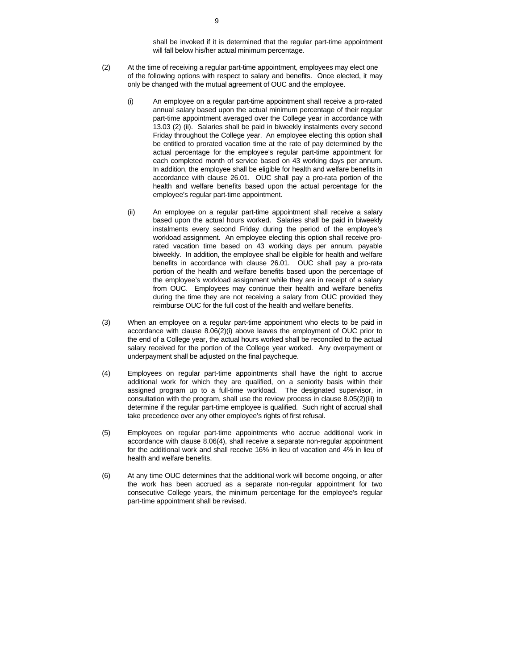shall be invoked if it is determined that the regular part-time appointment will fall below his/her actual minimum percentage.

- (2) At the time of receiving a regular part-time appointment, employees may elect one of the following options with respect to salary and benefits. Once elected, it may only be changed with the mutual agreement of OUC and the employee.
	- (i) An employee on a regular part-time appointment shall receive a pro-rated annual salary based upon the actual minimum percentage of their regular part-time appointment averaged over the College year in accordance with 13.03 (2) (ii). Salaries shall be paid in biweekly instalments every second Friday throughout the College year. An employee electing this option shall be entitled to prorated vacation time at the rate of pay determined by the actual percentage for the employee's regular part-time appointment for each completed month of service based on 43 working days per annum. In addition, the employee shall be eligible for health and welfare benefits in accordance with clause 26.01. OUC shall pay a pro-rata portion of the health and welfare benefits based upon the actual percentage for the employee's regular part-time appointment.
	- (ii) An employee on a regular part-time appointment shall receive a salary based upon the actual hours worked. Salaries shall be paid in biweekly instalments every second Friday during the period of the employee's workload assignment. An employee electing this option shall receive prorated vacation time based on 43 working days per annum, payable biweekly. In addition, the employee shall be eligible for health and welfare benefits in accordance with clause 26.01. OUC shall pay a pro-rata portion of the health and welfare benefits based upon the percentage of the employee's workload assignment while they are in receipt of a salary from OUC. Employees may continue their health and welfare benefits during the time they are not receiving a salary from OUC provided they reimburse OUC for the full cost of the health and welfare benefits.
- (3) When an employee on a regular part-time appointment who elects to be paid in accordance with clause 8.06(2)(i) above leaves the employment of OUC prior to the end of a College year, the actual hours worked shall be reconciled to the actual salary received for the portion of the College year worked. Any overpayment or underpayment shall be adjusted on the final paycheque.
- (4) Employees on regular part-time appointments shall have the right to accrue additional work for which they are qualified, on a seniority basis within their assigned program up to a full-time workload. The designated supervisor, in consultation with the program, shall use the review process in clause 8.05(2)(iii) to determine if the regular part-time employee is qualified. Such right of accrual shall take precedence over any other employee's rights of first refusal.
- (5) Employees on regular part-time appointments who accrue additional work in accordance with clause 8.06(4), shall receive a separate non-regular appointment for the additional work and shall receive 16% in lieu of vacation and 4% in lieu of health and welfare benefits.
- (6) At any time OUC determines that the additional work will become ongoing, or after the work has been accrued as a separate non-regular appointment for two consecutive College years, the minimum percentage for the employee's regular part-time appointment shall be revised.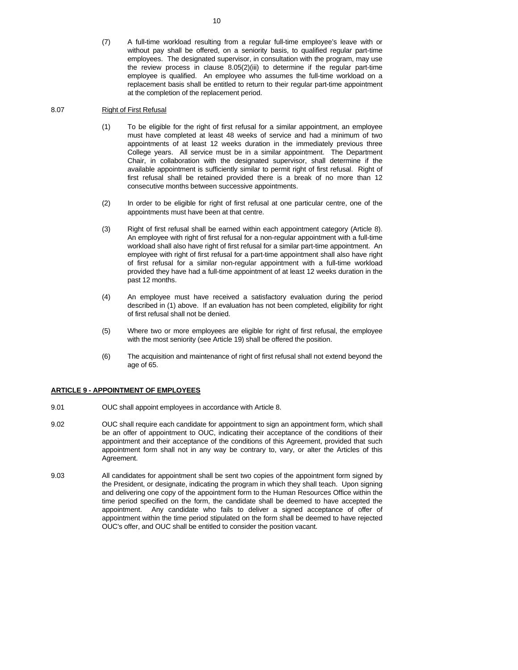(7) A full-time workload resulting from a regular full-time employee's leave with or without pay shall be offered, on a seniority basis, to qualified regular part-time employees. The designated supervisor, in consultation with the program, may use the review process in clause 8.05(2)(iii) to determine if the regular part-time employee is qualified. An employee who assumes the full-time workload on a replacement basis shall be entitled to return to their regular part-time appointment at the completion of the replacement period.

## 8.07 Right of First Refusal

- (1) To be eligible for the right of first refusal for a similar appointment, an employee must have completed at least 48 weeks of service and had a minimum of two appointments of at least 12 weeks duration in the immediately previous three College years. All service must be in a similar appointment. The Department Chair, in collaboration with the designated supervisor, shall determine if the available appointment is sufficiently similar to permit right of first refusal. Right of first refusal shall be retained provided there is a break of no more than 12 consecutive months between successive appointments.
- (2) In order to be eligible for right of first refusal at one particular centre, one of the appointments must have been at that centre.
- (3) Right of first refusal shall be earned within each appointment category (Article 8). An employee with right of first refusal for a non-regular appointment with a full-time workload shall also have right of first refusal for a similar part-time appointment. An employee with right of first refusal for a part-time appointment shall also have right of first refusal for a similar non-regular appointment with a full-time workload provided they have had a full-time appointment of at least 12 weeks duration in the past 12 months.
- (4) An employee must have received a satisfactory evaluation during the period described in (1) above. If an evaluation has not been completed, eligibility for right of first refusal shall not be denied.
- (5) Where two or more employees are eligible for right of first refusal, the employee with the most seniority (see Article 19) shall be offered the position.
- (6) The acquisition and maintenance of right of first refusal shall not extend beyond the age of 65.

#### **ARTICLE 9 - APPOINTMENT OF EMPLOYEES**

- 9.01 OUC shall appoint employees in accordance with Article 8.
- 9.02 OUC shall require each candidate for appointment to sign an appointment form, which shall be an offer of appointment to OUC, indicating their acceptance of the conditions of their appointment and their acceptance of the conditions of this Agreement, provided that such appointment form shall not in any way be contrary to, vary, or alter the Articles of this Agreement.
- 9.03 All candidates for appointment shall be sent two copies of the appointment form signed by the President, or designate, indicating the program in which they shall teach. Upon signing and delivering one copy of the appointment form to the Human Resources Office within the time period specified on the form, the candidate shall be deemed to have accepted the appointment. Any candidate who fails to deliver a signed acceptance of offer of appointment within the time period stipulated on the form shall be deemed to have rejected OUC's offer, and OUC shall be entitled to consider the position vacant.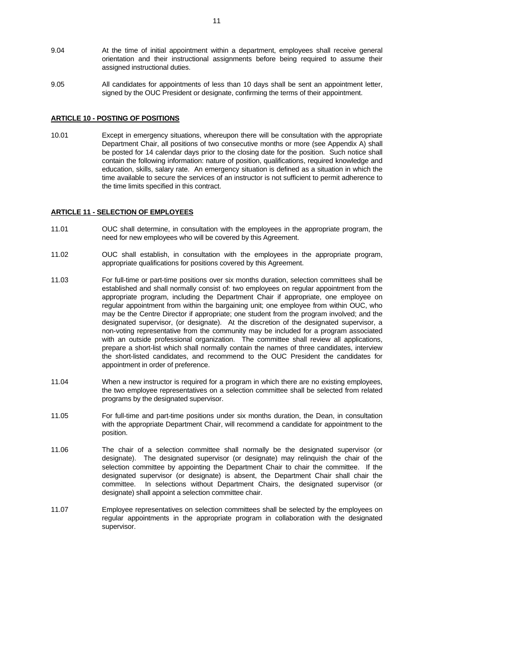- 9.04 At the time of initial appointment within a department, employees shall receive general orientation and their instructional assignments before being required to assume their assigned instructional duties.
- 9.05 All candidates for appointments of less than 10 days shall be sent an appointment letter, signed by the OUC President or designate, confirming the terms of their appointment.

#### **ARTICLE 10 - POSTING OF POSITIONS**

10.01 Except in emergency situations, whereupon there will be consultation with the appropriate Department Chair, all positions of two consecutive months or more (see Appendix A) shall be posted for 14 calendar days prior to the closing date for the position. Such notice shall contain the following information: nature of position, qualifications, required knowledge and education, skills, salary rate. An emergency situation is defined as a situation in which the time available to secure the services of an instructor is not sufficient to permit adherence to the time limits specified in this contract.

#### **ARTICLE 11 - SELECTION OF EMPLOYEES**

- 11.01 OUC shall determine, in consultation with the employees in the appropriate program, the need for new employees who will be covered by this Agreement.
- 11.02 OUC shall establish, in consultation with the employees in the appropriate program, appropriate qualifications for positions covered by this Agreement.
- 11.03 For full-time or part-time positions over six months duration, selection committees shall be established and shall normally consist of: two employees on regular appointment from the appropriate program, including the Department Chair if appropriate, one employee on regular appointment from within the bargaining unit; one employee from within OUC, who may be the Centre Director if appropriate; one student from the program involved; and the designated supervisor, (or designate). At the discretion of the designated supervisor, a non-voting representative from the community may be included for a program associated with an outside professional organization. The committee shall review all applications, prepare a short-list which shall normally contain the names of three candidates, interview the short-listed candidates, and recommend to the OUC President the candidates for appointment in order of preference.
- 11.04 When a new instructor is required for a program in which there are no existing employees, the two employee representatives on a selection committee shall be selected from related programs by the designated supervisor.
- 11.05 For full-time and part-time positions under six months duration, the Dean, in consultation with the appropriate Department Chair, will recommend a candidate for appointment to the position.
- 11.06 The chair of a selection committee shall normally be the designated supervisor (or designate). The designated supervisor (or designate) may relinquish the chair of the selection committee by appointing the Department Chair to chair the committee. If the designated supervisor (or designate) is absent, the Department Chair shall chair the committee. In selections without Department Chairs, the designated supervisor (or designate) shall appoint a selection committee chair.
- 11.07 Employee representatives on selection committees shall be selected by the employees on regular appointments in the appropriate program in collaboration with the designated supervisor.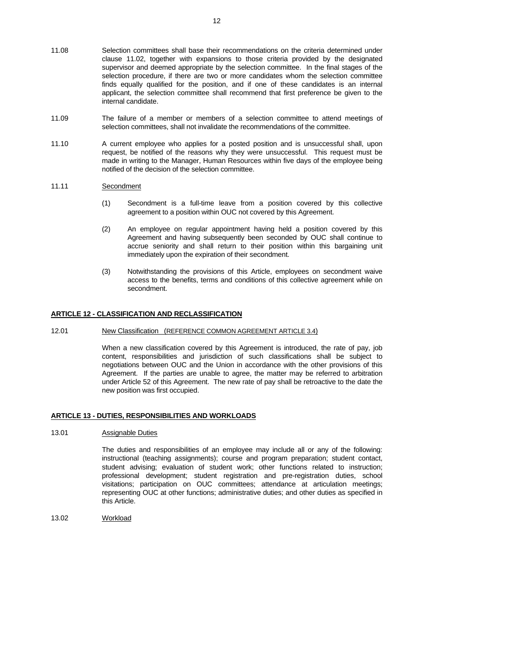- 11.09 The failure of a member or members of a selection committee to attend meetings of selection committees, shall not invalidate the recommendations of the committee.
- 11.10 A current employee who applies for a posted position and is unsuccessful shall, upon request, be notified of the reasons why they were unsuccessful. This request must be made in writing to the Manager, Human Resources within five days of the employee being notified of the decision of the selection committee.

## 11.11 Secondment

- (1) Secondment is a full-time leave from a position covered by this collective agreement to a position within OUC not covered by this Agreement.
- (2) An employee on regular appointment having held a position covered by this Agreement and having subsequently been seconded by OUC shall continue to accrue seniority and shall return to their position within this bargaining unit immediately upon the expiration of their secondment.
- (3) Notwithstanding the provisions of this Article, employees on secondment waive access to the benefits, terms and conditions of this collective agreement while on secondment.

#### **ARTICLE 12 - CLASSIFICATION AND RECLASSIFICATION**

### 12.01 New Classification (REFERENCE COMMON AGREEMENT ARTICLE 3.4)

 When a new classification covered by this Agreement is introduced, the rate of pay, job content, responsibilities and jurisdiction of such classifications shall be subject to negotiations between OUC and the Union in accordance with the other provisions of this Agreement. If the parties are unable to agree, the matter may be referred to arbitration under Article 52 of this Agreement. The new rate of pay shall be retroactive to the date the new position was first occupied.

## **ARTICLE 13 - DUTIES, RESPONSIBILITIES AND WORKLOADS**

#### 13.01 Assignable Duties

The duties and responsibilities of an employee may include all or any of the following: instructional (teaching assignments); course and program preparation; student contact, student advising; evaluation of student work; other functions related to instruction; professional development; student registration and pre-registration duties, school visitations; participation on OUC committees; attendance at articulation meetings; representing OUC at other functions; administrative duties; and other duties as specified in this Article.

13.02 Workload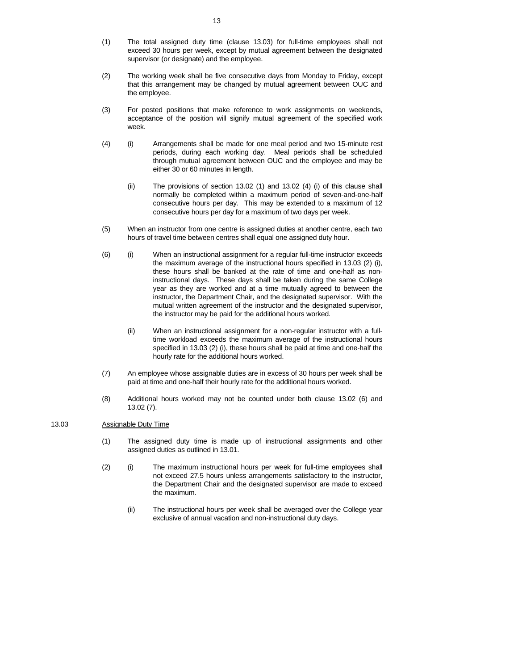- (1) The total assigned duty time (clause 13.03) for full-time employees shall not exceed 30 hours per week, except by mutual agreement between the designated supervisor (or designate) and the employee.
- (2) The working week shall be five consecutive days from Monday to Friday, except that this arrangement may be changed by mutual agreement between OUC and the employee.
- (3) For posted positions that make reference to work assignments on weekends, acceptance of the position will signify mutual agreement of the specified work week.
- (4) (i) Arrangements shall be made for one meal period and two 15-minute rest periods, during each working day. Meal periods shall be scheduled through mutual agreement between OUC and the employee and may be either 30 or 60 minutes in length.
	- (ii) The provisions of section 13.02 (1) and 13.02 (4) (i) of this clause shall normally be completed within a maximum period of seven-and-one-half consecutive hours per day. This may be extended to a maximum of 12 consecutive hours per day for a maximum of two days per week.
- (5) When an instructor from one centre is assigned duties at another centre, each two hours of travel time between centres shall equal one assigned duty hour.
- (6) (i) When an instructional assignment for a regular full-time instructor exceeds the maximum average of the instructional hours specified in 13.03 (2) (i), these hours shall be banked at the rate of time and one-half as noninstructional days. These days shall be taken during the same College year as they are worked and at a time mutually agreed to between the instructor, the Department Chair, and the designated supervisor. With the mutual written agreement of the instructor and the designated supervisor, the instructor may be paid for the additional hours worked.
	- (ii) When an instructional assignment for a non-regular instructor with a fulltime workload exceeds the maximum average of the instructional hours specified in 13.03 (2) (i), these hours shall be paid at time and one-half the hourly rate for the additional hours worked.
- (7) An employee whose assignable duties are in excess of 30 hours per week shall be paid at time and one-half their hourly rate for the additional hours worked.
- (8) Additional hours worked may not be counted under both clause 13.02 (6) and 13.02 (7).

#### 13.03 Assignable Duty Time

- (1) The assigned duty time is made up of instructional assignments and other assigned duties as outlined in 13.01.
- (2) (i) The maximum instructional hours per week for full-time employees shall not exceed 27.5 hours unless arrangements satisfactory to the instructor, the Department Chair and the designated supervisor are made to exceed the maximum.
	- (ii) The instructional hours per week shall be averaged over the College year exclusive of annual vacation and non-instructional duty days.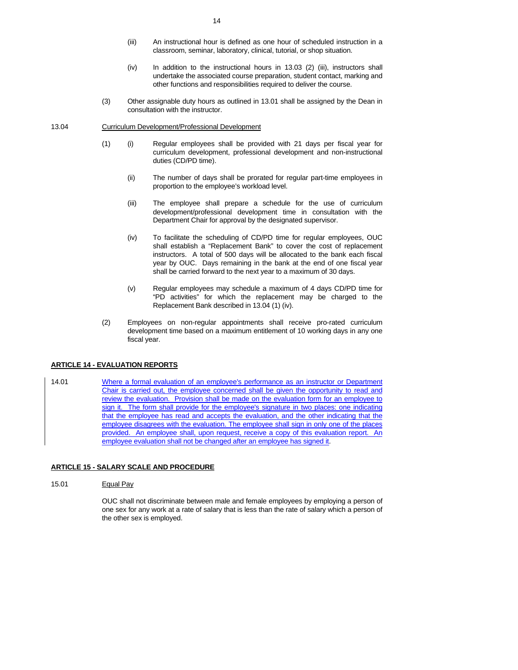- (iii) An instructional hour is defined as one hour of scheduled instruction in a classroom, seminar, laboratory, clinical, tutorial, or shop situation.
- (iv) In addition to the instructional hours in 13.03 (2) (iii), instructors shall undertake the associated course preparation, student contact, marking and other functions and responsibilities required to deliver the course.
- (3) Other assignable duty hours as outlined in 13.01 shall be assigned by the Dean in consultation with the instructor.

#### 13.04 Curriculum Development/Professional Development

- (1) (i) Regular employees shall be provided with 21 days per fiscal year for curriculum development, professional development and non-instructional duties (CD/PD time).
	- (ii) The number of days shall be prorated for regular part-time employees in proportion to the employee's workload level.
	- (iii) The employee shall prepare a schedule for the use of curriculum development/professional development time in consultation with the Department Chair for approval by the designated supervisor.
	- (iv) To facilitate the scheduling of CD/PD time for regular employees, OUC shall establish a "Replacement Bank" to cover the cost of replacement instructors. A total of 500 days will be allocated to the bank each fiscal year by OUC. Days remaining in the bank at the end of one fiscal year shall be carried forward to the next year to a maximum of 30 days.
	- (v) Regular employees may schedule a maximum of 4 days CD/PD time for "PD activities" for which the replacement may be charged to the Replacement Bank described in 13.04 (1) (iv).
- (2) Employees on non-regular appointments shall receive pro-rated curriculum development time based on a maximum entitlement of 10 working days in any one fiscal year.

## **ARTICLE 14 - EVALUATION REPORTS**

14.01 Where a formal evaluation of an employee's performance as an instructor or Department Chair is carried out, the employee concerned shall be given the opportunity to read and review the evaluation. Provision shall be made on the evaluation form for an employee to sign it. The form shall provide for the employee's signature in two places: one indicating that the employee has read and accepts the evaluation, and the other indicating that the employee disagrees with the evaluation. The employee shall sign in only one of the places provided. An employee shall, upon request, receive a copy of this evaluation report. An employee evaluation shall not be changed after an employee has signed it.

#### **ARTICLE 15 - SALARY SCALE AND PROCEDURE**

#### 15.01 Equal Pay

 OUC shall not discriminate between male and female employees by employing a person of one sex for any work at a rate of salary that is less than the rate of salary which a person of the other sex is employed.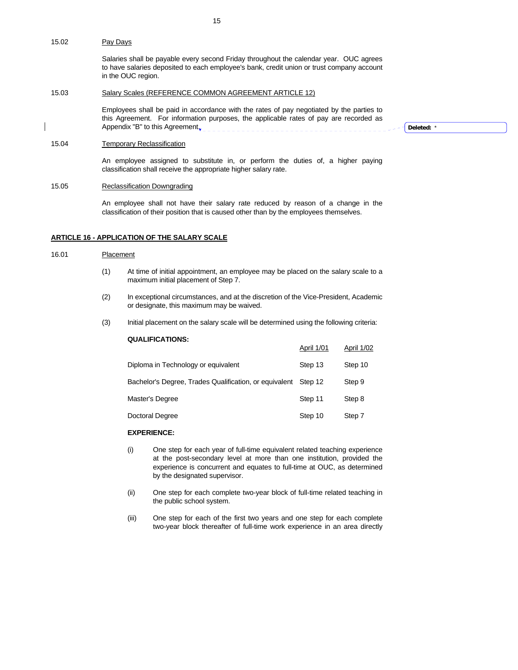Salaries shall be payable every second Friday throughout the calendar year. OUC agrees to have salaries deposited to each employee's bank, credit union or trust company account in the OUC region.

## 15.03 Salary Scales (REFERENCE COMMON AGREEMENT ARTICLE 12)

 Employees shall be paid in accordance with the rates of pay negotiated by the parties to this Agreement. For information purposes, the applicable rates of pay are recorded as Appendix "B" to this Agreement<sub>y</sub>

**Deleted:** \*

#### 15.04 Temporary Reclassification

 An employee assigned to substitute in, or perform the duties of, a higher paying classification shall receive the appropriate higher salary rate.

## 15.05 Reclassification Downgrading

 An employee shall not have their salary rate reduced by reason of a change in the classification of their position that is caused other than by the employees themselves.

## **ARTICLE 16 - APPLICATION OF THE SALARY SCALE**

#### 16.01 Placement

- (1) At time of initial appointment, an employee may be placed on the salary scale to a maximum initial placement of Step 7.
- (2) In exceptional circumstances, and at the discretion of the Vice-President, Academic or designate, this maximum may be waived.
- (3) Initial placement on the salary scale will be determined using the following criteria:

## **QUALIFICATIONS:**

|                                                                | April 1/01 | April 1/02 |
|----------------------------------------------------------------|------------|------------|
| Diploma in Technology or equivalent                            | Step 13    | Step 10    |
| Bachelor's Degree, Trades Qualification, or equivalent Step 12 |            | Step 9     |
| Master's Degree                                                | Step 11    | Step 8     |
| Doctoral Degree                                                | Step 10    | Step 7     |

#### **EXPERIENCE:**

- (i) One step for each year of full-time equivalent related teaching experience at the post-secondary level at more than one institution, provided the experience is concurrent and equates to full-time at OUC, as determined by the designated supervisor.
- (ii) One step for each complete two-year block of full-time related teaching in the public school system.
- (iii) One step for each of the first two years and one step for each complete two-year block thereafter of full-time work experience in an area directly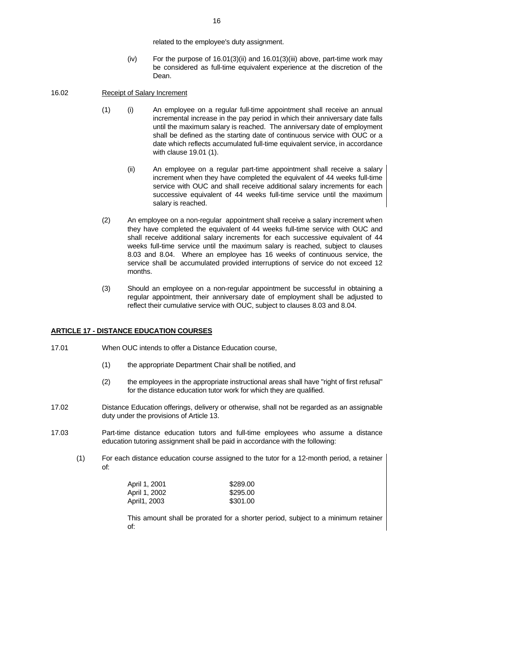related to the employee's duty assignment.

(iv) For the purpose of  $16.01(3)$ (ii) and  $16.01(3)$ (iii) above, part-time work may be considered as full-time equivalent experience at the discretion of the Dean.

## 16.02 Receipt of Salary Increment

- (1) (i) An employee on a regular full-time appointment shall receive an annual incremental increase in the pay period in which their anniversary date falls until the maximum salary is reached. The anniversary date of employment shall be defined as the starting date of continuous service with OUC or a date which reflects accumulated full-time equivalent service, in accordance with clause 19.01 (1).
	- (ii) An employee on a regular part-time appointment shall receive a salary increment when they have completed the equivalent of 44 weeks full-time service with OUC and shall receive additional salary increments for each successive equivalent of 44 weeks full-time service until the maximum salary is reached.
- (2) An employee on a non-regular appointment shall receive a salary increment when they have completed the equivalent of 44 weeks full-time service with OUC and shall receive additional salary increments for each successive equivalent of 44 weeks full-time service until the maximum salary is reached, subject to clauses 8.03 and 8.04. Where an employee has 16 weeks of continuous service, the service shall be accumulated provided interruptions of service do not exceed 12 months.
- (3) Should an employee on a non-regular appointment be successful in obtaining a regular appointment, their anniversary date of employment shall be adjusted to reflect their cumulative service with OUC, subject to clauses 8.03 and 8.04.

## **ARTICLE 17 - DISTANCE EDUCATION COURSES**

- 17.01 When OUC intends to offer a Distance Education course,
	- (1) the appropriate Department Chair shall be notified, and
	- (2) the employees in the appropriate instructional areas shall have "right of first refusal" for the distance education tutor work for which they are qualified.
- 17.02 Distance Education offerings, delivery or otherwise, shall not be regarded as an assignable duty under the provisions of Article 13.
- 17.03 Part-time distance education tutors and full-time employees who assume a distance education tutoring assignment shall be paid in accordance with the following:
	- (1) For each distance education course assigned to the tutor for a 12-month period, a retainer of:

| April 1, 2001 | \$289.00 |
|---------------|----------|
| April 1, 2002 | \$295.00 |
| April1, 2003  | \$301.00 |

 This amount shall be prorated for a shorter period, subject to a minimum retainer of: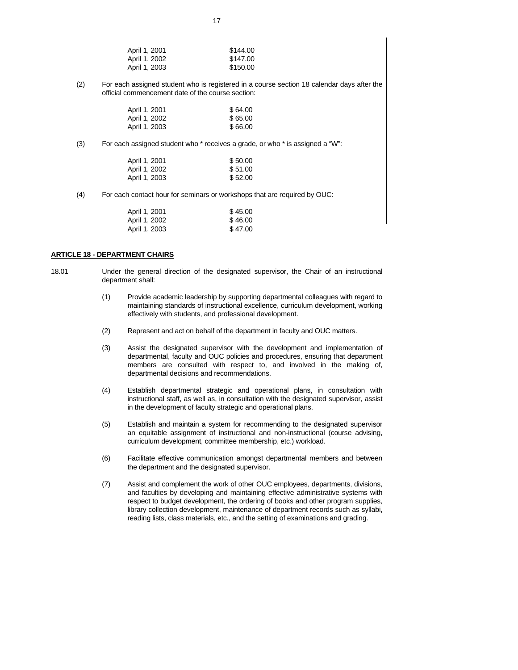| April 1, 2001 | \$144.00 |
|---------------|----------|
| April 1, 2002 | \$147.00 |
| April 1, 2003 | \$150.00 |

(2) For each assigned student who is registered in a course section 18 calendar days after the official commencement date of the course section:

| April 1, 2001 | \$64.00 |
|---------------|---------|
| April 1, 2002 | \$65.00 |
| April 1, 2003 | \$66.00 |

(3) For each assigned student who \* receives a grade, or who \* is assigned a "W":

| April 1, 2001 | \$50.00 |
|---------------|---------|
| April 1, 2002 | \$51.00 |
| April 1, 2003 | \$52.00 |

(4) For each contact hour for seminars or workshops that are required by OUC:

| April 1, 2001 | \$45.00 |
|---------------|---------|
| April 1, 2002 | \$46.00 |
| April 1, 2003 | \$47.00 |

#### **ARTICLE 18 - DEPARTMENT CHAIRS**

- 18.01 Under the general direction of the designated supervisor, the Chair of an instructional department shall:
	- (1) Provide academic leadership by supporting departmental colleagues with regard to maintaining standards of instructional excellence, curriculum development, working effectively with students, and professional development.
	- (2) Represent and act on behalf of the department in faculty and OUC matters.
	- (3) Assist the designated supervisor with the development and implementation of departmental, faculty and OUC policies and procedures, ensuring that department members are consulted with respect to, and involved in the making of, departmental decisions and recommendations.
	- (4) Establish departmental strategic and operational plans, in consultation with instructional staff, as well as, in consultation with the designated supervisor, assist in the development of faculty strategic and operational plans.
	- (5) Establish and maintain a system for recommending to the designated supervisor an equitable assignment of instructional and non-instructional (course advising, curriculum development, committee membership, etc.) workload.
	- (6) Facilitate effective communication amongst departmental members and between the department and the designated supervisor.
	- (7) Assist and complement the work of other OUC employees, departments, divisions, and faculties by developing and maintaining effective administrative systems with respect to budget development, the ordering of books and other program supplies, library collection development, maintenance of department records such as syllabi, reading lists, class materials, etc., and the setting of examinations and grading.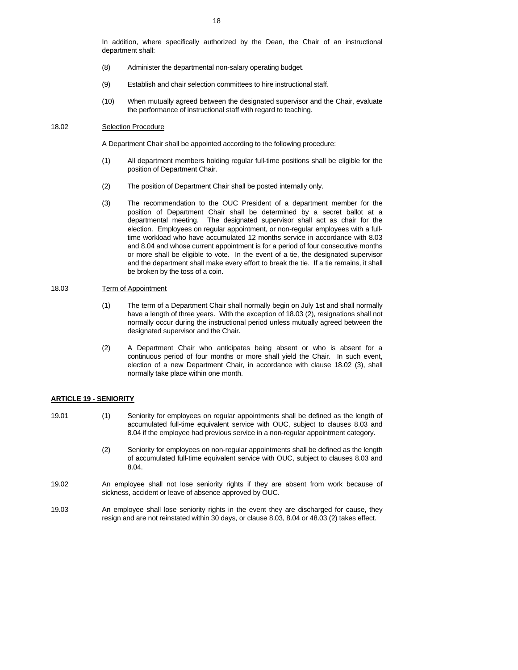In addition, where specifically authorized by the Dean, the Chair of an instructional department shall:

- (8) Administer the departmental non-salary operating budget.
- (9) Establish and chair selection committees to hire instructional staff.
- (10) When mutually agreed between the designated supervisor and the Chair, evaluate the performance of instructional staff with regard to teaching.

#### 18.02 Selection Procedure

A Department Chair shall be appointed according to the following procedure:

- (1) All department members holding regular full-time positions shall be eligible for the position of Department Chair.
- (2) The position of Department Chair shall be posted internally only.
- (3) The recommendation to the OUC President of a department member for the position of Department Chair shall be determined by a secret ballot at a departmental meeting. The designated supervisor shall act as chair for the election. Employees on regular appointment, or non-regular employees with a fulltime workload who have accumulated 12 months service in accordance with 8.03 and 8.04 and whose current appointment is for a period of four consecutive months or more shall be eligible to vote. In the event of a tie, the designated supervisor and the department shall make every effort to break the tie. If a tie remains, it shall be broken by the toss of a coin.

#### 18.03 Term of Appointment

- (1) The term of a Department Chair shall normally begin on July 1st and shall normally have a length of three years. With the exception of 18.03 (2), resignations shall not normally occur during the instructional period unless mutually agreed between the designated supervisor and the Chair.
- (2) A Department Chair who anticipates being absent or who is absent for a continuous period of four months or more shall yield the Chair. In such event, election of a new Department Chair, in accordance with clause 18.02 (3), shall normally take place within one month.

#### **ARTICLE 19 - SENIORITY**

- 19.01 (1) Seniority for employees on regular appointments shall be defined as the length of accumulated full-time equivalent service with OUC, subject to clauses 8.03 and 8.04 if the employee had previous service in a non-regular appointment category.
	- (2) Seniority for employees on non-regular appointments shall be defined as the length of accumulated full-time equivalent service with OUC, subject to clauses 8.03 and 8.04.
- 19.02 An employee shall not lose seniority rights if they are absent from work because of sickness, accident or leave of absence approved by OUC.
- 19.03 An employee shall lose seniority rights in the event they are discharged for cause, they resign and are not reinstated within 30 days, or clause 8.03, 8.04 or 48.03 (2) takes effect.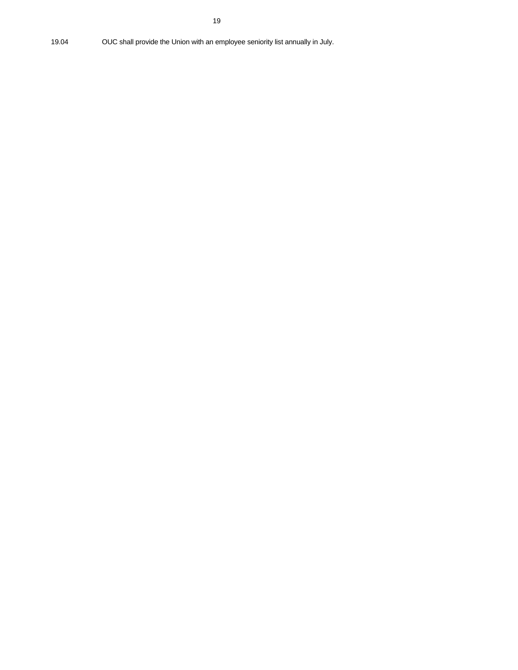19.04 OUC shall provide the Union with an employee seniority list annually in July.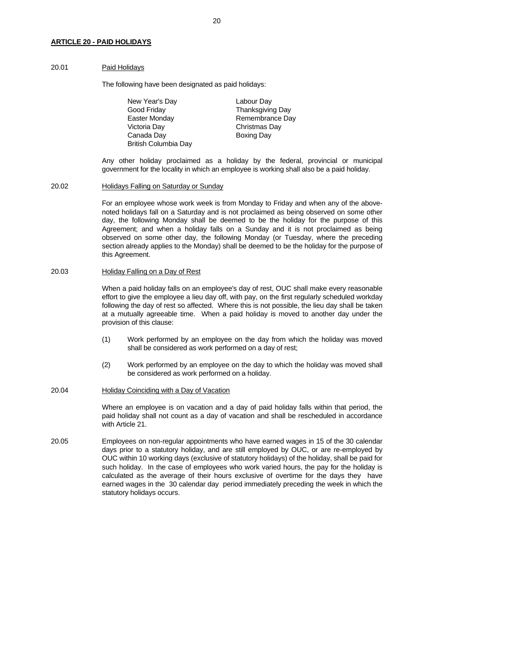#### 20.01 Paid Holidays

The following have been designated as paid holidays:

New Year's Day **Labour Day** Good Friday **Thanksgiving Day** Easter Monday **Remembrance Day**  Victoria Day Christmas Day Canada Day **Boxing Day** British Columbia Day

 Any other holiday proclaimed as a holiday by the federal, provincial or municipal government for the locality in which an employee is working shall also be a paid holiday.

## 20.02 Holidays Falling on Saturday or Sunday

 For an employee whose work week is from Monday to Friday and when any of the abovenoted holidays fall on a Saturday and is not proclaimed as being observed on some other day, the following Monday shall be deemed to be the holiday for the purpose of this Agreement; and when a holiday falls on a Sunday and it is not proclaimed as being observed on some other day, the following Monday (or Tuesday, where the preceding section already applies to the Monday) shall be deemed to be the holiday for the purpose of this Agreement.

#### 20.03 Holiday Falling on a Day of Rest

 When a paid holiday falls on an employee's day of rest, OUC shall make every reasonable effort to give the employee a lieu day off, with pay, on the first regularly scheduled workday following the day of rest so affected. Where this is not possible, the lieu day shall be taken at a mutually agreeable time. When a paid holiday is moved to another day under the provision of this clause:

- (1) Work performed by an employee on the day from which the holiday was moved shall be considered as work performed on a day of rest;
- (2) Work performed by an employee on the day to which the holiday was moved shall be considered as work performed on a holiday.

#### 20.04 Holiday Coinciding with a Day of Vacation

 Where an employee is on vacation and a day of paid holiday falls within that period, the paid holiday shall not count as a day of vacation and shall be rescheduled in accordance with Article 21.

20.05 Employees on non-regular appointments who have earned wages in 15 of the 30 calendar days prior to a statutory holiday, and are still employed by OUC, or are re-employed by OUC within 10 working days (exclusive of statutory holidays) of the holiday, shall be paid for such holiday. In the case of employees who work varied hours, the pay for the holiday is calculated as the average of their hours exclusive of overtime for the days they have earned wages in the 30 calendar day period immediately preceding the week in which the statutory holidays occurs.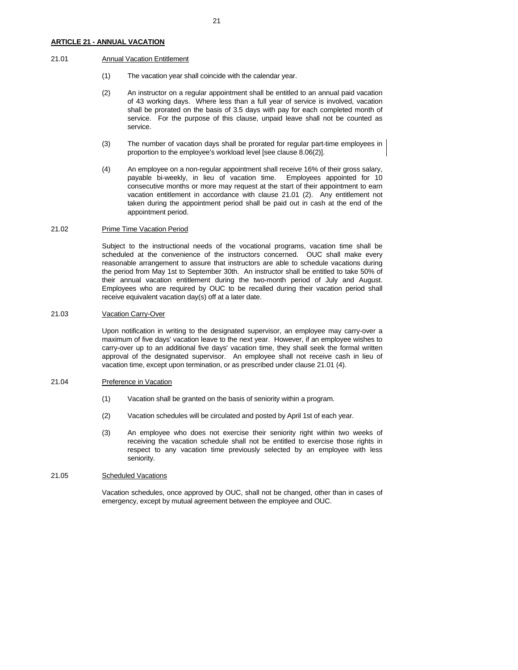#### 21.01 Annual Vacation Entitlement

- (1) The vacation year shall coincide with the calendar year.
- (2) An instructor on a regular appointment shall be entitled to an annual paid vacation of 43 working days. Where less than a full year of service is involved, vacation shall be prorated on the basis of 3.5 days with pay for each completed month of service. For the purpose of this clause, unpaid leave shall not be counted as service.
- (3) The number of vacation days shall be prorated for regular part-time employees in proportion to the employee's workload level [see clause 8.06(2)].
- (4) An employee on a non-regular appointment shall receive 16% of their gross salary, payable bi-weekly, in lieu of vacation time. Employees appointed for 10 consecutive months or more may request at the start of their appointment to earn vacation entitlement in accordance with clause 21.01 (2). Any entitlement not taken during the appointment period shall be paid out in cash at the end of the appointment period.

## 21.02 Prime Time Vacation Period

 Subject to the instructional needs of the vocational programs, vacation time shall be scheduled at the convenience of the instructors concerned. OUC shall make every reasonable arrangement to assure that instructors are able to schedule vacations during the period from May 1st to September 30th. An instructor shall be entitled to take 50% of their annual vacation entitlement during the two-month period of July and August. Employees who are required by OUC to be recalled during their vacation period shall receive equivalent vacation day(s) off at a later date.

#### 21.03 Vacation Carry-Over

 Upon notification in writing to the designated supervisor, an employee may carry-over a maximum of five days' vacation leave to the next year. However, if an employee wishes to carry-over up to an additional five days' vacation time, they shall seek the formal written approval of the designated supervisor. An employee shall not receive cash in lieu of vacation time, except upon termination, or as prescribed under clause 21.01 (4).

#### 21.04 Preference in Vacation

- (1) Vacation shall be granted on the basis of seniority within a program.
- (2) Vacation schedules will be circulated and posted by April 1st of each year.
- (3) An employee who does not exercise their seniority right within two weeks of receiving the vacation schedule shall not be entitled to exercise those rights in respect to any vacation time previously selected by an employee with less seniority.

#### 21.05 Scheduled Vacations

 Vacation schedules, once approved by OUC, shall not be changed, other than in cases of emergency, except by mutual agreement between the employee and OUC.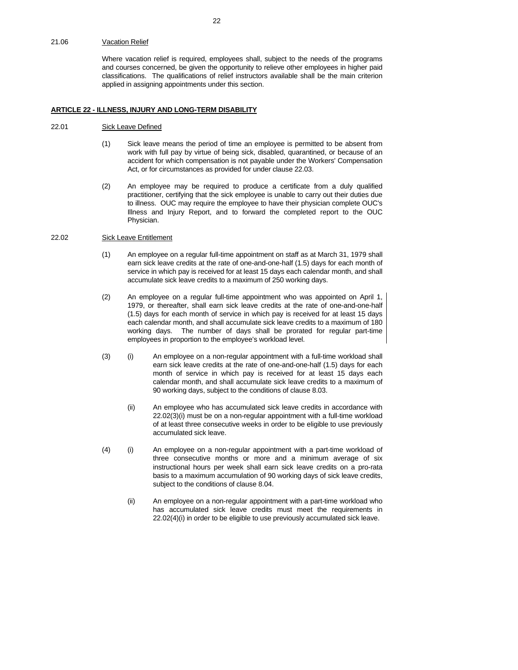#### 21.06 Vacation Relief

 Where vacation relief is required, employees shall, subject to the needs of the programs and courses concerned, be given the opportunity to relieve other employees in higher paid classifications. The qualifications of relief instructors available shall be the main criterion applied in assigning appointments under this section.

#### **ARTICLE 22 - ILLNESS, INJURY AND LONG-TERM DISABILITY**

#### 22.01 Sick Leave Defined

- (1) Sick leave means the period of time an employee is permitted to be absent from work with full pay by virtue of being sick, disabled, quarantined, or because of an accident for which compensation is not payable under the Workers' Compensation Act, or for circumstances as provided for under clause 22.03.
- (2) An employee may be required to produce a certificate from a duly qualified practitioner, certifying that the sick employee is unable to carry out their duties due to illness. OUC may require the employee to have their physician complete OUC's Illness and Injury Report, and to forward the completed report to the OUC Physician.

## 22.02 Sick Leave Entitlement

- (1) An employee on a regular full-time appointment on staff as at March 31, 1979 shall earn sick leave credits at the rate of one-and-one-half (1.5) days for each month of service in which pay is received for at least 15 days each calendar month, and shall accumulate sick leave credits to a maximum of 250 working days.
- (2) An employee on a regular full-time appointment who was appointed on April 1, 1979, or thereafter, shall earn sick leave credits at the rate of one-and-one-half (1.5) days for each month of service in which pay is received for at least 15 days each calendar month, and shall accumulate sick leave credits to a maximum of 180 working days. The number of days shall be prorated for regular part-time employees in proportion to the employee's workload level.
- (3) (i) An employee on a non-regular appointment with a full-time workload shall earn sick leave credits at the rate of one-and-one-half (1.5) days for each month of service in which pay is received for at least 15 days each calendar month, and shall accumulate sick leave credits to a maximum of 90 working days, subject to the conditions of clause 8.03.
	- (ii) An employee who has accumulated sick leave credits in accordance with 22.02(3)(i) must be on a non-regular appointment with a full-time workload of at least three consecutive weeks in order to be eligible to use previously accumulated sick leave.
- (4) (i) An employee on a non-regular appointment with a part-time workload of three consecutive months or more and a minimum average of six instructional hours per week shall earn sick leave credits on a pro-rata basis to a maximum accumulation of 90 working days of sick leave credits, subject to the conditions of clause 8.04.
	- (ii) An employee on a non-regular appointment with a part-time workload who has accumulated sick leave credits must meet the requirements in 22.02(4)(i) in order to be eligible to use previously accumulated sick leave.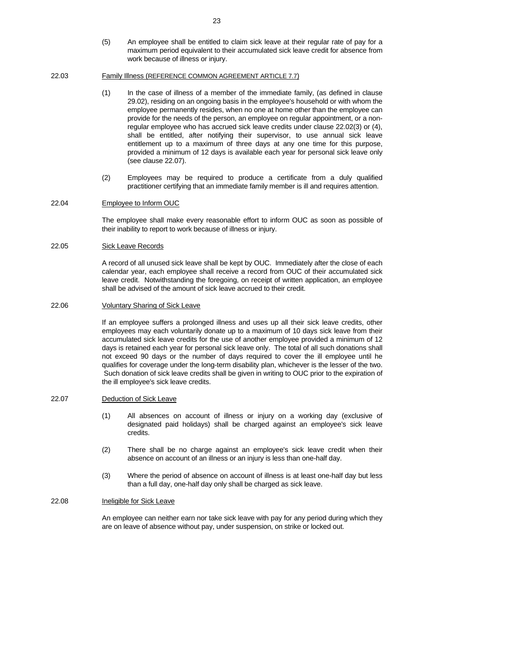(5) An employee shall be entitled to claim sick leave at their regular rate of pay for a maximum period equivalent to their accumulated sick leave credit for absence from work because of illness or injury.

#### 22.03 Family Illness (REFERENCE COMMON AGREEMENT ARTICLE 7.7)

- (1) In the case of illness of a member of the immediate family, (as defined in clause 29.02), residing on an ongoing basis in the employee's household or with whom the employee permanently resides, when no one at home other than the employee can provide for the needs of the person, an employee on regular appointment, or a nonregular employee who has accrued sick leave credits under clause 22.02(3) or (4), shall be entitled, after notifying their supervisor, to use annual sick leave entitlement up to a maximum of three days at any one time for this purpose, provided a minimum of 12 days is available each year for personal sick leave only (see clause 22.07).
- (2) Employees may be required to produce a certificate from a duly qualified practitioner certifying that an immediate family member is ill and requires attention.

#### 22.04 Employee to Inform OUC

 The employee shall make every reasonable effort to inform OUC as soon as possible of their inability to report to work because of illness or injury.

## 22.05 Sick Leave Records

 A record of all unused sick leave shall be kept by OUC. Immediately after the close of each calendar year, each employee shall receive a record from OUC of their accumulated sick leave credit. Notwithstanding the foregoing, on receipt of written application, an employee shall be advised of the amount of sick leave accrued to their credit.

#### 22.06 Voluntary Sharing of Sick Leave

 If an employee suffers a prolonged illness and uses up all their sick leave credits, other employees may each voluntarily donate up to a maximum of 10 days sick leave from their accumulated sick leave credits for the use of another employee provided a minimum of 12 days is retained each year for personal sick leave only. The total of all such donations shall not exceed 90 days or the number of days required to cover the ill employee until he qualifies for coverage under the long-term disability plan, whichever is the lesser of the two. Such donation of sick leave credits shall be given in writing to OUC prior to the expiration of the ill employee's sick leave credits.

## 22.07 Deduction of Sick Leave

- (1) All absences on account of illness or injury on a working day (exclusive of designated paid holidays) shall be charged against an employee's sick leave credits.
- (2) There shall be no charge against an employee's sick leave credit when their absence on account of an illness or an injury is less than one-half day.
- (3) Where the period of absence on account of illness is at least one-half day but less than a full day, one-half day only shall be charged as sick leave.

#### 22.08 Ineligible for Sick Leave

 An employee can neither earn nor take sick leave with pay for any period during which they are on leave of absence without pay, under suspension, on strike or locked out.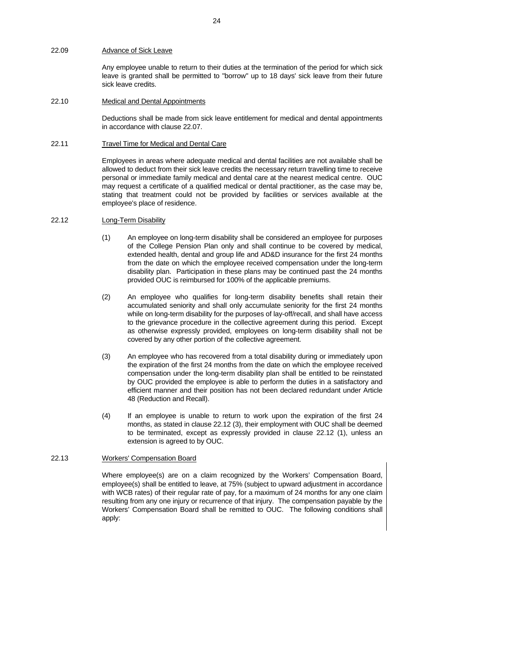## 22.09 Advance of Sick Leave

 Any employee unable to return to their duties at the termination of the period for which sick leave is granted shall be permitted to "borrow" up to 18 days' sick leave from their future sick leave credits.

## 22.10 Medical and Dental Appointments

 Deductions shall be made from sick leave entitlement for medical and dental appointments in accordance with clause 22.07.

#### 22.11 Travel Time for Medical and Dental Care

 Employees in areas where adequate medical and dental facilities are not available shall be allowed to deduct from their sick leave credits the necessary return travelling time to receive personal or immediate family medical and dental care at the nearest medical centre. OUC may request a certificate of a qualified medical or dental practitioner, as the case may be, stating that treatment could not be provided by facilities or services available at the employee's place of residence.

#### 22.12 Long-Term Disability

- (1) An employee on long-term disability shall be considered an employee for purposes of the College Pension Plan only and shall continue to be covered by medical, extended health, dental and group life and AD&D insurance for the first 24 months from the date on which the employee received compensation under the long-term disability plan. Participation in these plans may be continued past the 24 months provided OUC is reimbursed for 100% of the applicable premiums.
- (2) An employee who qualifies for long-term disability benefits shall retain their accumulated seniority and shall only accumulate seniority for the first 24 months while on long-term disability for the purposes of lay-off/recall, and shall have access to the grievance procedure in the collective agreement during this period. Except as otherwise expressly provided, employees on long-term disability shall not be covered by any other portion of the collective agreement.
- (3) An employee who has recovered from a total disability during or immediately upon the expiration of the first 24 months from the date on which the employee received compensation under the long-term disability plan shall be entitled to be reinstated by OUC provided the employee is able to perform the duties in a satisfactory and efficient manner and their position has not been declared redundant under Article 48 (Reduction and Recall).
- (4) If an employee is unable to return to work upon the expiration of the first 24 months, as stated in clause 22.12 (3), their employment with OUC shall be deemed to be terminated, except as expressly provided in clause 22.12 (1), unless an extension is agreed to by OUC.

#### 22.13 Workers' Compensation Board

 Where employee(s) are on a claim recognized by the Workers' Compensation Board, employee(s) shall be entitled to leave, at 75% (subject to upward adjustment in accordance with WCB rates) of their regular rate of pay, for a maximum of 24 months for any one claim resulting from any one injury or recurrence of that injury. The compensation payable by the Workers' Compensation Board shall be remitted to OUC. The following conditions shall apply: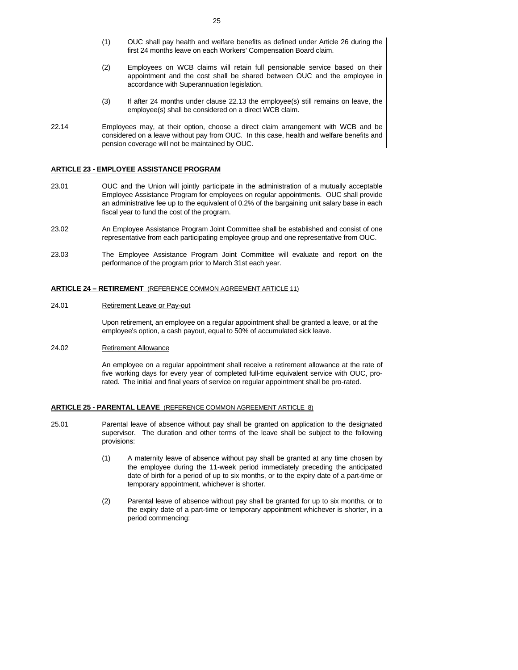- (1) OUC shall pay health and welfare benefits as defined under Article 26 during the first 24 months leave on each Workers' Compensation Board claim.
- (2) Employees on WCB claims will retain full pensionable service based on their appointment and the cost shall be shared between OUC and the employee in accordance with Superannuation legislation.
- (3) If after 24 months under clause 22.13 the employee(s) still remains on leave, the employee(s) shall be considered on a direct WCB claim.
- 22.14 Employees may, at their option, choose a direct claim arrangement with WCB and be considered on a leave without pay from OUC. In this case, health and welfare benefits and pension coverage will not be maintained by OUC.

#### **ARTICLE 23 - EMPLOYEE ASSISTANCE PROGRAM**

- 23.01 OUC and the Union will jointly participate in the administration of a mutually acceptable Employee Assistance Program for employees on regular appointments. OUC shall provide an administrative fee up to the equivalent of 0.2% of the bargaining unit salary base in each fiscal year to fund the cost of the program.
- 23.02 An Employee Assistance Program Joint Committee shall be established and consist of one representative from each participating employee group and one representative from OUC.
- 23.03 The Employee Assistance Program Joint Committee will evaluate and report on the performance of the program prior to March 31st each year.

#### **ARTICLE 24 – RETIREMENT** (REFERENCE COMMON AGREEMENT ARTICLE 11)

#### 24.01 Retirement Leave or Pay-out

 Upon retirement, an employee on a regular appointment shall be granted a leave, or at the employee's option, a cash payout, equal to 50% of accumulated sick leave.

#### 24.02 Retirement Allowance

 An employee on a regular appointment shall receive a retirement allowance at the rate of five working days for every year of completed full-time equivalent service with OUC, prorated. The initial and final years of service on regular appointment shall be pro-rated.

#### **ARTICLE 25 - PARENTAL LEAVE** (REFERENCE COMMON AGREEMENT ARTICLE 8)

- 25.01 Parental leave of absence without pay shall be granted on application to the designated supervisor. The duration and other terms of the leave shall be subject to the following provisions:
	- (1) A maternity leave of absence without pay shall be granted at any time chosen by the employee during the 11-week period immediately preceding the anticipated date of birth for a period of up to six months, or to the expiry date of a part-time or temporary appointment, whichever is shorter.
	- (2) Parental leave of absence without pay shall be granted for up to six months, or to the expiry date of a part-time or temporary appointment whichever is shorter, in a period commencing: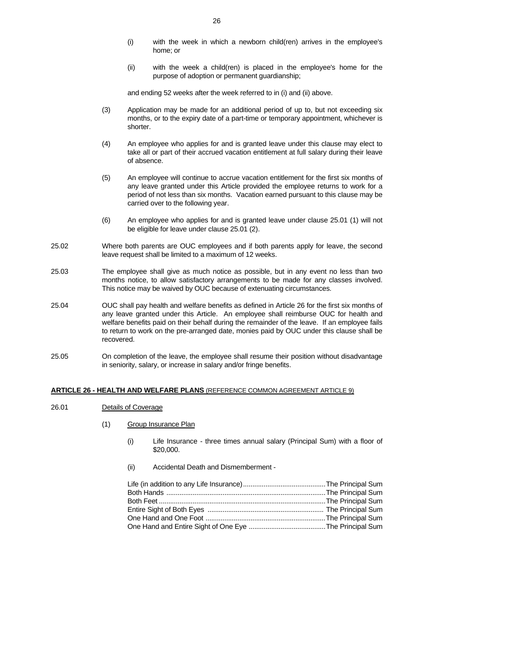- (i) with the week in which a newborn child(ren) arrives in the employee's home; or
- (ii) with the week a child(ren) is placed in the employee's home for the purpose of adoption or permanent guardianship;

and ending 52 weeks after the week referred to in (i) and (ii) above.

- (3) Application may be made for an additional period of up to, but not exceeding six months, or to the expiry date of a part-time or temporary appointment, whichever is shorter.
- (4) An employee who applies for and is granted leave under this clause may elect to take all or part of their accrued vacation entitlement at full salary during their leave of absence.
- (5) An employee will continue to accrue vacation entitlement for the first six months of any leave granted under this Article provided the employee returns to work for a period of not less than six months. Vacation earned pursuant to this clause may be carried over to the following year.
- (6) An employee who applies for and is granted leave under clause 25.01 (1) will not be eligible for leave under clause 25.01 (2).
- 25.02 Where both parents are OUC employees and if both parents apply for leave, the second leave request shall be limited to a maximum of 12 weeks.
- 25.03 The employee shall give as much notice as possible, but in any event no less than two months notice, to allow satisfactory arrangements to be made for any classes involved. This notice may be waived by OUC because of extenuating circumstances.
- 25.04 OUC shall pay health and welfare benefits as defined in Article 26 for the first six months of any leave granted under this Article. An employee shall reimburse OUC for health and welfare benefits paid on their behalf during the remainder of the leave. If an employee fails to return to work on the pre-arranged date, monies paid by OUC under this clause shall be recovered.
- 25.05 On completion of the leave, the employee shall resume their position without disadvantage in seniority, salary, or increase in salary and/or fringe benefits.

#### **ARTICLE 26 - HEALTH AND WELFARE PLANS** (REFERENCE COMMON AGREEMENT ARTICLE 9)

- 26.01 Details of Coverage
	- (1) Group Insurance Plan
		- (i) Life Insurance three times annual salary (Principal Sum) with a floor of \$20,000.
		- (ii) Accidental Death and Dismemberment -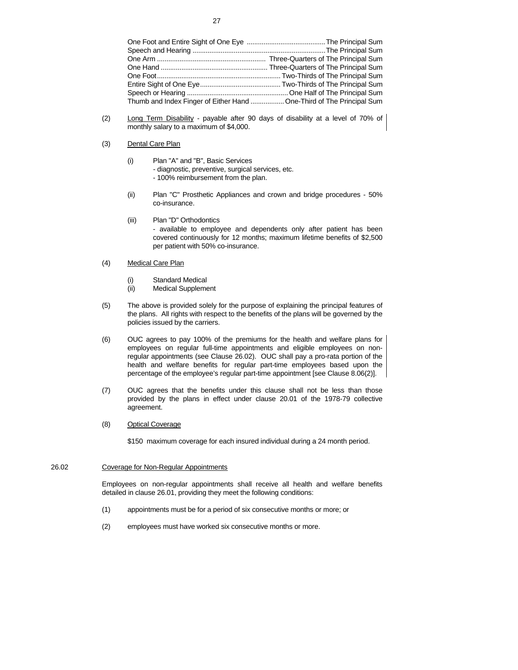| Thumb and Index Finger of Either Hand  One-Third of The Principal Sum |
|-----------------------------------------------------------------------|

- (2) Long Term Disability payable after 90 days of disability at a level of 70% of monthly salary to a maximum of \$4,000.
- (3) Dental Care Plan
	- (i) Plan "A" and "B", Basic Services
		- diagnostic, preventive, surgical services, etc.
		- 100% reimbursement from the plan.
	- (ii) Plan "C" Prosthetic Appliances and crown and bridge procedures 50% co-insurance.
	- (iii) Plan "D" Orthodontics

 - available to employee and dependents only after patient has been covered continuously for 12 months; maximum lifetime benefits of \$2,500 per patient with 50% co-insurance.

- (4) Medical Care Plan
	- (i) Standard Medical
	- (ii) Medical Supplement
- (5) The above is provided solely for the purpose of explaining the principal features of the plans. All rights with respect to the benefits of the plans will be governed by the policies issued by the carriers.
- (6) OUC agrees to pay 100% of the premiums for the health and welfare plans for employees on regular full-time appointments and eligible employees on nonregular appointments (see Clause 26.02). OUC shall pay a pro-rata portion of the health and welfare benefits for regular part-time employees based upon the percentage of the employee's regular part-time appointment [see Clause 8.06(2)].
- (7) OUC agrees that the benefits under this clause shall not be less than those provided by the plans in effect under clause 20.01 of the 1978-79 collective agreement.
- (8) Optical Coverage

\$150 maximum coverage for each insured individual during a 24 month period.

### 26.02 Coverage for Non-Regular Appointments

 Employees on non-regular appointments shall receive all health and welfare benefits detailed in clause 26.01, providing they meet the following conditions:

- (1) appointments must be for a period of six consecutive months or more; or
- (2) employees must have worked six consecutive months or more.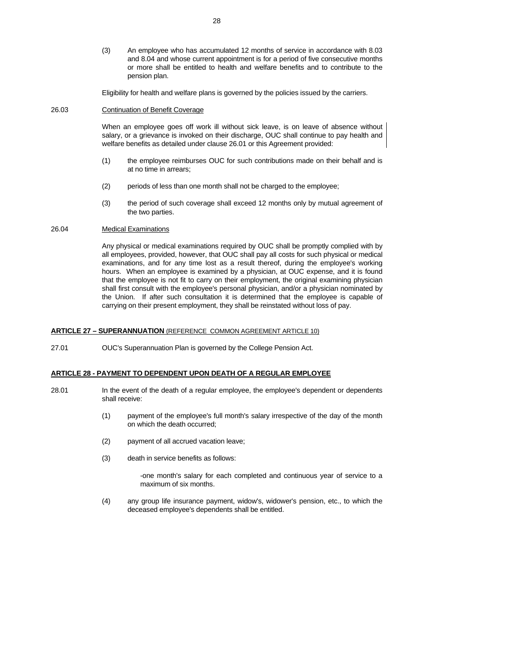(3) An employee who has accumulated 12 months of service in accordance with 8.03 and 8.04 and whose current appointment is for a period of five consecutive months or more shall be entitled to health and welfare benefits and to contribute to the pension plan.

Eligibility for health and welfare plans is governed by the policies issued by the carriers.

## 26.03 Continuation of Benefit Coverage

 When an employee goes off work ill without sick leave, is on leave of absence without salary, or a grievance is invoked on their discharge, OUC shall continue to pay health and welfare benefits as detailed under clause 26.01 or this Agreement provided:

- (1) the employee reimburses OUC for such contributions made on their behalf and is at no time in arrears;
- (2) periods of less than one month shall not be charged to the employee;
- (3) the period of such coverage shall exceed 12 months only by mutual agreement of the two parties.

## 26.04 Medical Examinations

 Any physical or medical examinations required by OUC shall be promptly complied with by all employees, provided, however, that OUC shall pay all costs for such physical or medical examinations, and for any time lost as a result thereof, during the employee's working hours. When an employee is examined by a physician, at OUC expense, and it is found that the employee is not fit to carry on their employment, the original examining physician shall first consult with the employee's personal physician, and/or a physician nominated by the Union. If after such consultation it is determined that the employee is capable of carrying on their present employment, they shall be reinstated without loss of pay.

#### **ARTICLE 27 – SUPERANNUATION** (REFERENCE COMMON AGREEMENT ARTICLE 10)

27.01 OUC's Superannuation Plan is governed by the College Pension Act.

## **ARTICLE 28 - PAYMENT TO DEPENDENT UPON DEATH OF A REGULAR EMPLOYEE**

- 28.01 In the event of the death of a regular employee, the employee's dependent or dependents shall receive:
	- (1) payment of the employee's full month's salary irrespective of the day of the month on which the death occurred;
	- (2) payment of all accrued vacation leave;
	- (3) death in service benefits as follows:

 -one month's salary for each completed and continuous year of service to a maximum of six months.

 (4) any group life insurance payment, widow's, widower's pension, etc., to which the deceased employee's dependents shall be entitled.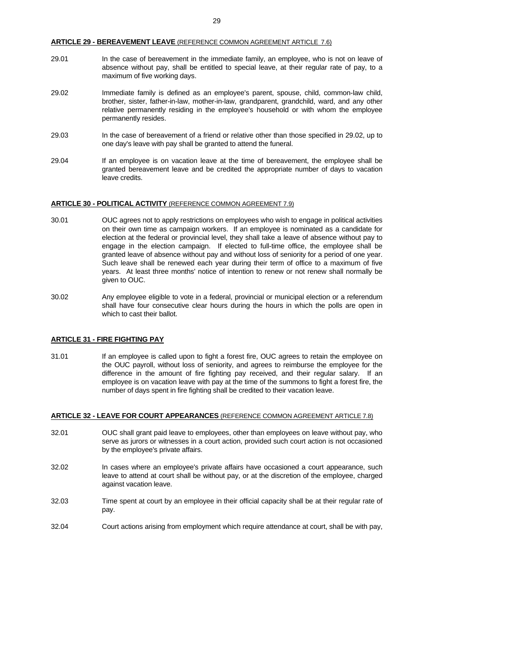#### **ARTICLE 29 - BEREAVEMENT LEAVE** (REFERENCE COMMON AGREEMENT ARTICLE 7.6)

- 29.01 In the case of bereavement in the immediate family, an employee, who is not on leave of absence without pay, shall be entitled to special leave, at their regular rate of pay, to a maximum of five working days.
- 29.02 Immediate family is defined as an employee's parent, spouse, child, common-law child, brother, sister, father-in-law, mother-in-law, grandparent, grandchild, ward, and any other relative permanently residing in the employee's household or with whom the employee permanently resides.
- 29.03 In the case of bereavement of a friend or relative other than those specified in 29.02, up to one day's leave with pay shall be granted to attend the funeral.
- 29.04 If an employee is on vacation leave at the time of bereavement, the employee shall be granted bereavement leave and be credited the appropriate number of days to vacation leave credits.

#### **ARTICLE 30 - POLITICAL ACTIVITY** (REFERENCE COMMON AGREEMENT 7.9)

- 30.01 OUC agrees not to apply restrictions on employees who wish to engage in political activities on their own time as campaign workers. If an employee is nominated as a candidate for election at the federal or provincial level, they shall take a leave of absence without pay to engage in the election campaign. If elected to full-time office, the employee shall be granted leave of absence without pay and without loss of seniority for a period of one year. Such leave shall be renewed each year during their term of office to a maximum of five years. At least three months' notice of intention to renew or not renew shall normally be given to OUC.
- 30.02 Any employee eligible to vote in a federal, provincial or municipal election or a referendum shall have four consecutive clear hours during the hours in which the polls are open in which to cast their ballot.

#### **ARTICLE 31 - FIRE FIGHTING PAY**

31.01 If an employee is called upon to fight a forest fire, OUC agrees to retain the employee on the OUC payroll, without loss of seniority, and agrees to reimburse the employee for the difference in the amount of fire fighting pay received, and their regular salary. If an employee is on vacation leave with pay at the time of the summons to fight a forest fire, the number of days spent in fire fighting shall be credited to their vacation leave.

#### **ARTICLE 32 - LEAVE FOR COURT APPEARANCES** (REFERENCE COMMON AGREEMENT ARTICLE 7.8)

- 32.01 OUC shall grant paid leave to employees, other than employees on leave without pay, who serve as jurors or witnesses in a court action, provided such court action is not occasioned by the employee's private affairs.
- 32.02 In cases where an employee's private affairs have occasioned a court appearance, such leave to attend at court shall be without pay, or at the discretion of the employee, charged against vacation leave.
- 32.03 Time spent at court by an employee in their official capacity shall be at their regular rate of pay.
- 32.04 Court actions arising from employment which require attendance at court, shall be with pay,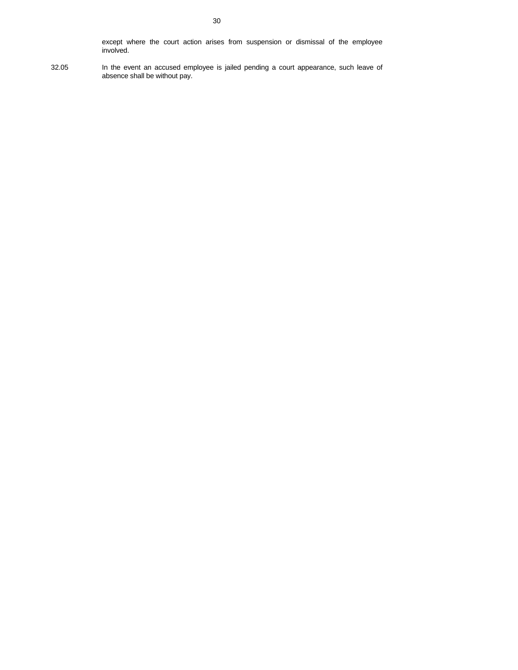except where the court action arises from suspension or dismissal of the employee involved.

32.05 In the event an accused employee is jailed pending a court appearance, such leave of absence shall be without pay.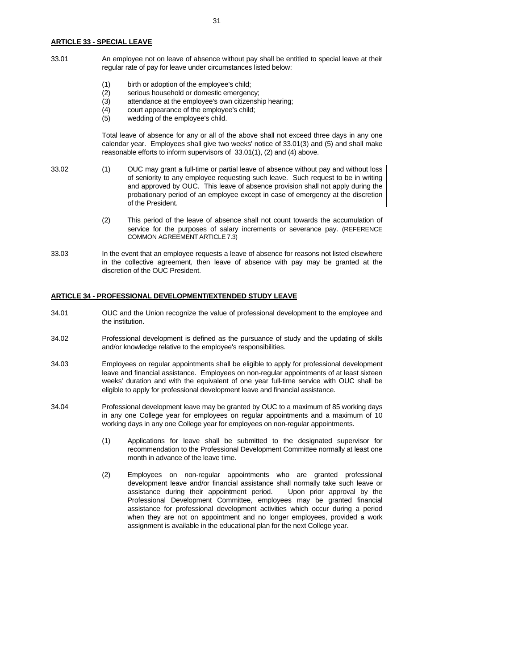#### **ARTICLE 33 - SPECIAL LEAVE**

33.01 An employee not on leave of absence without pay shall be entitled to special leave at their regular rate of pay for leave under circumstances listed below:

- (1) birth or adoption of the employee's child;
- (2) serious household or domestic emergency;
- (3) attendance at the employee's own citizenship hearing;
- (4) court appearance of the employee's child;
- (5) wedding of the employee's child.

 Total leave of absence for any or all of the above shall not exceed three days in any one calendar year. Employees shall give two weeks' notice of 33.01(3) and (5) and shall make reasonable efforts to inform supervisors of 33.01(1), (2) and (4) above.

33.02 (1) OUC may grant a full-time or partial leave of absence without pay and without loss of seniority to any employee requesting such leave. Such request to be in writing and approved by OUC. This leave of absence provision shall not apply during the probationary period of an employee except in case of emergency at the discretion of the President.

- (2) This period of the leave of absence shall not count towards the accumulation of service for the purposes of salary increments or severance pay. (REFERENCE COMMON AGREEMENT ARTICLE 7.3)
- 33.03 In the event that an employee requests a leave of absence for reasons not listed elsewhere in the collective agreement, then leave of absence with pay may be granted at the discretion of the OUC President.

#### **ARTICLE 34 - PROFESSIONAL DEVELOPMENT/EXTENDED STUDY LEAVE**

- 34.01 OUC and the Union recognize the value of professional development to the employee and the institution.
- 34.02 Professional development is defined as the pursuance of study and the updating of skills and/or knowledge relative to the employee's responsibilities.
- 34.03 Employees on regular appointments shall be eligible to apply for professional development leave and financial assistance. Employees on non-regular appointments of at least sixteen weeks' duration and with the equivalent of one year full-time service with OUC shall be eligible to apply for professional development leave and financial assistance.
- 34.04 Professional development leave may be granted by OUC to a maximum of 85 working days in any one College year for employees on regular appointments and a maximum of 10 working days in any one College year for employees on non-regular appointments.
	- (1) Applications for leave shall be submitted to the designated supervisor for recommendation to the Professional Development Committee normally at least one month in advance of the leave time.
	- (2) Employees on non-regular appointments who are granted professional development leave and/or financial assistance shall normally take such leave or assistance during their appointment period. Upon prior approval by the Professional Development Committee, employees may be granted financial assistance for professional development activities which occur during a period when they are not on appointment and no longer employees, provided a work assignment is available in the educational plan for the next College year.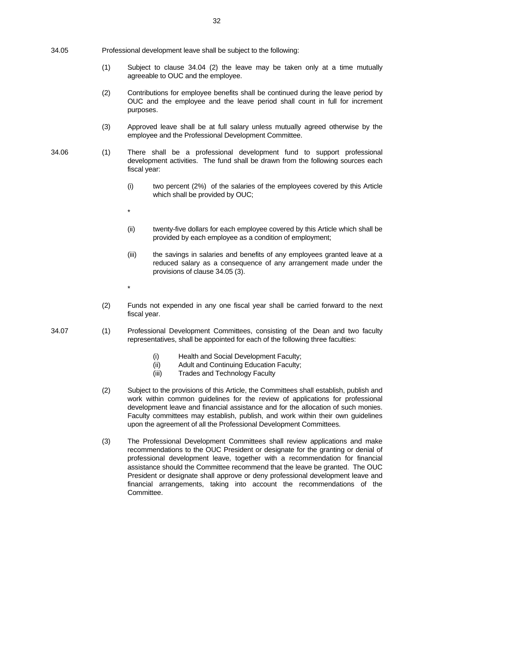- 34.05 Professional development leave shall be subject to the following:
	- (1) Subject to clause 34.04 (2) the leave may be taken only at a time mutually agreeable to OUC and the employee.
	- (2) Contributions for employee benefits shall be continued during the leave period by OUC and the employee and the leave period shall count in full for increment purposes.
	- (3) Approved leave shall be at full salary unless mutually agreed otherwise by the employee and the Professional Development Committee.
- 34.06 (1) There shall be a professional development fund to support professional development activities. The fund shall be drawn from the following sources each fiscal year:
	- (i) two percent (2%) of the salaries of the employees covered by this Article which shall be provided by OUC;
	- (ii) twenty-five dollars for each employee covered by this Article which shall be provided by each employee as a condition of employment;
	- (iii) the savings in salaries and benefits of any employees granted leave at a reduced salary as a consequence of any arrangement made under the provisions of clause 34.05 (3).
	- (2) Funds not expended in any one fiscal year shall be carried forward to the next fiscal year.
- 34.07 (1) Professional Development Committees, consisting of the Dean and two faculty representatives, shall be appointed for each of the following three faculties:
	- (i) Health and Social Development Faculty;
	- (ii) Adult and Continuing Education Faculty;
	- (iii) Trades and Technology Faculty
	- (2) Subject to the provisions of this Article, the Committees shall establish, publish and work within common guidelines for the review of applications for professional development leave and financial assistance and for the allocation of such monies. Faculty committees may establish, publish, and work within their own guidelines upon the agreement of all the Professional Development Committees.
	- (3) The Professional Development Committees shall review applications and make recommendations to the OUC President or designate for the granting or denial of professional development leave, together with a recommendation for financial assistance should the Committee recommend that the leave be granted. The OUC President or designate shall approve or deny professional development leave and financial arrangements, taking into account the recommendations of the Committee.

 $\star$ 

 $\star$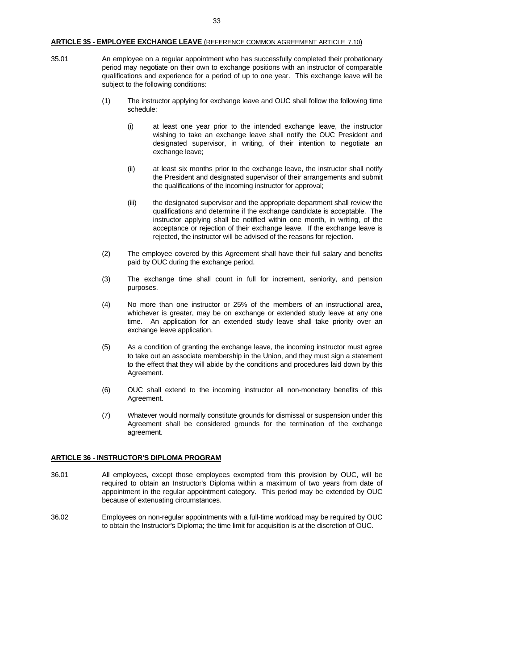# **ARTICLE 35 - EMPLOYEE EXCHANGE LEAVE** (REFERENCE COMMON AGREEMENT ARTICLE 7.10)

- 35.01 An employee on a regular appointment who has successfully completed their probationary period may negotiate on their own to exchange positions with an instructor of comparable qualifications and experience for a period of up to one year. This exchange leave will be subject to the following conditions:
	- (1) The instructor applying for exchange leave and OUC shall follow the following time schedule:
		- (i) at least one year prior to the intended exchange leave, the instructor wishing to take an exchange leave shall notify the OUC President and designated supervisor, in writing, of their intention to negotiate an exchange leave;
		- (ii) at least six months prior to the exchange leave, the instructor shall notify the President and designated supervisor of their arrangements and submit the qualifications of the incoming instructor for approval;
		- (iii) the designated supervisor and the appropriate department shall review the qualifications and determine if the exchange candidate is acceptable. The instructor applying shall be notified within one month, in writing, of the acceptance or rejection of their exchange leave. If the exchange leave is rejected, the instructor will be advised of the reasons for rejection.
	- (2) The employee covered by this Agreement shall have their full salary and benefits paid by OUC during the exchange period.
	- (3) The exchange time shall count in full for increment, seniority, and pension purposes.
	- (4) No more than one instructor or 25% of the members of an instructional area, whichever is greater, may be on exchange or extended study leave at any one time. An application for an extended study leave shall take priority over an exchange leave application.
	- (5) As a condition of granting the exchange leave, the incoming instructor must agree to take out an associate membership in the Union, and they must sign a statement to the effect that they will abide by the conditions and procedures laid down by this Agreement.
	- (6) OUC shall extend to the incoming instructor all non-monetary benefits of this Agreement.
	- (7) Whatever would normally constitute grounds for dismissal or suspension under this Agreement shall be considered grounds for the termination of the exchange agreement.

# **ARTICLE 36 - INSTRUCTOR'S DIPLOMA PROGRAM**

- 36.01 All employees, except those employees exempted from this provision by OUC, will be required to obtain an Instructor's Diploma within a maximum of two years from date of appointment in the regular appointment category. This period may be extended by OUC because of extenuating circumstances.
- 36.02 Employees on non-regular appointments with a full-time workload may be required by OUC to obtain the Instructor's Diploma; the time limit for acquisition is at the discretion of OUC.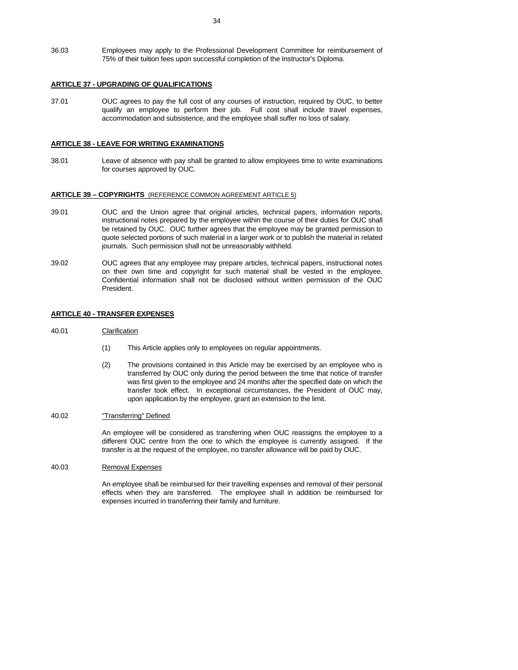36.03 Employees may apply to the Professional Development Committee for reimbursement of 75% of their tuition fees upon successful completion of the Instructor's Diploma.

# **ARTICLE 37 - UPGRADING OF QUALIFICATIONS**

37.01 OUC agrees to pay the full cost of any courses of instruction, required by OUC, to better qualify an employee to perform their job. Full cost shall include travel expenses, accommodation and subsistence, and the employee shall suffer no loss of salary.

#### **ARTICLE 38 - LEAVE FOR WRITING EXAMINATIONS**

38.01 Leave of absence with pay shall be granted to allow employees time to write examinations for courses approved by OUC.

#### **ARTICLE 39 – COPYRIGHTS** (REFERENCE COMMON AGREEMENT ARTICLE 5)

- 39.01 OUC and the Union agree that original articles, technical papers, information reports, instructional notes prepared by the employee within the course of their duties for OUC shall be retained by OUC. OUC further agrees that the employee may be granted permission to quote selected portions of such material in a larger work or to publish the material in related journals. Such permission shall not be unreasonably withheld.
- 39.02 OUC agrees that any employee may prepare articles, technical papers, instructional notes on their own time and copyright for such material shall be vested in the employee. Confidential information shall not be disclosed without written permission of the OUC President.

#### **ARTICLE 40 - TRANSFER EXPENSES**

#### 40.01 Clarification

- (1) This Article applies only to employees on regular appointments.
- (2) The provisions contained in this Article may be exercised by an employee who is transferred by OUC only during the period between the time that notice of transfer was first given to the employee and 24 months after the specified date on which the transfer took effect. In exceptional circumstances, the President of OUC may, upon application by the employee, grant an extension to the limit.

## 40.02 "Transferring" Defined

 An employee will be considered as transferring when OUC reassigns the employee to a different OUC centre from the one to which the employee is currently assigned. If the transfer is at the request of the employee, no transfer allowance will be paid by OUC.

40.03 Removal Expenses

 An employee shall be reimbursed for their travelling expenses and removal of their personal effects when they are transferred. The employee shall in addition be reimbursed for expenses incurred in transferring their family and furniture.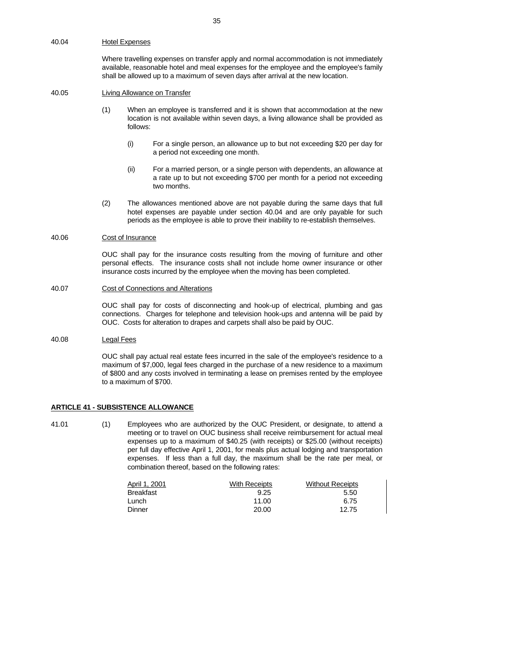#### 40.04 Hotel Expenses

 Where travelling expenses on transfer apply and normal accommodation is not immediately available, reasonable hotel and meal expenses for the employee and the employee's family shall be allowed up to a maximum of seven days after arrival at the new location.

# 40.05 Living Allowance on Transfer

- (1) When an employee is transferred and it is shown that accommodation at the new location is not available within seven days, a living allowance shall be provided as follows:
	- (i) For a single person, an allowance up to but not exceeding \$20 per day for a period not exceeding one month.
	- (ii) For a married person, or a single person with dependents, an allowance at a rate up to but not exceeding \$700 per month for a period not exceeding two months.
- (2) The allowances mentioned above are not payable during the same days that full hotel expenses are payable under section 40.04 and are only payable for such periods as the employee is able to prove their inability to re-establish themselves.

## 40.06 Cost of Insurance

 OUC shall pay for the insurance costs resulting from the moving of furniture and other personal effects. The insurance costs shall not include home owner insurance or other insurance costs incurred by the employee when the moving has been completed.

#### 40.07 Cost of Connections and Alterations

 OUC shall pay for costs of disconnecting and hook-up of electrical, plumbing and gas connections. Charges for telephone and television hook-ups and antenna will be paid by OUC. Costs for alteration to drapes and carpets shall also be paid by OUC.

## 40.08 Legal Fees

 OUC shall pay actual real estate fees incurred in the sale of the employee's residence to a maximum of \$7,000, legal fees charged in the purchase of a new residence to a maximum of \$800 and any costs involved in terminating a lease on premises rented by the employee to a maximum of \$700.

## **ARTICLE 41 - SUBSISTENCE ALLOWANCE**

41.01 (1) Employees who are authorized by the OUC President, or designate, to attend a meeting or to travel on OUC business shall receive reimbursement for actual meal expenses up to a maximum of \$40.25 (with receipts) or \$25.00 (without receipts) per full day effective April 1, 2001, for meals plus actual lodging and transportation expenses. If less than a full day, the maximum shall be the rate per meal, or combination thereof, based on the following rates:

| April 1, 2001    | With Receipts | <b>Without Receipts</b> |
|------------------|---------------|-------------------------|
| <b>Breakfast</b> | 9.25          | 5.50                    |
| -unch            | 11.00         | 6.75                    |
| Dinner           | 20.00         | 12.75                   |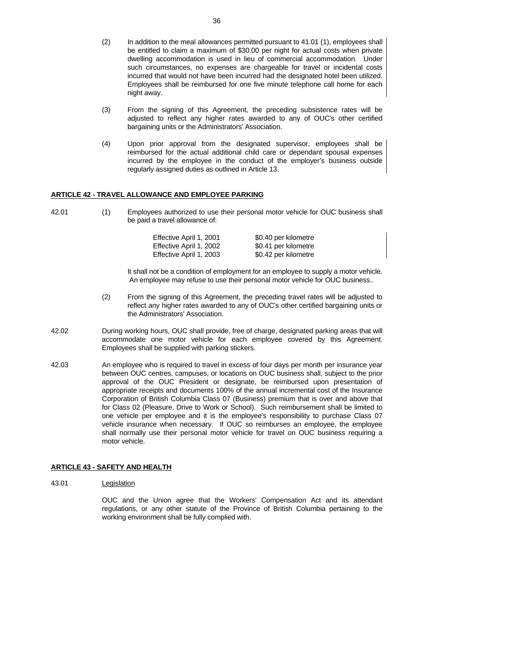- (2) In addition to the meal allowances permitted pursuant to 41.01 (1), employees shall be entitled to claim a maximum of \$30.00 per night for actual costs when private dwelling accommodation is used in lieu of commercial accommodation. Under such circumstances, no expenses are chargeable for travel or incidental costs incurred that would not have been incurred had the designated hotel been utilized. Employees shall be reimbursed for one five minute telephone call home for each night away.
- (3) From the signing of this Agreement, the preceding subsistence rates will be adjusted to reflect any higher rates awarded to any of OUC's other certified bargaining units or the Administrators' Association.
- (4) Upon prior approval from the designated supervisor, employees shall be reimbursed for the actual additional child care or dependant spousal expenses incurred by the employee in the conduct of the employer's business outside regularly assigned duties as outlined in Article 13.

#### **ARTICLE 42 - TRAVEL ALLOWANCE AND EMPLOYEE PARKING**

| 42.01 | Employees authorized to use their personal motor vehicle for OUC business shall |
|-------|---------------------------------------------------------------------------------|
|       | be paid a travel allowance of:                                                  |

| Effective April 1, 2001 | \$0.40 per kilometre |  |
|-------------------------|----------------------|--|
| Effective April 1, 2002 | \$0.41 per kilometre |  |
| Effective April 1, 2003 | \$0.42 per kilometre |  |

 It shall not be a condition of employment for an employee to supply a motor vehicle. An employee may refuse to use their personal motor vehicle for OUC business..

- (2) From the signing of this Agreement, the preceding travel rates will be adjusted to reflect any higher rates awarded to any of OUC's other certified bargaining units or the Administrators' Association.
- 42.02 During working hours, OUC shall provide, free of charge, designated parking areas that will accommodate one motor vehicle for each employee covered by this Agreement. Employees shall be supplied with parking stickers.
- 42.03 An employee who is required to travel in excess of four days per month per insurance year between OUC centres, campuses, or locations on OUC business shall, subject to the prior approval of the OUC President or designate, be reimbursed upon presentation of appropriate receipts and documents 100% of the annual incremental cost of the Insurance Corporation of British Columbia Class 07 (Business) premium that is over and above that for Class 02 (Pleasure, Drive to Work or School). Such reimbursement shall be limited to one vehicle per employee and it is the employee's responsibility to purchase Class 07 vehicle insurance when necessary. If OUC so reimburses an employee, the employee shall normally use their personal motor vehicle for travel on OUC business requiring a motor vehicle.

#### **ARTICLE 43 - SAFETY AND HEALTH**

43.01 Legislation

 OUC and the Union agree that the Workers' Compensation Act and its attendant regulations, or any other statute of the Province of British Columbia pertaining to the working environment shall be fully complied with.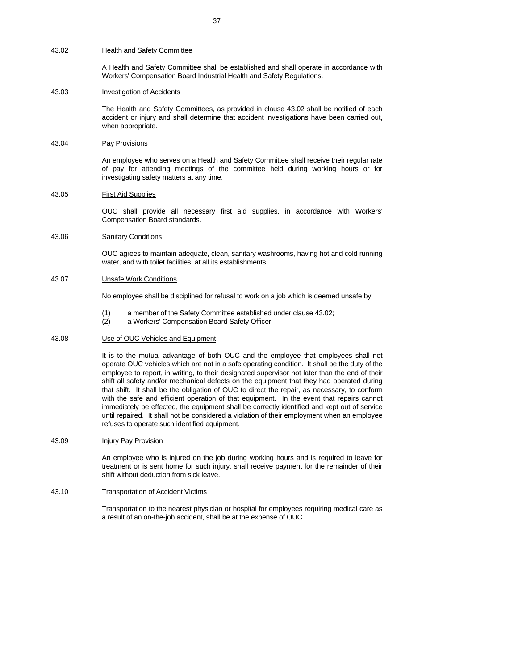#### 43.02 Health and Safety Committee

 A Health and Safety Committee shall be established and shall operate in accordance with Workers' Compensation Board Industrial Health and Safety Regulations.

#### 43.03 Investigation of Accidents

 The Health and Safety Committees, as provided in clause 43.02 shall be notified of each accident or injury and shall determine that accident investigations have been carried out, when appropriate.

#### 43.04 Pay Provisions

 An employee who serves on a Health and Safety Committee shall receive their regular rate of pay for attending meetings of the committee held during working hours or for investigating safety matters at any time.

#### 43.05 First Aid Supplies

 OUC shall provide all necessary first aid supplies, in accordance with Workers' Compensation Board standards.

## 43.06 Sanitary Conditions

 OUC agrees to maintain adequate, clean, sanitary washrooms, having hot and cold running water, and with toilet facilities, at all its establishments.

## 43.07 Unsafe Work Conditions

No employee shall be disciplined for refusal to work on a job which is deemed unsafe by:

- (1) a member of the Safety Committee established under clause 43.02;
- (2) a Workers' Compensation Board Safety Officer.

#### 43.08 Use of OUC Vehicles and Equipment

 It is to the mutual advantage of both OUC and the employee that employees shall not operate OUC vehicles which are not in a safe operating condition. It shall be the duty of the employee to report, in writing, to their designated supervisor not later than the end of their shift all safety and/or mechanical defects on the equipment that they had operated during that shift. It shall be the obligation of OUC to direct the repair, as necessary, to conform with the safe and efficient operation of that equipment. In the event that repairs cannot immediately be effected, the equipment shall be correctly identified and kept out of service until repaired. It shall not be considered a violation of their employment when an employee refuses to operate such identified equipment.

43.09 **Injury Pay Provision** 

 An employee who is injured on the job during working hours and is required to leave for treatment or is sent home for such injury, shall receive payment for the remainder of their shift without deduction from sick leave.

#### 43.10 Transportation of Accident Victims

 Transportation to the nearest physician or hospital for employees requiring medical care as a result of an on-the-job accident, shall be at the expense of OUC.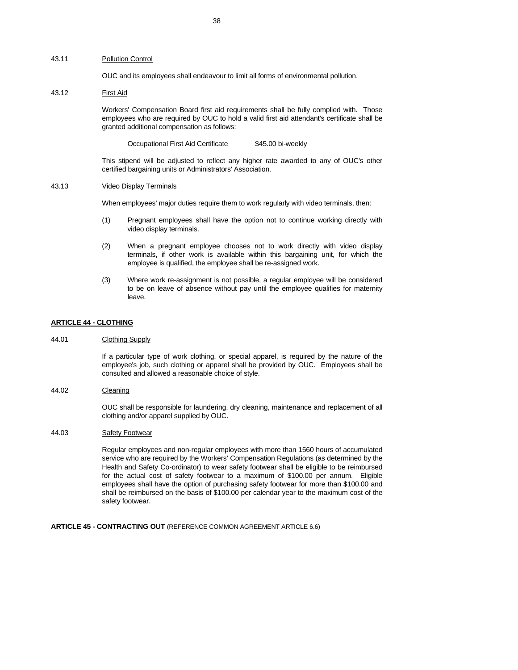#### 43.11 Pollution Control

OUC and its employees shall endeavour to limit all forms of environmental pollution.

# 43.12 First Aid

 Workers' Compensation Board first aid requirements shall be fully complied with. Those employees who are required by OUC to hold a valid first aid attendant's certificate shall be granted additional compensation as follows:

Occupational First Aid Certificate \$45.00 bi-weekly

 This stipend will be adjusted to reflect any higher rate awarded to any of OUC's other certified bargaining units or Administrators' Association.

## 43.13 Video Display Terminals

When employees' major duties require them to work regularly with video terminals, then:

- (1) Pregnant employees shall have the option not to continue working directly with video display terminals.
- (2) When a pregnant employee chooses not to work directly with video display terminals, if other work is available within this bargaining unit, for which the employee is qualified, the employee shall be re-assigned work.
- (3) Where work re-assignment is not possible, a regular employee will be considered to be on leave of absence without pay until the employee qualifies for maternity leave.

#### **ARTICLE 44 - CLOTHING**

44.01 Clothing Supply

 If a particular type of work clothing, or special apparel, is required by the nature of the employee's job, such clothing or apparel shall be provided by OUC. Employees shall be consulted and allowed a reasonable choice of style.

44.02 Cleaning

 OUC shall be responsible for laundering, dry cleaning, maintenance and replacement of all clothing and/or apparel supplied by OUC.

44.03 Safety Footwear

 Regular employees and non-regular employees with more than 1560 hours of accumulated service who are required by the Workers' Compensation Regulations (as determined by the Health and Safety Co-ordinator) to wear safety footwear shall be eligible to be reimbursed for the actual cost of safety footwear to a maximum of \$100.00 per annum. Eligible employees shall have the option of purchasing safety footwear for more than \$100.00 and shall be reimbursed on the basis of \$100.00 per calendar year to the maximum cost of the safety footwear.

#### **ARTICLE 45 - CONTRACTING OUT** (REFERENCE COMMON AGREEMENT ARTICLE 6.6)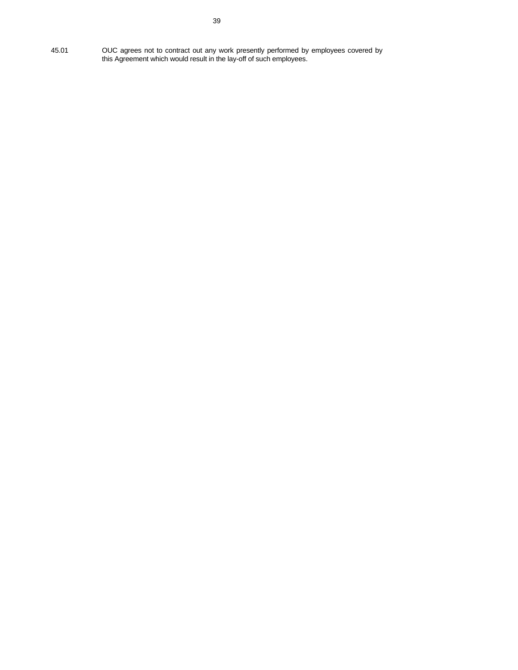45.01 OUC agrees not to contract out any work presently performed by employees covered by this Agreement which would result in the lay-off of such employees.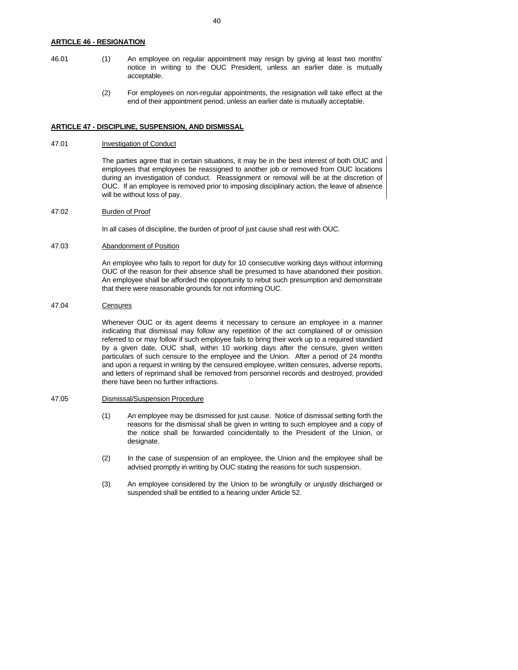## **ARTICLE 46 - RESIGNATION**

- 46.01 (1) An employee on regular appointment may resign by giving at least two months' notice in writing to the OUC President, unless an earlier date is mutually acceptable.
	- (2) For employees on non-regular appointments, the resignation will take effect at the end of their appointment period, unless an earlier date is mutually acceptable.

#### **ARTICLE 47 - DISCIPLINE, SUSPENSION, AND DISMISSAL**

## 47.01 **Investigation of Conduct**

 The parties agree that in certain situations, it may be in the best interest of both OUC and employees that employees be reassigned to another job or removed from OUC locations during an investigation of conduct. Reassignment or removal will be at the discretion of OUC. If an employee is removed prior to imposing disciplinary action, the leave of absence will be without loss of pay.

47.02 Burden of Proof

In all cases of discipline, the burden of proof of just cause shall rest with OUC.

## 47.03 Abandonment of Position

 An employee who fails to report for duty for 10 consecutive working days without informing OUC of the reason for their absence shall be presumed to have abandoned their position. An employee shall be afforded the opportunity to rebut such presumption and demonstrate that there were reasonable grounds for not informing OUC.

#### 47.04 Censures

 Whenever OUC or its agent deems it necessary to censure an employee in a manner indicating that dismissal may follow any repetition of the act complained of or omission referred to or may follow if such employee fails to bring their work up to a required standard by a given date, OUC shall, within 10 working days after the censure, given written particulars of such censure to the employee and the Union. After a period of 24 months and upon a request in writing by the censured employee, written censures, adverse reports, and letters of reprimand shall be removed from personnel records and destroyed, provided there have been no further infractions.

#### 47.05 Dismissal/Suspension Procedure

- (1) An employee may be dismissed for just cause. Notice of dismissal setting forth the reasons for the dismissal shall be given in writing to such employee and a copy of the notice shall be forwarded coincidentally to the President of the Union, or designate.
- (2) In the case of suspension of an employee, the Union and the employee shall be advised promptly in writing by OUC stating the reasons for such suspension.
- (3) An employee considered by the Union to be wrongfully or unjustly discharged or suspended shall be entitled to a hearing under Article 52.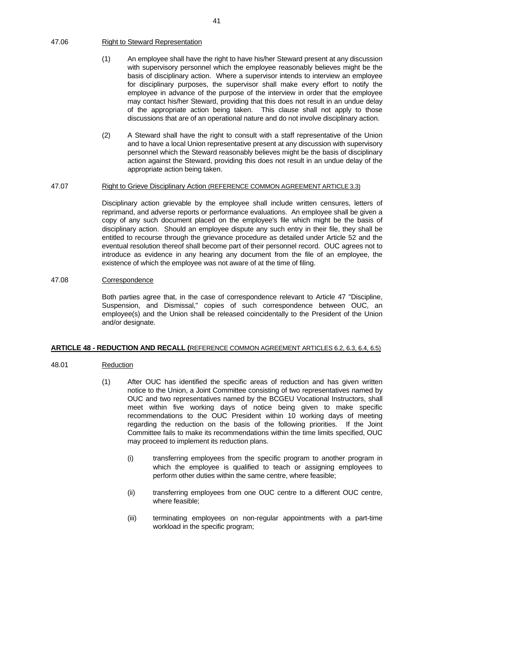## 47.06 Right to Steward Representation

- (1) An employee shall have the right to have his/her Steward present at any discussion with supervisory personnel which the employee reasonably believes might be the basis of disciplinary action. Where a supervisor intends to interview an employee for disciplinary purposes, the supervisor shall make every effort to notify the employee in advance of the purpose of the interview in order that the employee may contact his/her Steward, providing that this does not result in an undue delay of the appropriate action being taken. This clause shall not apply to those discussions that are of an operational nature and do not involve disciplinary action.
- (2) A Steward shall have the right to consult with a staff representative of the Union and to have a local Union representative present at any discussion with supervisory personnel which the Steward reasonably believes might be the basis of disciplinary action against the Steward, providing this does not result in an undue delay of the appropriate action being taken.

# 47.07 Right to Grieve Disciplinary Action (REFERENCE COMMON AGREEMENT ARTICLE 3.3)

 Disciplinary action grievable by the employee shall include written censures, letters of reprimand, and adverse reports or performance evaluations. An employee shall be given a copy of any such document placed on the employee's file which might be the basis of disciplinary action. Should an employee dispute any such entry in their file, they shall be entitled to recourse through the grievance procedure as detailed under Article 52 and the eventual resolution thereof shall become part of their personnel record. OUC agrees not to introduce as evidence in any hearing any document from the file of an employee, the existence of which the employee was not aware of at the time of filing.

#### 47.08 Correspondence

 Both parties agree that, in the case of correspondence relevant to Article 47 "Discipline, Suspension, and Dismissal," copies of such correspondence between OUC, an employee(s) and the Union shall be released coincidentally to the President of the Union and/or designate.

#### **ARTICLE 48 - REDUCTION AND RECALL (**REFERENCE COMMON AGREEMENT ARTICLES 6.2, 6.3, 6.4, 6.5)

## 48.01 Reduction

- (1) After OUC has identified the specific areas of reduction and has given written notice to the Union, a Joint Committee consisting of two representatives named by OUC and two representatives named by the BCGEU Vocational Instructors, shall meet within five working days of notice being given to make specific recommendations to the OUC President within 10 working days of meeting regarding the reduction on the basis of the following priorities. If the Joint Committee fails to make its recommendations within the time limits specified, OUC may proceed to implement its reduction plans.
	- (i) transferring employees from the specific program to another program in which the employee is qualified to teach or assigning employees to perform other duties within the same centre, where feasible;
	- (ii) transferring employees from one OUC centre to a different OUC centre, where feasible;
	- (iii) terminating employees on non-regular appointments with a part-time workload in the specific program;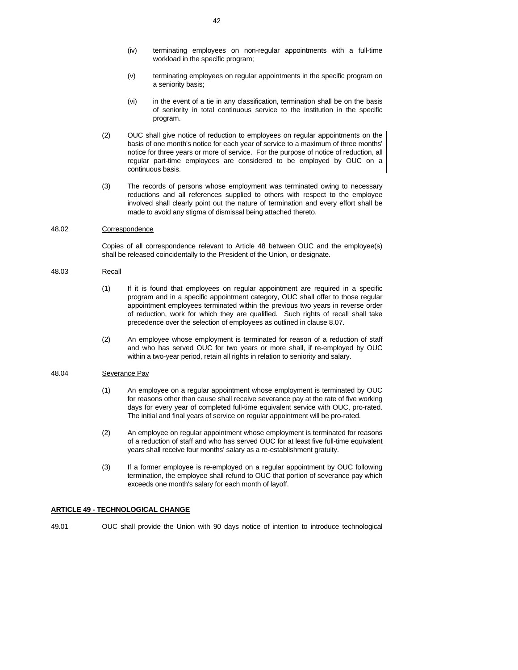- (iv) terminating employees on non-regular appointments with a full-time workload in the specific program;
- (v) terminating employees on regular appointments in the specific program on a seniority basis;
- (vi) in the event of a tie in any classification, termination shall be on the basis of seniority in total continuous service to the institution in the specific program.
- (2) OUC shall give notice of reduction to employees on regular appointments on the basis of one month's notice for each year of service to a maximum of three months' notice for three years or more of service. For the purpose of notice of reduction, all regular part-time employees are considered to be employed by OUC on a continuous basis.
- (3) The records of persons whose employment was terminated owing to necessary reductions and all references supplied to others with respect to the employee involved shall clearly point out the nature of termination and every effort shall be made to avoid any stigma of dismissal being attached thereto.

## 48.02 Correspondence

 Copies of all correspondence relevant to Article 48 between OUC and the employee(s) shall be released coincidentally to the President of the Union, or designate.

#### 48.03 Recall

- (1) If it is found that employees on regular appointment are required in a specific program and in a specific appointment category, OUC shall offer to those regular appointment employees terminated within the previous two years in reverse order of reduction, work for which they are qualified. Such rights of recall shall take precedence over the selection of employees as outlined in clause 8.07.
- (2) An employee whose employment is terminated for reason of a reduction of staff and who has served OUC for two years or more shall, if re-employed by OUC within a two-year period, retain all rights in relation to seniority and salary.

# 48.04 Severance Pay

- (1) An employee on a regular appointment whose employment is terminated by OUC for reasons other than cause shall receive severance pay at the rate of five working days for every year of completed full-time equivalent service with OUC, pro-rated. The initial and final years of service on regular appointment will be pro-rated.
- (2) An employee on regular appointment whose employment is terminated for reasons of a reduction of staff and who has served OUC for at least five full-time equivalent years shall receive four months' salary as a re-establishment gratuity.
- (3) If a former employee is re-employed on a regular appointment by OUC following termination, the employee shall refund to OUC that portion of severance pay which exceeds one month's salary for each month of layoff.

## **ARTICLE 49 - TECHNOLOGICAL CHANGE**

49.01 OUC shall provide the Union with 90 days notice of intention to introduce technological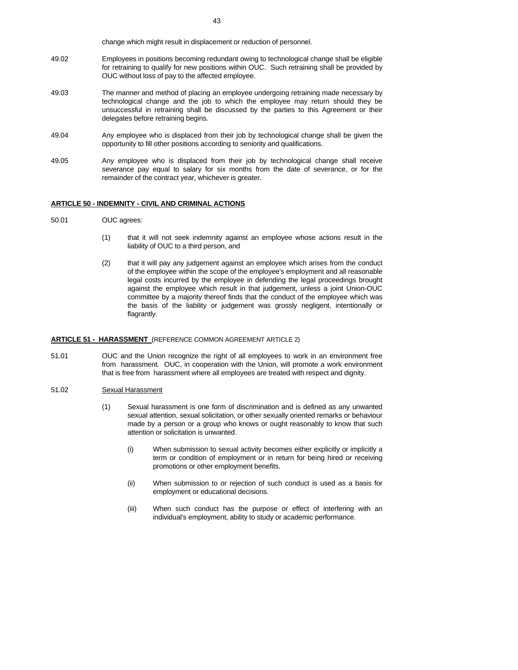change which might result in displacement or reduction of personnel.

- 49.02 Employees in positions becoming redundant owing to technological change shall be eligible for retraining to qualify for new positions within OUC. Such retraining shall be provided by OUC without loss of pay to the affected employee.
- 49.03 The manner and method of placing an employee undergoing retraining made necessary by technological change and the job to which the employee may return should they be unsuccessful in retraining shall be discussed by the parties to this Agreement or their delegates before retraining begins.
- 49.04 Any employee who is displaced from their job by technological change shall be given the opportunity to fill other positions according to seniority and qualifications.
- 49.05 Any employee who is displaced from their job by technological change shall receive severance pay equal to salary for six months from the date of severance, or for the remainder of the contract year, whichever is greater.

#### **ARTICLE 50 - INDEMNITY - CIVIL AND CRIMINAL ACTIONS**

- 50.01 OUC agrees:
	- (1) that it will not seek indemnity against an employee whose actions result in the liability of OUC to a third person, and
	- (2) that it will pay any judgement against an employee which arises from the conduct of the employee within the scope of the employee's employment and all reasonable legal costs incurred by the employee in defending the legal proceedings brought against the employee which result in that judgement, unless a joint Union-OUC committee by a majority thereof finds that the conduct of the employee which was the basis of the liability or judgement was grossly negligent, intentionally or flagrantly.

#### **ARTICLE 51 - HARASSMENT** (REFERENCE COMMON AGREEMENT ARTICLE 2)

51.01 OUC and the Union recognize the right of all employees to work in an environment free from harassment. OUC, in cooperation with the Union, will promote a work environment that is free from harassment where all employees are treated with respect and dignity.

#### 51.02 Sexual Harassment

- (1) Sexual harassment is one form of discrimination and is defined as any unwanted sexual attention, sexual solicitation, or other sexually oriented remarks or behaviour made by a person or a group who knows or ought reasonably to know that such attention or solicitation is unwanted.
	- (i) When submission to sexual activity becomes either explicitly or implicitly a term or condition of employment or in return for being hired or receiving promotions or other employment benefits.
	- (ii) When submission to or rejection of such conduct is used as a basis for employment or educational decisions.
	- (iii) When such conduct has the purpose or effect of interfering with an individual's employment, ability to study or academic performance.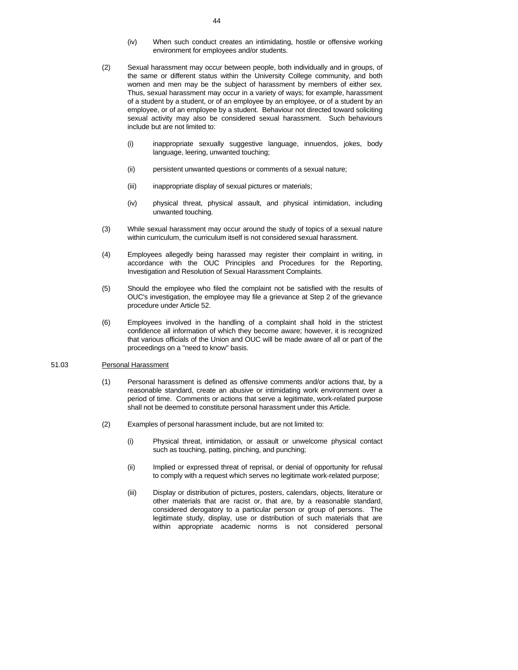- (iv) When such conduct creates an intimidating, hostile or offensive working environment for employees and/or students.
- (2) Sexual harassment may occur between people, both individually and in groups, of the same or different status within the University College community, and both women and men may be the subject of harassment by members of either sex. Thus, sexual harassment may occur in a variety of ways; for example, harassment of a student by a student, or of an employee by an employee, or of a student by an employee, or of an employee by a student. Behaviour not directed toward soliciting sexual activity may also be considered sexual harassment. Such behaviours include but are not limited to:
	- (i) inappropriate sexually suggestive language, innuendos, jokes, body language, leering, unwanted touching;
	- (ii) persistent unwanted questions or comments of a sexual nature;
	- (iii) inappropriate display of sexual pictures or materials;
	- (iv) physical threat, physical assault, and physical intimidation, including unwanted touching.
- (3) While sexual harassment may occur around the study of topics of a sexual nature within curriculum, the curriculum itself is not considered sexual harassment.
- (4) Employees allegedly being harassed may register their complaint in writing, in accordance with the OUC Principles and Procedures for the Reporting, Investigation and Resolution of Sexual Harassment Complaints.
- (5) Should the employee who filed the complaint not be satisfied with the results of OUC's investigation, the employee may file a grievance at Step 2 of the grievance procedure under Article 52.
- (6) Employees involved in the handling of a complaint shall hold in the strictest confidence all information of which they become aware; however, it is recognized that various officials of the Union and OUC will be made aware of all or part of the proceedings on a "need to know" basis.

## 51.03 Personal Harassment

- (1) Personal harassment is defined as offensive comments and/or actions that, by a reasonable standard, create an abusive or intimidating work environment over a period of time. Comments or actions that serve a legitimate, work-related purpose shall not be deemed to constitute personal harassment under this Article.
- (2) Examples of personal harassment include, but are not limited to:
	- (i) Physical threat, intimidation, or assault or unwelcome physical contact such as touching, patting, pinching, and punching;
	- (ii) Implied or expressed threat of reprisal, or denial of opportunity for refusal to comply with a request which serves no legitimate work-related purpose;
	- (iii) Display or distribution of pictures, posters, calendars, objects, literature or other materials that are racist or, that are, by a reasonable standard, considered derogatory to a particular person or group of persons. The legitimate study, display, use or distribution of such materials that are within appropriate academic norms is not considered personal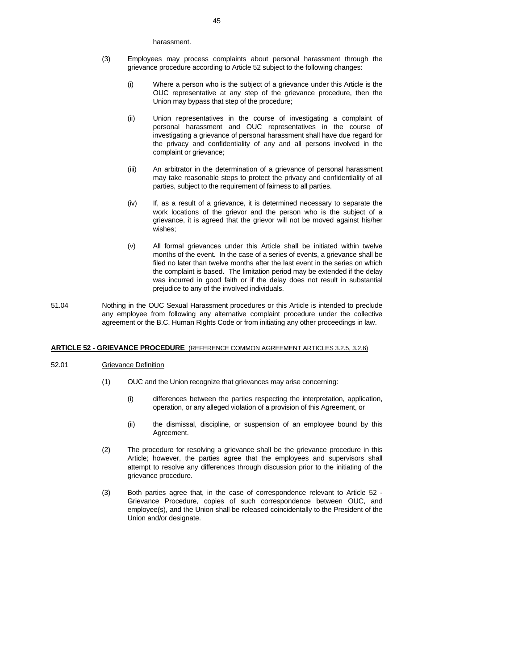#### harassment.

- (3) Employees may process complaints about personal harassment through the grievance procedure according to Article 52 subject to the following changes:
	- (i) Where a person who is the subject of a grievance under this Article is the OUC representative at any step of the grievance procedure, then the Union may bypass that step of the procedure;
	- (ii) Union representatives in the course of investigating a complaint of personal harassment and OUC representatives in the course of investigating a grievance of personal harassment shall have due regard for the privacy and confidentiality of any and all persons involved in the complaint or grievance;
	- (iii) An arbitrator in the determination of a grievance of personal harassment may take reasonable steps to protect the privacy and confidentiality of all parties, subject to the requirement of fairness to all parties.
	- (iv) If, as a result of a grievance, it is determined necessary to separate the work locations of the grievor and the person who is the subject of a grievance, it is agreed that the grievor will not be moved against his/her wishes;
	- (v) All formal grievances under this Article shall be initiated within twelve months of the event. In the case of a series of events, a grievance shall be filed no later than twelve months after the last event in the series on which the complaint is based. The limitation period may be extended if the delay was incurred in good faith or if the delay does not result in substantial prejudice to any of the involved individuals.
- 51.04 Nothing in the OUC Sexual Harassment procedures or this Article is intended to preclude any employee from following any alternative complaint procedure under the collective agreement or the B.C. Human Rights Code or from initiating any other proceedings in law.

#### **ARTICLE 52 - GRIEVANCE PROCEDURE** (REFERENCE COMMON AGREEMENT ARTICLES 3.2.5, 3.2.6)

#### 52.01 Grievance Definition

- (1) OUC and the Union recognize that grievances may arise concerning:
	- (i) differences between the parties respecting the interpretation, application, operation, or any alleged violation of a provision of this Agreement, or
	- (ii) the dismissal, discipline, or suspension of an employee bound by this Agreement.
- (2) The procedure for resolving a grievance shall be the grievance procedure in this Article; however, the parties agree that the employees and supervisors shall attempt to resolve any differences through discussion prior to the initiating of the grievance procedure.
- (3) Both parties agree that, in the case of correspondence relevant to Article 52 Grievance Procedure, copies of such correspondence between OUC, and employee(s), and the Union shall be released coincidentally to the President of the Union and/or designate.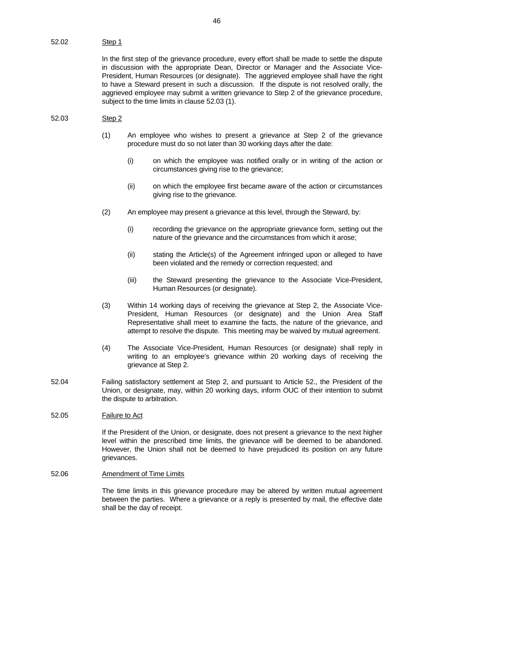In the first step of the grievance procedure, every effort shall be made to settle the dispute in discussion with the appropriate Dean, Director or Manager and the Associate Vice-President, Human Resources (or designate). The aggrieved employee shall have the right to have a Steward present in such a discussion. If the dispute is not resolved orally, the aggrieved employee may submit a written grievance to Step 2 of the grievance procedure, subject to the time limits in clause 52.03 (1).

#### 52.03 Step 2

- (1) An employee who wishes to present a grievance at Step 2 of the grievance procedure must do so not later than 30 working days after the date:
	- (i) on which the employee was notified orally or in writing of the action or circumstances giving rise to the grievance;
	- (ii) on which the employee first became aware of the action or circumstances giving rise to the grievance.
- (2) An employee may present a grievance at this level, through the Steward, by:
	- (i) recording the grievance on the appropriate grievance form, setting out the nature of the grievance and the circumstances from which it arose;
	- (ii) stating the Article(s) of the Agreement infringed upon or alleged to have been violated and the remedy or correction requested; and
	- (iii) the Steward presenting the grievance to the Associate Vice-President, Human Resources (or designate).
- (3) Within 14 working days of receiving the grievance at Step 2, the Associate Vice-President, Human Resources (or designate) and the Union Area Staff Representative shall meet to examine the facts, the nature of the grievance, and attempt to resolve the dispute. This meeting may be waived by mutual agreement.
- (4) The Associate Vice-President, Human Resources (or designate) shall reply in writing to an employee's grievance within 20 working days of receiving the grievance at Step 2.
- 52.04 Failing satisfactory settlement at Step 2, and pursuant to Article 52., the President of the Union, or designate, may, within 20 working days, inform OUC of their intention to submit the dispute to arbitration.

## 52.05 Failure to Act

 If the President of the Union, or designate, does not present a grievance to the next higher level within the prescribed time limits, the grievance will be deemed to be abandoned. However, the Union shall not be deemed to have prejudiced its position on any future grievances.

#### 52.06 Amendment of Time Limits

 The time limits in this grievance procedure may be altered by written mutual agreement between the parties. Where a grievance or a reply is presented by mail, the effective date shall be the day of receipt.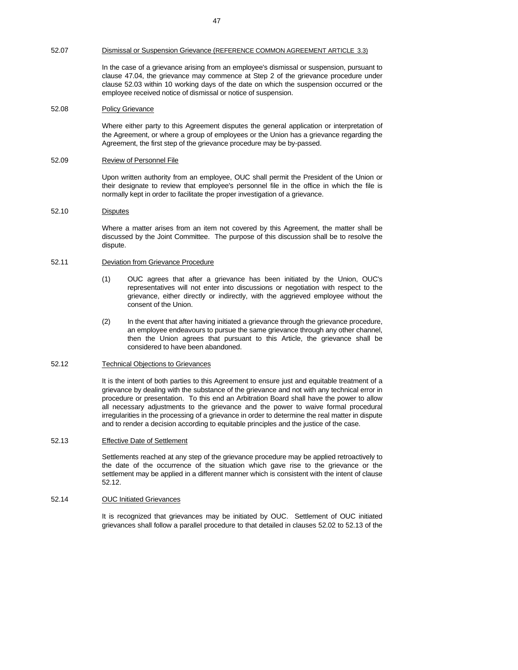#### 52.07 Dismissal or Suspension Grievance (REFERENCE COMMON AGREEMENT ARTICLE 3.3)

 In the case of a grievance arising from an employee's dismissal or suspension, pursuant to clause 47.04, the grievance may commence at Step 2 of the grievance procedure under clause 52.03 within 10 working days of the date on which the suspension occurred or the employee received notice of dismissal or notice of suspension.

#### 52.08 Policy Grievance

 Where either party to this Agreement disputes the general application or interpretation of the Agreement, or where a group of employees or the Union has a grievance regarding the Agreement, the first step of the grievance procedure may be by-passed.

#### 52.09 Review of Personnel File

Upon written authority from an employee, OUC shall permit the President of the Union or their designate to review that employee's personnel file in the office in which the file is normally kept in order to facilitate the proper investigation of a grievance.

## 52.10 Disputes

 Where a matter arises from an item not covered by this Agreement, the matter shall be discussed by the Joint Committee. The purpose of this discussion shall be to resolve the dispute.

## 52.11 Deviation from Grievance Procedure

- (1) OUC agrees that after a grievance has been initiated by the Union, OUC's representatives will not enter into discussions or negotiation with respect to the grievance, either directly or indirectly, with the aggrieved employee without the consent of the Union.
- (2) In the event that after having initiated a grievance through the grievance procedure, an employee endeavours to pursue the same grievance through any other channel, then the Union agrees that pursuant to this Article, the grievance shall be considered to have been abandoned.

#### 52.12 Technical Objections to Grievances

It is the intent of both parties to this Agreement to ensure just and equitable treatment of a grievance by dealing with the substance of the grievance and not with any technical error in procedure or presentation. To this end an Arbitration Board shall have the power to allow all necessary adjustments to the grievance and the power to waive formal procedural irregularities in the processing of a grievance in order to determine the real matter in dispute and to render a decision according to equitable principles and the justice of the case.

#### 52.13 Effective Date of Settlement

 Settlements reached at any step of the grievance procedure may be applied retroactively to the date of the occurrence of the situation which gave rise to the grievance or the settlement may be applied in a different manner which is consistent with the intent of clause 52.12.

## 52.14 OUC Initiated Grievances

 It is recognized that grievances may be initiated by OUC. Settlement of OUC initiated grievances shall follow a parallel procedure to that detailed in clauses 52.02 to 52.13 of the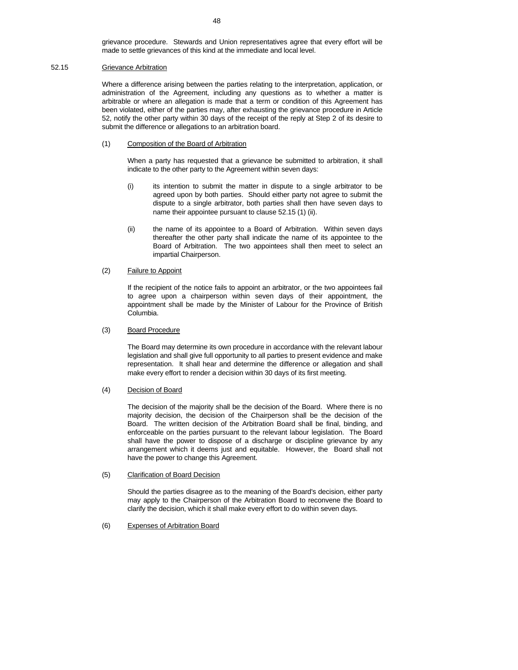grievance procedure. Stewards and Union representatives agree that every effort will be made to settle grievances of this kind at the immediate and local level.

## 52.15 Grievance Arbitration

 Where a difference arising between the parties relating to the interpretation, application, or administration of the Agreement, including any questions as to whether a matter is arbitrable or where an allegation is made that a term or condition of this Agreement has been violated, either of the parties may, after exhausting the grievance procedure in Article 52, notify the other party within 30 days of the receipt of the reply at Step 2 of its desire to submit the difference or allegations to an arbitration board.

#### (1) Composition of the Board of Arbitration

 When a party has requested that a grievance be submitted to arbitration, it shall indicate to the other party to the Agreement within seven days:

- (i) its intention to submit the matter in dispute to a single arbitrator to be agreed upon by both parties. Should either party not agree to submit the dispute to a single arbitrator, both parties shall then have seven days to name their appointee pursuant to clause 52.15 (1) (ii).
- (ii) the name of its appointee to a Board of Arbitration. Within seven days thereafter the other party shall indicate the name of its appointee to the Board of Arbitration. The two appointees shall then meet to select an impartial Chairperson.

# (2) Failure to Appoint

 If the recipient of the notice fails to appoint an arbitrator, or the two appointees fail to agree upon a chairperson within seven days of their appointment, the appointment shall be made by the Minister of Labour for the Province of British Columbia.

#### (3) Board Procedure

 The Board may determine its own procedure in accordance with the relevant labour legislation and shall give full opportunity to all parties to present evidence and make representation. It shall hear and determine the difference or allegation and shall make every effort to render a decision within 30 days of its first meeting.

#### (4) Decision of Board

 The decision of the majority shall be the decision of the Board. Where there is no majority decision, the decision of the Chairperson shall be the decision of the Board. The written decision of the Arbitration Board shall be final, binding, and enforceable on the parties pursuant to the relevant labour legislation. The Board shall have the power to dispose of a discharge or discipline grievance by any arrangement which it deems just and equitable. However, the Board shall not have the power to change this Agreement.

#### (5) Clarification of Board Decision

 Should the parties disagree as to the meaning of the Board's decision, either party may apply to the Chairperson of the Arbitration Board to reconvene the Board to clarify the decision, which it shall make every effort to do within seven days.

# (6) Expenses of Arbitration Board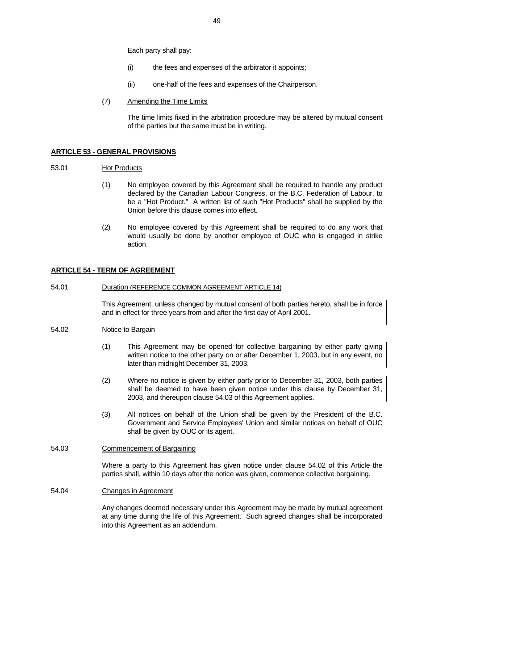Each party shall pay:

- (i) the fees and expenses of the arbitrator it appoints;
- (ii) one-half of the fees and expenses of the Chairperson.
- (7) Amending the Time Limits

 The time limits fixed in the arbitration procedure may be altered by mutual consent of the parties but the same must be in writing.

#### **ARTICLE 53 - GENERAL PROVISIONS**

## 53.01 Hot Products

- (1) No employee covered by this Agreement shall be required to handle any product declared by the Canadian Labour Congress, or the B.C. Federation of Labour, to be a "Hot Product." A written list of such "Hot Products" shall be supplied by the Union before this clause comes into effect.
- (2) No employee covered by this Agreement shall be required to do any work that would usually be done by another employee of OUC who is engaged in strike action.

## **ARTICLE 54 - TERM OF AGREEMENT**

#### 54.01 Duration (REFERENCE COMMON AGREEMENT ARTICLE 14)

 This Agreement, unless changed by mutual consent of both parties hereto, shall be in force and in effect for three years from and after the first day of April 2001.

## 54.02 Notice to Bargain

- (1) This Agreement may be opened for collective bargaining by either party giving written notice to the other party on or after December 1, 2003, but in any event, no later than midnight December 31, 2003.
- (2) Where no notice is given by either party prior to December 31, 2003, both parties shall be deemed to have been given notice under this clause by December 31, 2003, and thereupon clause 54.03 of this Agreement applies.
- (3) All notices on behalf of the Union shall be given by the President of the B.C. Government and Service Employees' Union and similar notices on behalf of OUC shall be given by OUC or its agent.

#### 54.03 Commencement of Bargaining

 Where a party to this Agreement has given notice under clause 54.02 of this Article the parties shall, within 10 days after the notice was given, commence collective bargaining.

#### 54.04 Changes in Agreement

 Any changes deemed necessary under this Agreement may be made by mutual agreement at any time during the life of this Agreement. Such agreed changes shall be incorporated into this Agreement as an addendum.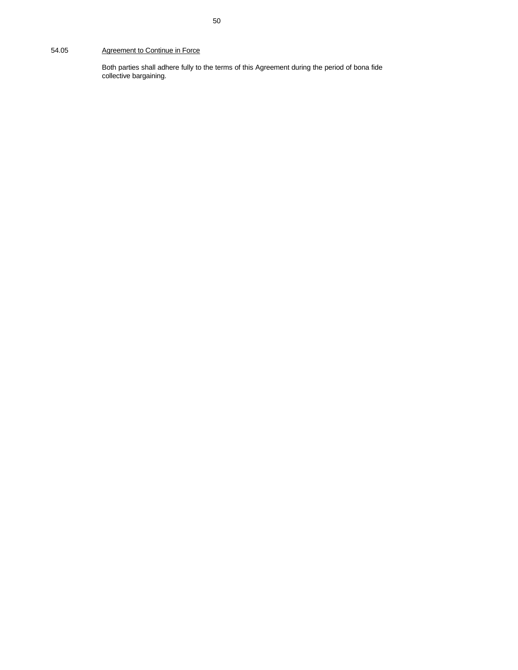# 54.05 Agreement to Continue in Force

 Both parties shall adhere fully to the terms of this Agreement during the period of bona fide collective bargaining.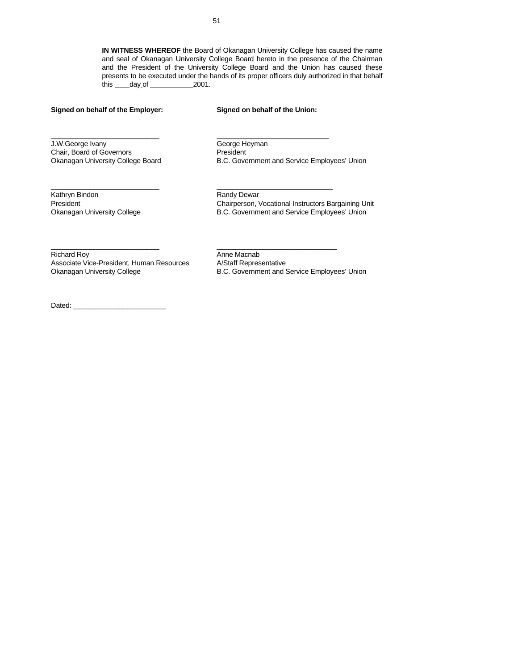**IN WITNESS WHEREOF** the Board of Okanagan University College has caused the name and seal of Okanagan University College Board hereto in the presence of the Chairman and the President of the University College Board and the Union has caused these presents to be executed under the hands of its proper officers duly authorized in that behalf this  $\_\_\_\_\_\_\_\_\_\_\_$  day of  $\_\_\_\_\_\_\_$  2001.

# **Signed on behalf of the Employer: Signed on behalf of the Union:**

J.W.George Ivany George Heyman Chair, Board of Governors President

Okanagan University College Board B.C. Government and Service Employees' Union

Kathryn Bindon **Randy Dewar** Randy Dewar

President Chairperson, Vocational Instructors Bargaining Unit Okanagan University College **B.C. Government and Service Employees' Union** 

Richard Roy<br>Associate Vice-President, Human Resources A/Staff Representative Associate Vice-President, Human Resources Okanagan University College **B.C. Government and Service Employees' Union** 

Dated:

 $\_$  , and the set of the set of the set of the set of the set of the set of the set of the set of the set of the set of the set of the set of the set of the set of the set of the set of the set of the set of the set of th

 $\_$  , and the state of the state of the state of the state of the state of the state of the state of the state of the state of the state of the state of the state of the state of the state of the state of the state of the

\_\_\_\_\_\_\_\_\_\_\_\_\_\_\_\_\_\_\_\_\_\_\_\_\_\_\_\_ \_\_\_\_\_\_\_\_\_\_\_\_\_\_\_\_\_\_\_\_\_\_\_\_\_\_\_\_\_\_\_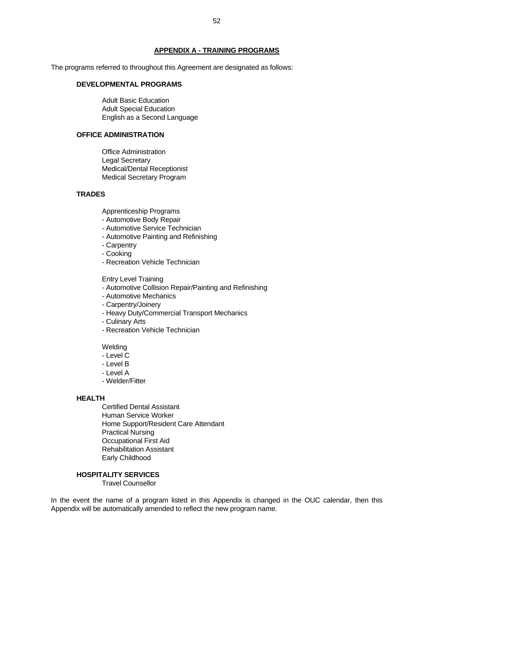#### **APPENDIX A - TRAINING PROGRAMS**

The programs referred to throughout this Agreement are designated as follows:

# **DEVELOPMENTAL PROGRAMS**

 Adult Basic Education Adult Special Education English as a Second Language

# **OFFICE ADMINISTRATION**

 Office Administration Legal Secretary Medical/Dental Receptionist Medical Secretary Program

#### **TRADES**

Apprenticeship Programs

- Automotive Body Repair
- Automotive Service Technician
- Automotive Painting and Refinishing
- Carpentry
- Cooking
- Recreation Vehicle Technician

#### Entry Level Training

- Automotive Collision Repair/Painting and Refinishing
- Automotive Mechanics
- Carpentry/Joinery
- Heavy Duty/Commercial Transport Mechanics
- Culinary Arts
- Recreation Vehicle Technician

Welding

- Level C
- Level B
- Level A
- Welder/Fitter

#### **HEALTH**

 Certified Dental Assistant Human Service Worker Home Support/Resident Care Attendant Practical Nursing Occupational First Aid Rehabilitation Assistant Early Childhood

#### **HOSPITALITY SERVICES**

Travel Counsellor

In the event the name of a program listed in this Appendix is changed in the OUC calendar, then this Appendix will be automatically amended to reflect the new program name.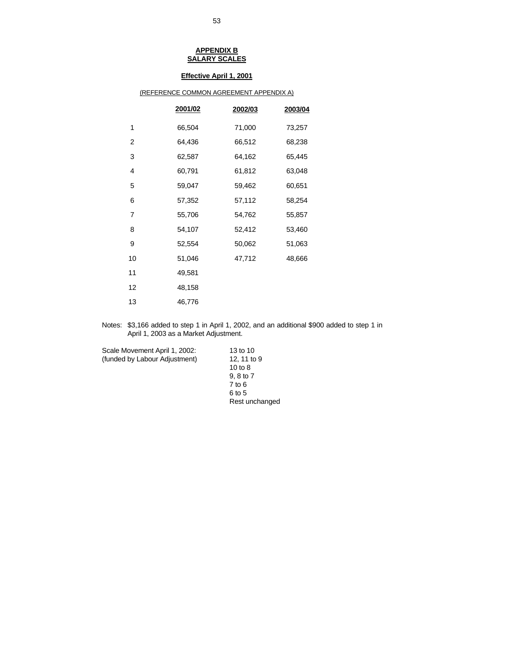# **Effective April 1, 2001**

| (REFERENCE COMMON AGREEMENT APPENDIX A) |         |         |         |
|-----------------------------------------|---------|---------|---------|
|                                         | 2001/02 | 2002/03 | 2003/04 |
| 1                                       | 66,504  | 71,000  | 73,257  |
| $\overline{2}$                          | 64,436  | 66,512  | 68,238  |
| 3                                       | 62,587  | 64,162  | 65,445  |
| 4                                       | 60,791  | 61,812  | 63,048  |
| 5                                       | 59,047  | 59,462  | 60,651  |
| 6                                       | 57,352  | 57,112  | 58,254  |
| 7                                       | 55,706  | 54,762  | 55,857  |
| 8                                       | 54,107  | 52,412  | 53,460  |
| 9                                       | 52,554  | 50,062  | 51,063  |
| 10                                      | 51,046  | 47,712  | 48,666  |
| 11                                      | 49,581  |         |         |
| 12                                      | 48,158  |         |         |
| 13                                      | 46,776  |         |         |

# Notes: \$3,166 added to step 1 in April 1, 2002, and an additional \$900 added to step 1 in April 1, 2003 as a Market Adjustment.

Scale Movement April 1, 2002: 13 to 10 (funded by Labour Adjustment) 12, 11 to 9

 10 to 8 9, 8 to 7 7 to 6  $6 \text{ to } 5$ Rest unchanged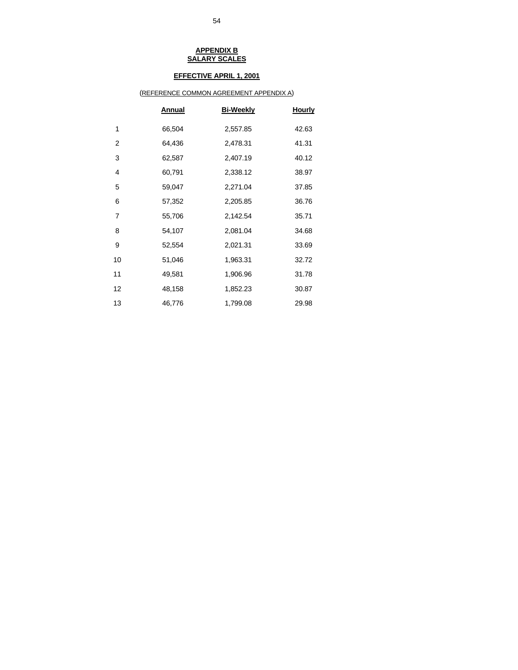# **EFFECTIVE APRIL 1, 2001**

# (REFERENCE COMMON AGREEMENT APPENDIX A)

|    | <b>Annual</b> | <b>Bi-Weekly</b> | <u>Hourly</u> |
|----|---------------|------------------|---------------|
| 1  | 66,504        | 2,557.85         | 42.63         |
| 2  | 64,436        | 2,478.31         | 41.31         |
| 3  | 62,587        | 2,407.19         | 40.12         |
| 4  | 60,791        | 2,338.12         | 38.97         |
| 5  | 59,047        | 2,271.04         | 37.85         |
| 6  | 57,352        | 2,205.85         | 36.76         |
| 7  | 55,706        | 2,142.54         | 35.71         |
| 8  | 54,107        | 2,081.04         | 34.68         |
| 9  | 52,554        | 2,021.31         | 33.69         |
| 10 | 51,046        | 1,963.31         | 32.72         |
| 11 | 49,581        | 1,906.96         | 31.78         |
| 12 | 48,158        | 1,852.23         | 30.87         |
| 13 | 46,776        | 1,799.08         | 29.98         |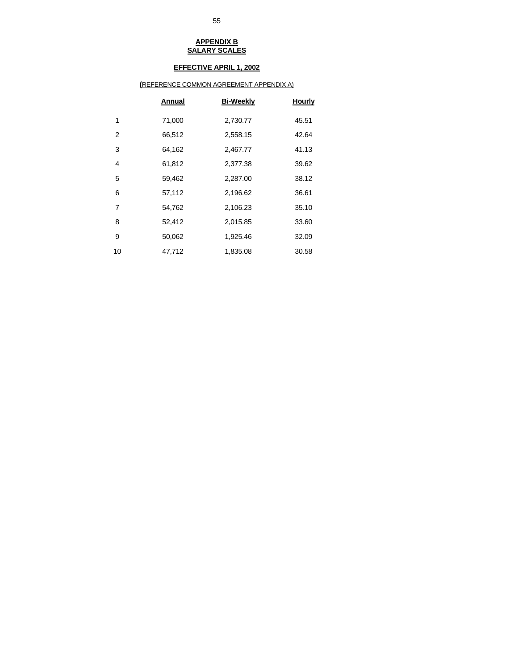# **EFFECTIVE APRIL 1, 2002**

# **(**REFERENCE COMMON AGREEMENT APPENDIX A)

|                | Annual | <b>Bi-Weekly</b> | <b>Hourly</b> |
|----------------|--------|------------------|---------------|
| 1              | 71,000 | 2,730.77         | 45.51         |
| $\overline{2}$ | 66,512 | 2,558.15         | 42.64         |
| 3              | 64,162 | 2,467.77         | 41.13         |
| 4              | 61,812 | 2,377.38         | 39.62         |
| 5              | 59,462 | 2,287.00         | 38.12         |
| 6              | 57,112 | 2,196.62         | 36.61         |
| $\overline{7}$ | 54,762 | 2,106.23         | 35.10         |
| 8              | 52,412 | 2,015.85         | 33.60         |
| 9              | 50,062 | 1,925.46         | 32.09         |
| 10             | 47,712 | 1,835.08         | 30.58         |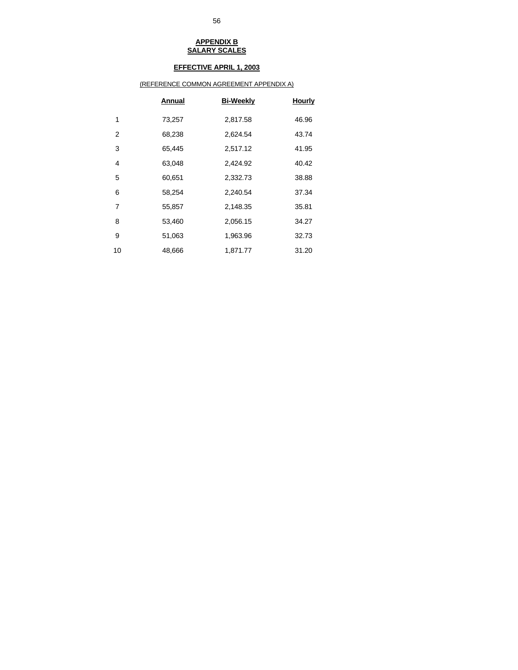# **EFFECTIVE APRIL 1, 2003**

# (REFERENCE COMMON AGREEMENT APPENDIX A)

|                | Annual | <b>Bi-Weekly</b> | <b>Hourly</b> |
|----------------|--------|------------------|---------------|
| 1              | 73,257 | 2,817.58         | 46.96         |
| $\overline{2}$ | 68,238 | 2,624.54         | 43.74         |
| 3              | 65,445 | 2,517.12         | 41.95         |
| 4              | 63,048 | 2,424.92         | 40.42         |
| 5              | 60,651 | 2,332.73         | 38.88         |
| 6              | 58,254 | 2,240.54         | 37.34         |
| $\overline{7}$ | 55,857 | 2,148.35         | 35.81         |
| 8              | 53,460 | 2,056.15         | 34.27         |
| 9              | 51,063 | 1,963.96         | 32.73         |
| 10             | 48,666 | 1,871.77         | 31.20         |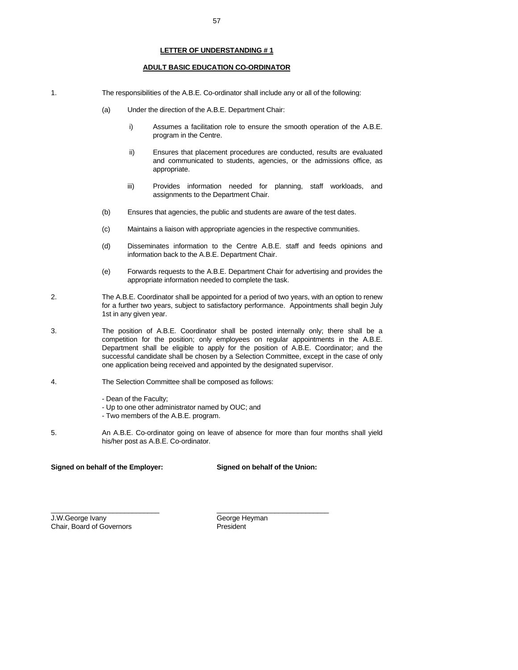#### **LETTER OF UNDERSTANDING # 1**

#### **ADULT BASIC EDUCATION CO-ORDINATOR**

- 1. The responsibilities of the A.B.E. Co-ordinator shall include any or all of the following:
	- (a) Under the direction of the A.B.E. Department Chair:
		- i) Assumes a facilitation role to ensure the smooth operation of the A.B.E. program in the Centre.
		- ii) Ensures that placement procedures are conducted, results are evaluated and communicated to students, agencies, or the admissions office, as appropriate.
		- iii) Provides information needed for planning, staff workloads, and assignments to the Department Chair.
	- (b) Ensures that agencies, the public and students are aware of the test dates.
	- (c) Maintains a liaison with appropriate agencies in the respective communities.
	- (d) Disseminates information to the Centre A.B.E. staff and feeds opinions and information back to the A.B.E. Department Chair.
	- (e) Forwards requests to the A.B.E. Department Chair for advertising and provides the appropriate information needed to complete the task.
- 2. The A.B.E. Coordinator shall be appointed for a period of two years, with an option to renew for a further two years, subject to satisfactory performance. Appointments shall begin July 1st in any given year.
- 3. The position of A.B.E. Coordinator shall be posted internally only; there shall be a competition for the position; only employees on regular appointments in the A.B.E. Department shall be eligible to apply for the position of A.B.E. Coordinator; and the successful candidate shall be chosen by a Selection Committee, except in the case of only one application being received and appointed by the designated supervisor.
- 4. The Selection Committee shall be composed as follows:
	- Dean of the Faculty;
	- Up to one other administrator named by OUC; and

\_\_\_\_\_\_\_\_\_\_\_\_\_\_\_\_\_\_\_\_\_\_\_\_\_\_\_\_ \_\_\_\_\_\_\_\_\_\_\_\_\_\_\_\_\_\_\_\_\_\_\_\_\_\_\_\_\_

- Two members of the A.B.E. program.
- 5. An A.B.E. Co-ordinator going on leave of absence for more than four months shall yield his/her post as A.B.E. Co-ordinator.

#### **Signed on behalf of the Employer: Signed on behalf of the Union:**

J.W.George Ivany George Heyman Chair, Board of Governors President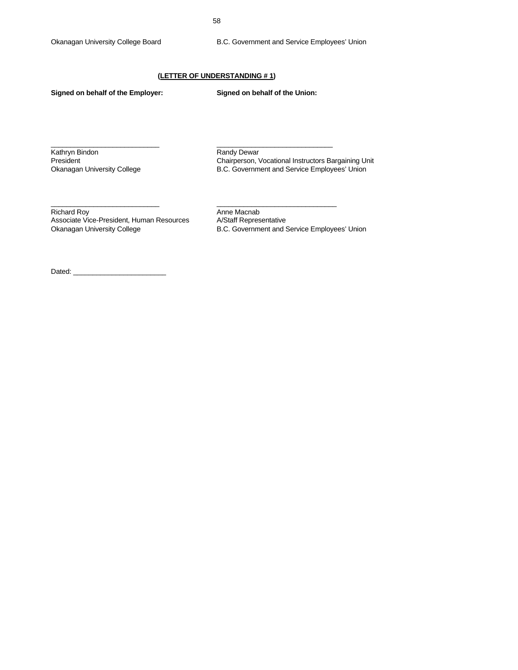# **(LETTER OF UNDERSTANDING # 1)**

\_\_\_\_\_\_\_\_\_\_\_\_\_\_\_\_\_\_\_\_\_\_\_\_\_\_\_\_ \_\_\_\_\_\_\_\_\_\_\_\_\_\_\_\_\_\_\_\_\_\_\_\_\_\_\_\_\_\_

\_\_\_\_\_\_\_\_\_\_\_\_\_\_\_\_\_\_\_\_\_\_\_\_\_\_\_\_ \_\_\_\_\_\_\_\_\_\_\_\_\_\_\_\_\_\_\_\_\_\_\_\_\_\_\_\_\_\_\_

**Signed on behalf of the Employer: Signed on behalf of the Union:** 

Kathryn Bindon **Randy Dewar** Randy Dewar

President **Chairperson, Vocational Instructors Bargaining Unit** Chairperson, Vocational Instructors Bargaining Unit Okanagan University College **B.C. Government and Service Employees' Union** 

Richard Roy<br>Associate Vice-President, Human Resources A/Staff Representative Associate Vice-President, Human Resources<br>Okanagan University College

B.C. Government and Service Employees' Union

Dated: \_\_\_\_\_\_\_\_\_\_\_\_\_\_\_\_\_\_\_\_\_\_\_\_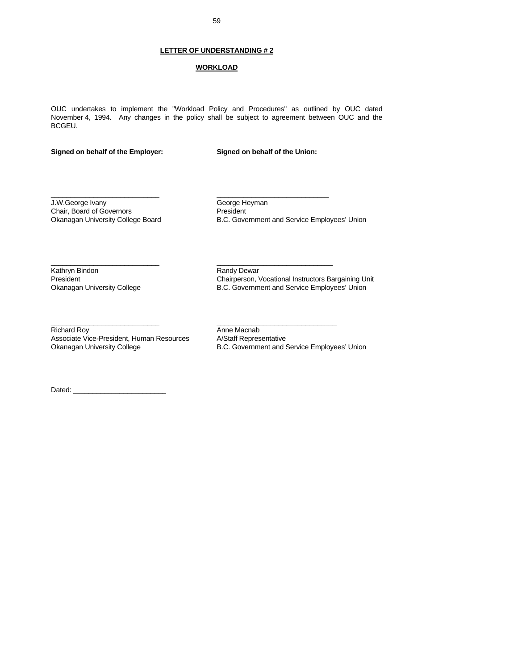# **LETTER OF UNDERSTANDING # 2**

# **WORKLOAD**

OUC undertakes to implement the "Workload Policy and Procedures" as outlined by OUC dated November 4, 1994. Any changes in the policy shall be subject to agreement between OUC and the BCGEU.

\_\_\_\_\_\_\_\_\_\_\_\_\_\_\_\_\_\_\_\_\_\_\_\_\_\_\_\_ \_\_\_\_\_\_\_\_\_\_\_\_\_\_\_\_\_\_\_\_\_\_\_\_\_\_\_\_\_

\_\_\_\_\_\_\_\_\_\_\_\_\_\_\_\_\_\_\_\_\_\_\_\_\_\_\_\_ \_\_\_\_\_\_\_\_\_\_\_\_\_\_\_\_\_\_\_\_\_\_\_\_\_\_\_\_\_\_

\_\_\_\_\_\_\_\_\_\_\_\_\_\_\_\_\_\_\_\_\_\_\_\_\_\_\_\_ \_\_\_\_\_\_\_\_\_\_\_\_\_\_\_\_\_\_\_\_\_\_\_\_\_\_\_\_\_\_\_

#### **Signed on behalf of the Employer: Signed on behalf of the Union:**

J.W.George Ivany George Heyman<br>
Chair, Board of Governors<br>
President Chair, Board of Governors<br>Okanagan University College Board

B.C. Government and Service Employees' Union

Kathryn Bindon **Randy Dewar** Randy Dewar

President Chairperson, Vocational Instructors Bargaining Unit<br>
Chairperson, Vocational Instructors Bargaining Unit<br>
Chairperson, Vocational Instructors Bargaining Unit<br>
Chairperson, Vocational Instructors Bargaining Unit B.C. Government and Service Employees' Union

Richard Roy **Anne Macnab** Associate Vice-President, Human Resources A/Staff Representative Okanagan University College **B.C. Government and Service Employees' Union** 

Dated:  $\_\_$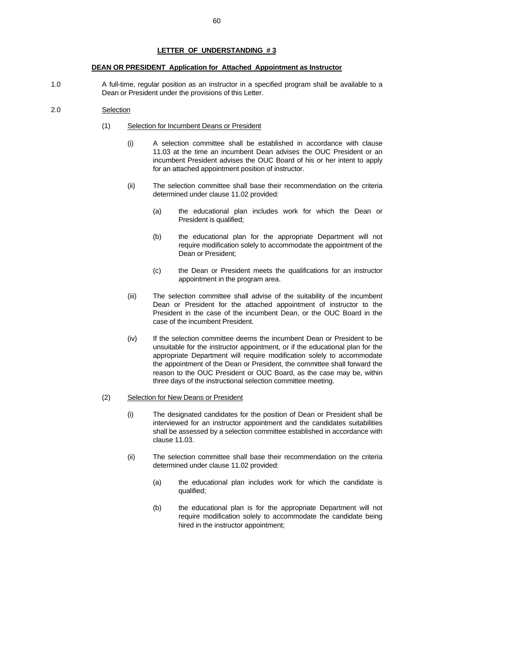#### **LETTER OF UNDERSTANDING # 3**

#### **DEAN OR PRESIDENT Application for Attached Appointment as Instructor**

1.0 A full-time, regular position as an instructor in a specified program shall be available to a Dean or President under the provisions of this Letter.

#### 2.0 Selection

- (1) Selection for Incumbent Deans or President
	- (i) A selection committee shall be established in accordance with clause 11.03 at the time an incumbent Dean advises the OUC President or an incumbent President advises the OUC Board of his or her intent to apply for an attached appointment position of instructor.
	- (ii) The selection committee shall base their recommendation on the criteria determined under clause 11.02 provided:
		- (a) the educational plan includes work for which the Dean or President is qualified;
		- (b) the educational plan for the appropriate Department will not require modification solely to accommodate the appointment of the Dean or President;
		- (c) the Dean or President meets the qualifications for an instructor appointment in the program area.
	- (iii) The selection committee shall advise of the suitability of the incumbent Dean or President for the attached appointment of instructor to the President in the case of the incumbent Dean, or the OUC Board in the case of the incumbent President.
	- (iv) If the selection committee deems the incumbent Dean or President to be unsuitable for the instructor appointment, or if the educational plan for the appropriate Department will require modification solely to accommodate the appointment of the Dean or President, the committee shall forward the reason to the OUC President or OUC Board, as the case may be, within three days of the instructional selection committee meeting.
- (2) Selection for New Deans or President
	- (i) The designated candidates for the position of Dean or President shall be interviewed for an instructor appointment and the candidates suitabilities shall be assessed by a selection committee established in accordance with clause 11.03.
	- (ii) The selection committee shall base their recommendation on the criteria determined under clause 11.02 provided:
		- (a) the educational plan includes work for which the candidate is qualified;
		- (b) the educational plan is for the appropriate Department will not require modification solely to accommodate the candidate being hired in the instructor appointment;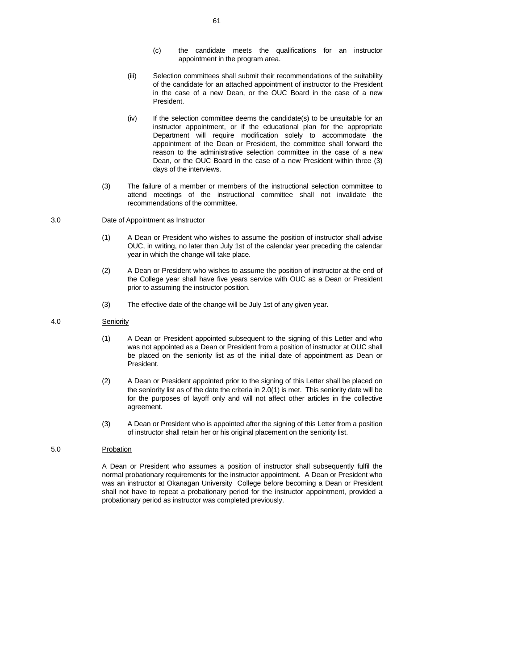- (c) the candidate meets the qualifications for an instructor appointment in the program area.
- (iii) Selection committees shall submit their recommendations of the suitability of the candidate for an attached appointment of instructor to the President in the case of a new Dean, or the OUC Board in the case of a new President.
- (iv) If the selection committee deems the candidate(s) to be unsuitable for an instructor appointment, or if the educational plan for the appropriate Department will require modification solely to accommodate the appointment of the Dean or President, the committee shall forward the reason to the administrative selection committee in the case of a new Dean, or the OUC Board in the case of a new President within three (3) days of the interviews.
- (3) The failure of a member or members of the instructional selection committee to attend meetings of the instructional committee shall not invalidate the recommendations of the committee.

#### 3.0 Date of Appointment as Instructor

- (1) A Dean or President who wishes to assume the position of instructor shall advise OUC, in writing, no later than July 1st of the calendar year preceding the calendar year in which the change will take place.
- (2) A Dean or President who wishes to assume the position of instructor at the end of the College year shall have five years service with OUC as a Dean or President prior to assuming the instructor position.
- (3) The effective date of the change will be July 1st of any given year.

#### 4.0 Seniority

- (1) A Dean or President appointed subsequent to the signing of this Letter and who was not appointed as a Dean or President from a position of instructor at OUC shall be placed on the seniority list as of the initial date of appointment as Dean or President.
- (2) A Dean or President appointed prior to the signing of this Letter shall be placed on the seniority list as of the date the criteria in 2.0(1) is met. This seniority date will be for the purposes of layoff only and will not affect other articles in the collective agreement.
- (3) A Dean or President who is appointed after the signing of this Letter from a position of instructor shall retain her or his original placement on the seniority list.

#### 5.0 Probation

 A Dean or President who assumes a position of instructor shall subsequently fulfil the normal probationary requirements for the instructor appointment. A Dean or President who was an instructor at Okanagan University College before becoming a Dean or President shall not have to repeat a probationary period for the instructor appointment, provided a probationary period as instructor was completed previously.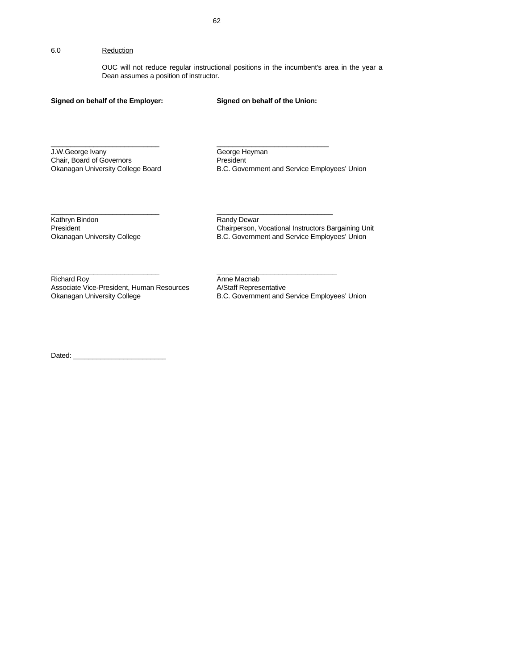OUC will not reduce regular instructional positions in the incumbent's area in the year a Dean assumes a position of instructor.

# **Signed on behalf of the Employer: Signed on behalf of the Union:**

J.W.George Ivany<br>
Chair, Board of Governors<br>
Chair, Board of Governors<br>
George President Chair, Board of Governors<br>Okanagan University College Board

B.C. Government and Service Employees' Union

Kathryn Bindon **Randy Dewar**<br> **Randy Dewar**<br> **Randy Dewar**<br> **Randy Dewar**<br> **Randy Dewar**<br> **Randy Dewar**<br> **Randy Dewar** 

President Chairperson, Vocational Instructors Bargaining Unit<br>
Chairperson, Vocational Instructors Bargaining Unit<br>
Chairperson, Vocational Instructors Bargaining Unit<br>
Chairperson, Vocational Instructors Bargaining Unit B.C. Government and Service Employees' Union

Richard Roy<br>
Associate Vice-President, Human Resources
A/Staff Representative Associate Vice-President, Human Resources Okanagan University College **B.C. Government and Service Employees' Union** 

Dated:

\_\_\_\_\_\_\_\_\_\_\_\_\_\_\_\_\_\_\_\_\_\_\_\_\_\_\_\_ \_\_\_\_\_\_\_\_\_\_\_\_\_\_\_\_\_\_\_\_\_\_\_\_\_\_\_\_\_

\_\_\_\_\_\_\_\_\_\_\_\_\_\_\_\_\_\_\_\_\_\_\_\_\_\_\_\_ \_\_\_\_\_\_\_\_\_\_\_\_\_\_\_\_\_\_\_\_\_\_\_\_\_\_\_\_\_\_

\_\_\_\_\_\_\_\_\_\_\_\_\_\_\_\_\_\_\_\_\_\_\_\_\_\_\_\_ \_\_\_\_\_\_\_\_\_\_\_\_\_\_\_\_\_\_\_\_\_\_\_\_\_\_\_\_\_\_\_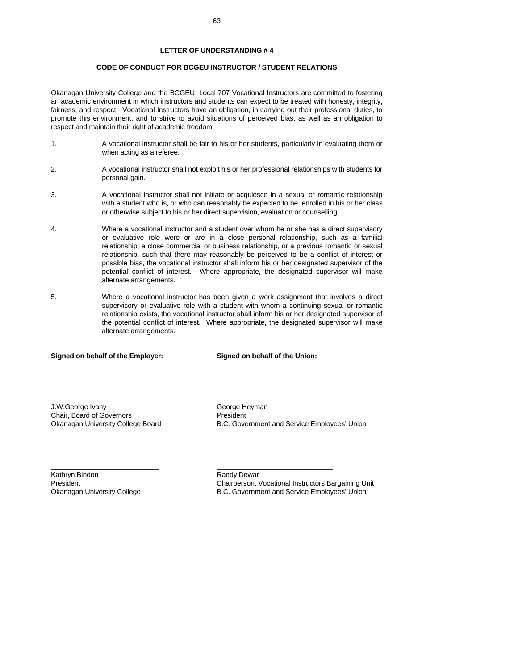## **LETTER OF UNDERSTANDING # 4**

#### **CODE OF CONDUCT FOR BCGEU INSTRUCTOR / STUDENT RELATIONS**

Okanagan University College and the BCGEU, Local 707 Vocational Instructors are committed to fostering an academic environment in which instructors and students can expect to be treated with honesty, integrity, fairness, and respect. Vocational Instructors have an obligation, in carrying out their professional duties, to promote this environment, and to strive to avoid situations of perceived bias, as well as an obligation to respect and maintain their right of academic freedom.

- 1. A vocational instructor shall be fair to his or her students, particularly in evaluating them or when acting as a referee.
- 2. A vocational instructor shall not exploit his or her professional relationships with students for personal gain.
- 3. A vocational instructor shall not initiate or acquiesce in a sexual or romantic relationship with a student who is, or who can reasonably be expected to be, enrolled in his or her class or otherwise subject to his or her direct supervision, evaluation or counselling.
- 4. Where a vocational instructor and a student over whom he or she has a direct supervisory or evaluative role were or are in a close personal relationship, such as a familial relationship, a close commercial or business relationship, or a previous romantic or sexual relationship, such that there may reasonably be perceived to be a conflict of interest or possible bias, the vocational instructor shall inform his or her designated supervisor of the potential conflict of interest. Where appropriate, the designated supervisor will make alternate arrangements.
- 5. Where a vocational instructor has been given a work assignment that involves a direct supervisory or evaluative role with a student with whom a continuing sexual or romantic relationship exists, the vocational instructor shall inform his or her designated supervisor of the potential conflict of interest. Where appropriate, the designated supervisor will make alternate arrangements.

\_\_\_\_\_\_\_\_\_\_\_\_\_\_\_\_\_\_\_\_\_\_\_\_\_\_\_\_ \_\_\_\_\_\_\_\_\_\_\_\_\_\_\_\_\_\_\_\_\_\_\_\_\_\_\_\_\_

\_\_\_\_\_\_\_\_\_\_\_\_\_\_\_\_\_\_\_\_\_\_\_\_\_\_\_\_ \_\_\_\_\_\_\_\_\_\_\_\_\_\_\_\_\_\_\_\_\_\_\_\_\_\_\_\_\_\_

#### **Signed on behalf of the Employer: Signed on behalf of the Union:**

J.W.George Ivany George Heyman Chair, Board of Governors President

Okanagan University College Board B.C. Government and Service Employees' Union

Kathryn Bindon **Randy Dewar** Randy Dewar

President Chairperson, Vocational Instructors Bargaining Unit Okanagan University College **B.C. Government and Service Employees' Union**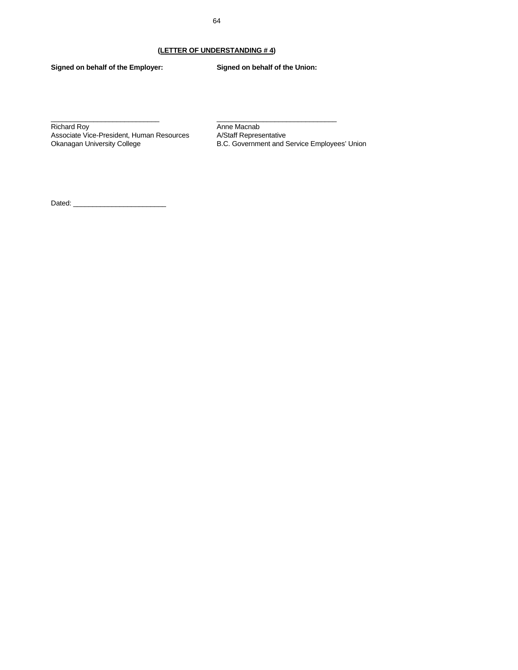# **(LETTER OF UNDERSTANDING # 4)**

\_\_\_\_\_\_\_\_\_\_\_\_\_\_\_\_\_\_\_\_\_\_\_\_\_\_\_\_ \_\_\_\_\_\_\_\_\_\_\_\_\_\_\_\_\_\_\_\_\_\_\_\_\_\_\_\_\_\_\_

**Signed on behalf of the Employer: Signed on behalf of the Union:** 

Richard Roy<br>
Anne Macnab<br>
Associate Vice-President, Human Resources<br>
A/Staff Representative Associate Vice-President, Human Resources<br>Okanagan University College

B.C. Government and Service Employees' Union

Dated: \_\_\_\_\_\_\_\_\_\_\_\_\_\_\_\_\_\_\_\_\_\_\_\_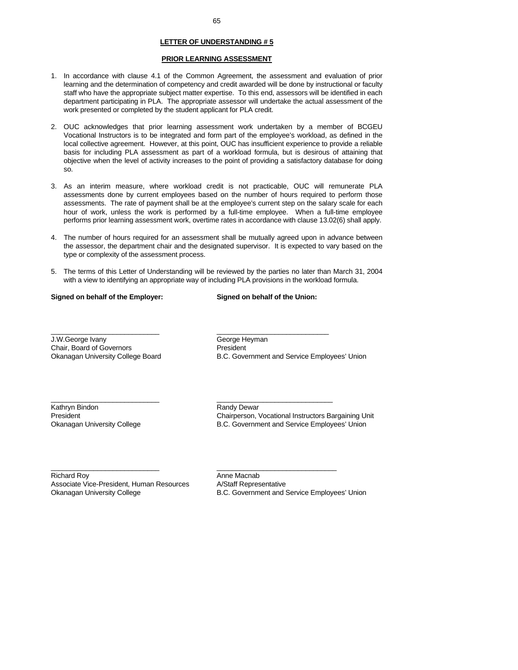# **LETTER OF UNDERSTANDING # 5**

#### **PRIOR LEARNING ASSESSMENT**

- 1. In accordance with clause 4.1 of the Common Agreement, the assessment and evaluation of prior learning and the determination of competency and credit awarded will be done by instructional or faculty staff who have the appropriate subject matter expertise. To this end, assessors will be identified in each department participating in PLA. The appropriate assessor will undertake the actual assessment of the work presented or completed by the student applicant for PLA credit.
- 2. OUC acknowledges that prior learning assessment work undertaken by a member of BCGEU Vocational Instructors is to be integrated and form part of the employee's workload, as defined in the local collective agreement. However, at this point, OUC has insufficient experience to provide a reliable basis for including PLA assessment as part of a workload formula, but is desirous of attaining that objective when the level of activity increases to the point of providing a satisfactory database for doing so.
- 3. As an interim measure, where workload credit is not practicable, OUC will remunerate PLA assessments done by current employees based on the number of hours required to perform those assessments. The rate of payment shall be at the employee's current step on the salary scale for each hour of work, unless the work is performed by a full-time employee. When a full-time employee performs prior learning assessment work, overtime rates in accordance with clause 13.02(6) shall apply.
- 4. The number of hours required for an assessment shall be mutually agreed upon in advance between the assessor, the department chair and the designated supervisor. It is expected to vary based on the type or complexity of the assessment process.
- 5. The terms of this Letter of Understanding will be reviewed by the parties no later than March 31, 2004 with a view to identifying an appropriate way of including PLA provisions in the workload formula.

\_\_\_\_\_\_\_\_\_\_\_\_\_\_\_\_\_\_\_\_\_\_\_\_\_\_\_\_ \_\_\_\_\_\_\_\_\_\_\_\_\_\_\_\_\_\_\_\_\_\_\_\_\_\_\_\_\_

\_\_\_\_\_\_\_\_\_\_\_\_\_\_\_\_\_\_\_\_\_\_\_\_\_\_\_\_ \_\_\_\_\_\_\_\_\_\_\_\_\_\_\_\_\_\_\_\_\_\_\_\_\_\_\_\_\_\_

\_\_\_\_\_\_\_\_\_\_\_\_\_\_\_\_\_\_\_\_\_\_\_\_\_\_\_\_ \_\_\_\_\_\_\_\_\_\_\_\_\_\_\_\_\_\_\_\_\_\_\_\_\_\_\_\_\_\_\_

#### **Signed on behalf of the Employer: Signed on behalf of the Union:**

J.W.George Ivany George Heyman Chair, Board of Governors President

Okanagan University College Board B.C. Government and Service Employees' Union

Kathryn Bindon **Randy Dewar** Randy Dewar

President Chairperson, Vocational Instructors Bargaining Unit Okanagan University College **B.C. Government and Service Employees' Union** 

Richard Roy **Anne Macnab** Associate Vice-President, Human Resources A/Staff Representative Okanagan University College **B.C. Government and Service Employees' Union**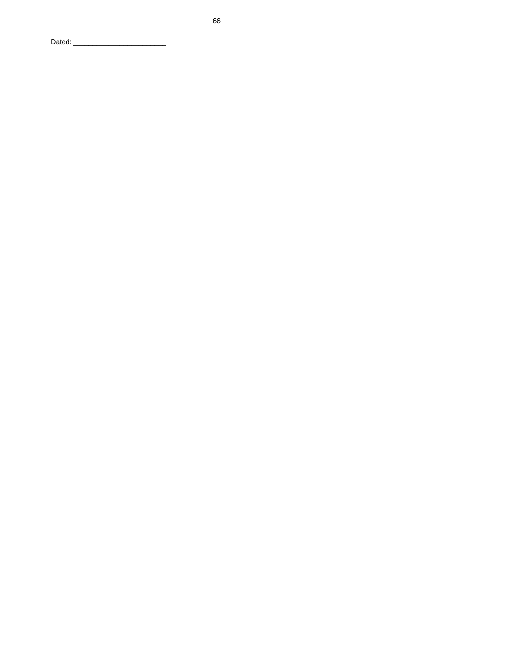Dated: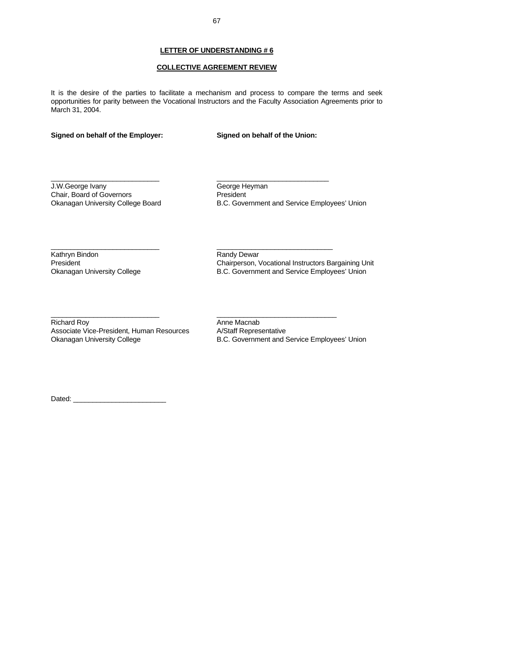# **COLLECTIVE AGREEMENT REVIEW**

It is the desire of the parties to facilitate a mechanism and process to compare the terms and seek opportunities for parity between the Vocational Instructors and the Faculty Association Agreements prior to March 31, 2004.

 $\_$  , and the set of the set of the set of the set of the set of the set of the set of the set of the set of the set of the set of the set of the set of the set of the set of the set of the set of the set of the set of th

\_\_\_\_\_\_\_\_\_\_\_\_\_\_\_\_\_\_\_\_\_\_\_\_\_\_\_\_ \_\_\_\_\_\_\_\_\_\_\_\_\_\_\_\_\_\_\_\_\_\_\_\_\_\_\_\_\_\_

 $\_$  . The contribution of the contribution of  $\_$  . The contribution of  $\_$  . The contribution of  $\_$  . The contribution of  $\_$ 

# **Signed on behalf of the Employer: Signed on behalf of the Union:**

J.W.George Ivany<br>
Chair, Board of Governors<br>
Chair, Board of Governors<br>
George President Chair, Board of Governors<br>Okanagan University College Board

B.C. Government and Service Employees' Union

Kathryn Bindon **Randy Dewar** 

President Chairperson, Vocational Instructors Bargaining Unit Okanagan University College **B.C. Government and Service Employees' Union** 

Richard Roy<br>Associate Vice-President, Human Resources A/Staff Representative Associate Vice-President, Human Resources

Okanagan University College **B.C. Government and Service Employees' Union** 

Dated:  $\_$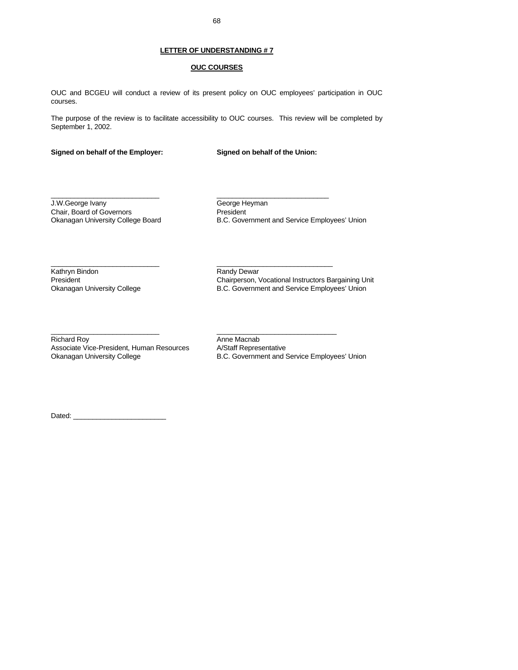#### **LETTER OF UNDERSTANDING # 7**

#### **OUC COURSES**

OUC and BCGEU will conduct a review of its present policy on OUC employees' participation in OUC courses.

The purpose of the review is to facilitate accessibility to OUC courses. This review will be completed by September 1, 2002.

\_\_\_\_\_\_\_\_\_\_\_\_\_\_\_\_\_\_\_\_\_\_\_\_\_\_\_\_ \_\_\_\_\_\_\_\_\_\_\_\_\_\_\_\_\_\_\_\_\_\_\_\_\_\_\_\_\_

 $\_$  , and the state of the state of the state of the state of the state of the state of the state of the state of the state of the state of the state of the state of the state of the state of the state of the state of the

**Signed on behalf of the Employer: Signed on behalf of the Union:** 

J.W.George Ivany George Heyman Chair, Board of Governors<br>
Okanagan University College Board<br>
B.C. Gove

B.C. Government and Service Employees' Union

Kathryn Bindon **Randy Dewar**<br> **Randy Dewar**<br> **Randy Dewar**<br> **Randy Dewar**<br> **Randy Dewar**<br> **Randy Dewar**<br> **Randy Dewar** 

President Chairperson, Vocational Instructors Bargaining Unit<br>
Chairperson, Vocational Instructors Bargaining Unit<br>
Chairperson, Vocational Instructors Bargaining Unit<br>
Chairperson, Vocational Instructors Bargaining Unit B.C. Government and Service Employees' Union

\_\_\_\_\_\_\_\_\_\_\_\_\_\_\_\_\_\_\_\_\_\_\_\_\_\_\_\_ \_\_\_\_\_\_\_\_\_\_\_\_\_\_\_\_\_\_\_\_\_\_\_\_\_\_\_\_\_\_\_ Richard Roy **Anne Macnab** Associate Vice-President, Human Resources A/Staff Representative

Okanagan University College **B.C. Government and Service Employees' Union** 

Dated: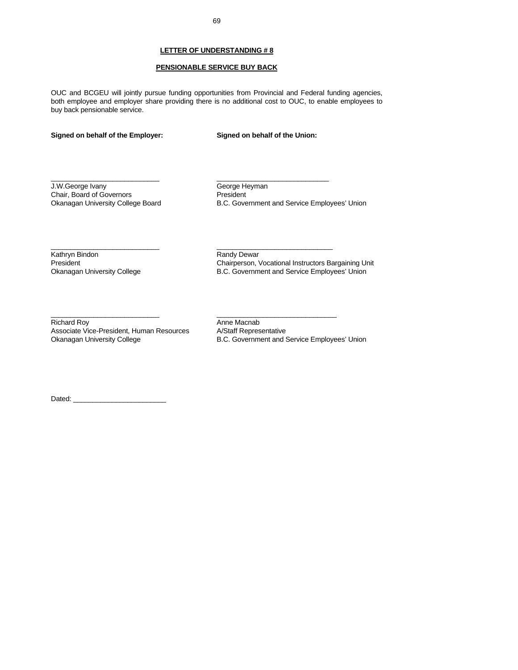#### **PENSIONABLE SERVICE BUY BACK**

OUC and BCGEU will jointly pursue funding opportunities from Provincial and Federal funding agencies, both employee and employer share providing there is no additional cost to OUC, to enable employees to buy back pensionable service.

 $\_$  , and the set of the set of the set of the set of the set of the set of the set of the set of the set of the set of the set of the set of the set of the set of the set of the set of the set of the set of the set of th

\_\_\_\_\_\_\_\_\_\_\_\_\_\_\_\_\_\_\_\_\_\_\_\_\_\_\_\_ \_\_\_\_\_\_\_\_\_\_\_\_\_\_\_\_\_\_\_\_\_\_\_\_\_\_\_\_\_\_

 $\_$  . The contribution of the contribution of  $\_$  . The contribution of  $\_$  . The contribution of  $\_$  . The contribution of  $\_$ 

### **Signed on behalf of the Employer: Signed on behalf of the Union:**

J.W.George Ivany<br>
Chair, Board of Governors<br>
Chair, Board of Governors<br>
George President Chair, Board of Governors<br>Okanagan University College Board

B.C. Government and Service Employees' Union

Kathryn Bindon **Randy Dewar** 

President Chairperson, Vocational Instructors Bargaining Unit Okanagan University College **B.C. Government and Service Employees' Union** 

Richard Roy<br>Associate Vice-President, Human Resources A/Staff Representative Associate Vice-President, Human Resources

Okanagan University College **B.C. Government and Service Employees' Union** 

Dated:  $\_$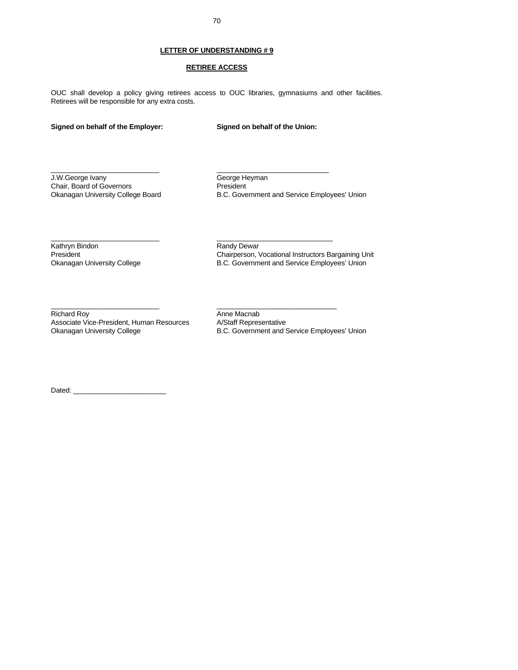### **LETTER OF UNDERSTANDING # 9**

#### **RETIREE ACCESS**

OUC shall develop a policy giving retirees access to OUC libraries, gymnasiums and other facilities. Retirees will be responsible for any extra costs.

 $\_$  , and the set of the set of the set of the set of the set of the set of the set of the set of the set of the set of the set of the set of the set of the set of the set of the set of the set of the set of the set of th

\_\_\_\_\_\_\_\_\_\_\_\_\_\_\_\_\_\_\_\_\_\_\_\_\_\_\_\_ \_\_\_\_\_\_\_\_\_\_\_\_\_\_\_\_\_\_\_\_\_\_\_\_\_\_\_\_\_\_

 $\_$  . The contribution of the contribution of  $\_$  . The contribution of  $\_$  . The contribution of  $\mathcal{L}$ 

#### **Signed on behalf of the Employer: Signed on behalf of the Union:**

J.W.George Ivany George Heyman<br>
Chair, Board of Governors<br>
President Chair, Board of Governors<br>Okanagan University College Board

B.C. Government and Service Employees' Union

Kathryn Bindon **Randy Dewar** Randy Dewar

President Chairperson, Vocational Instructors Bargaining Unit<br>
Chairperson, Vocational Instructors Bargaining Unit<br>
Chairperson, Vocational Instructors Bargaining Unit<br>
Chairperson, Vocational Instructors Bargaining Unit B.C. Government and Service Employees' Union

Richard Roy<br>Associate Vice-President, Human Resources A/Staff Representative Associate Vice-President, Human Resources<br>Okanagan University College

B.C. Government and Service Employees' Union

Dated:  $\_\_$